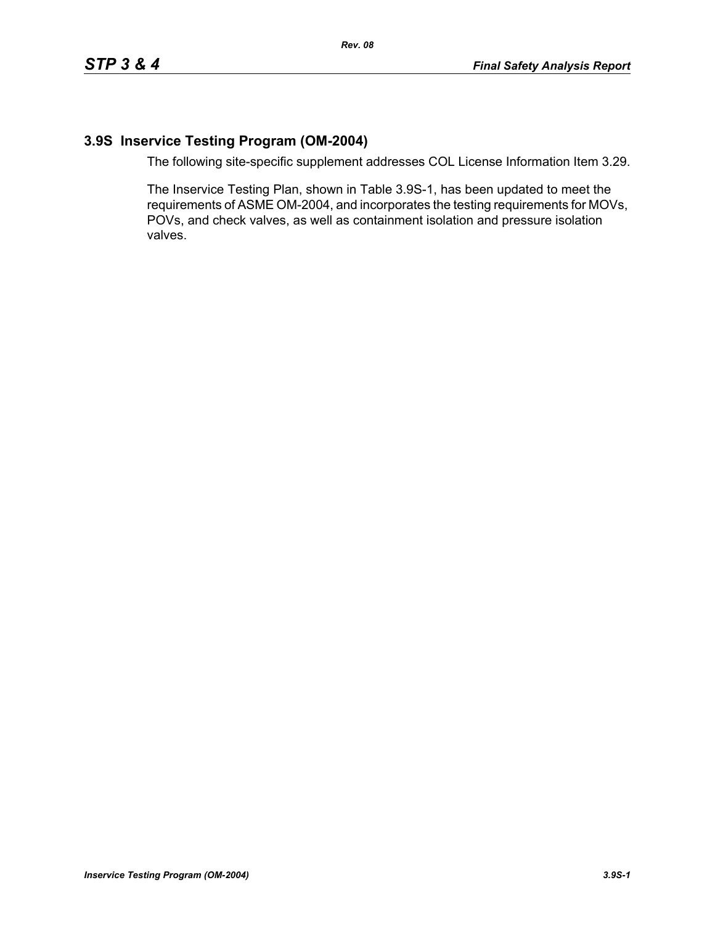## **3.9S Inservice Testing Program (OM-2004)**

The following site-specific supplement addresses COL License Information Item 3.29.

The Inservice Testing Plan, shown in Table 3.9S-1, has been updated to meet the requirements of ASME OM-2004, and incorporates the testing requirements for MOVs, POVs, and check valves, as well as containment isolation and pressure isolation valves.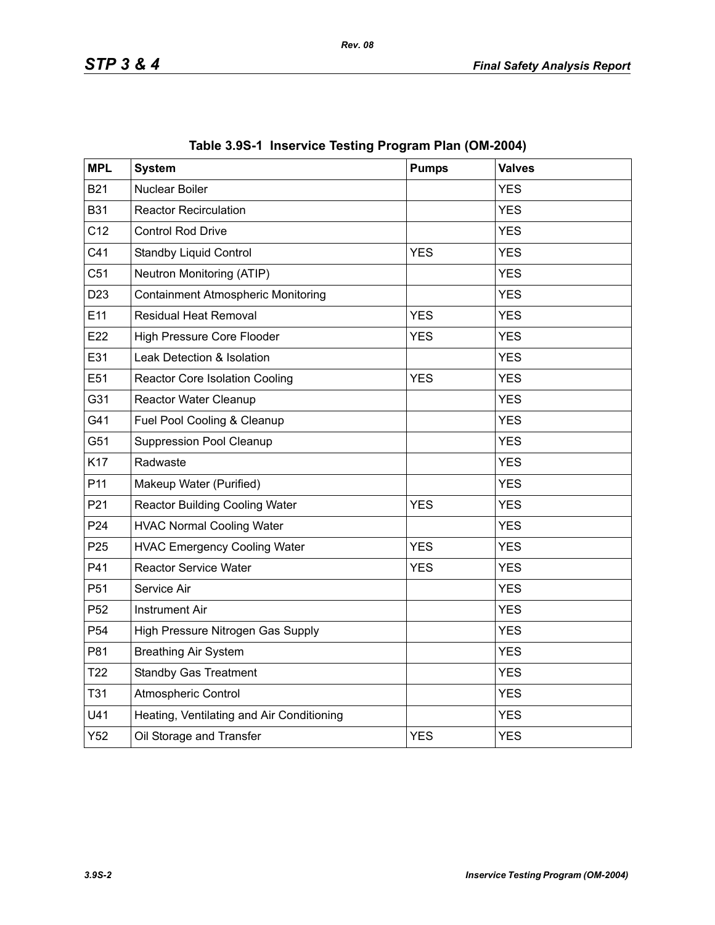| <b>MPL</b>      | <b>System</b>                             | <b>Pumps</b> | <b>Valves</b> |
|-----------------|-------------------------------------------|--------------|---------------|
| <b>B21</b>      | <b>Nuclear Boiler</b>                     |              | <b>YES</b>    |
| <b>B31</b>      | <b>Reactor Recirculation</b>              |              | <b>YES</b>    |
| C <sub>12</sub> | <b>Control Rod Drive</b>                  |              | <b>YES</b>    |
| C41             | <b>Standby Liquid Control</b>             | <b>YES</b>   | <b>YES</b>    |
| C51             | Neutron Monitoring (ATIP)                 |              | <b>YES</b>    |
| D <sub>23</sub> | <b>Containment Atmospheric Monitoring</b> |              | <b>YES</b>    |
| E11             | Residual Heat Removal                     | <b>YES</b>   | <b>YES</b>    |
| E22             | <b>High Pressure Core Flooder</b>         | <b>YES</b>   | <b>YES</b>    |
| E31             | Leak Detection & Isolation                |              | <b>YES</b>    |
| E51             | <b>Reactor Core Isolation Cooling</b>     | <b>YES</b>   | <b>YES</b>    |
| G31             | Reactor Water Cleanup                     |              | <b>YES</b>    |
| G41             | Fuel Pool Cooling & Cleanup               |              | <b>YES</b>    |
| G51             | <b>Suppression Pool Cleanup</b>           |              | <b>YES</b>    |
| K17             | Radwaste                                  |              | <b>YES</b>    |
| P <sub>11</sub> | Makeup Water (Purified)                   |              | <b>YES</b>    |
| P21             | <b>Reactor Building Cooling Water</b>     | <b>YES</b>   | <b>YES</b>    |
| P <sub>24</sub> | <b>HVAC Normal Cooling Water</b>          |              | <b>YES</b>    |
| P <sub>25</sub> | <b>HVAC Emergency Cooling Water</b>       | <b>YES</b>   | <b>YES</b>    |
| P41             | <b>Reactor Service Water</b>              | <b>YES</b>   | <b>YES</b>    |
| P <sub>51</sub> | Service Air                               |              | <b>YES</b>    |
| P <sub>52</sub> | <b>Instrument Air</b>                     |              | <b>YES</b>    |
| P <sub>54</sub> | High Pressure Nitrogen Gas Supply         |              | <b>YES</b>    |
| P81             | <b>Breathing Air System</b>               |              | <b>YES</b>    |
| T <sub>22</sub> | <b>Standby Gas Treatment</b>              |              | <b>YES</b>    |
| <b>T31</b>      | <b>Atmospheric Control</b>                |              | <b>YES</b>    |
| U41             | Heating, Ventilating and Air Conditioning |              | <b>YES</b>    |
| Y52             | Oil Storage and Transfer                  | <b>YES</b>   | <b>YES</b>    |

|  |  | Table 3.9S-1 Inservice Testing Program Plan (OM-2004) |  |  |
|--|--|-------------------------------------------------------|--|--|
|--|--|-------------------------------------------------------|--|--|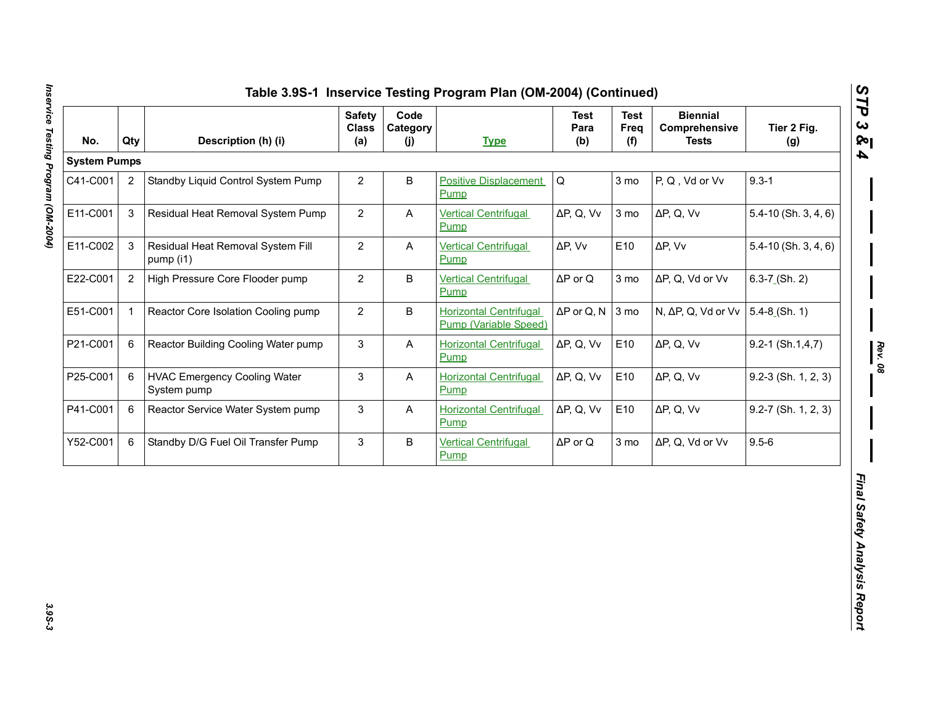| <b>System Pumps</b><br>2<br>3 | Standby Liquid Control System Pump                 | $\overline{2}$ | B            |                                                               |                                                                       |                 |                    |                          |  |
|-------------------------------|----------------------------------------------------|----------------|--------------|---------------------------------------------------------------|-----------------------------------------------------------------------|-----------------|--------------------|--------------------------|--|
| C41-C001                      |                                                    |                |              |                                                               | $\mathsf Q$<br>3 mo<br>P, Q, Vd or Vv<br><b>Positive Displacement</b> |                 |                    |                          |  |
| E11-C001                      |                                                    |                |              | Pump                                                          |                                                                       |                 |                    | $9.3 - 1$                |  |
|                               | Residual Heat Removal System Pump                  | $\overline{c}$ | A            | <b>Vertical Centrifugal</b><br>Pump                           | $\Delta P$ , Q, Vv                                                    | 3 <sub>mo</sub> | $\Delta P$ , Q, Vv | $5.4 - 10$ (Sh. 3, 4, 6) |  |
| E11-C002<br>3                 | Residual Heat Removal System Fill<br>pump (i1)     | $\overline{c}$ | A            | <b>Vertical Centrifugal</b><br>Pump                           | $\Delta P$ , Vv                                                       | E10             | $\Delta P$ , Vv    | $5.4 - 10$ (Sh. 3, 4, 6) |  |
| E22-C001<br>$\overline{2}$    | High Pressure Core Flooder pump                    | $\overline{2}$ | B            | <b>Vertical Centrifugal</b><br>Pump                           | $\Delta P$ or Q                                                       | 3 mo            | ΔP, Q, Vd or Vv    | $6.3 - 7$ (Sh. 2)        |  |
| E51-C001<br>$\mathbf{1}$      | Reactor Core Isolation Cooling pump                | $\overline{2}$ | B            | <b>Horizontal Centrifugal</b><br><b>Pump (Variable Speed)</b> | $\Delta P$ or Q, N                                                    | 3 mo            | N, ΔP, Q, Vd or Vv | $5.4 - 8$ (Sh. 1)        |  |
| P21-C001<br>6                 | Reactor Building Cooling Water pump                | 3              | A            | <b>Horizontal Centrifugal</b><br>Pump                         | $\Delta P$ , Q, Vv                                                    | E10             | $\Delta P$ , Q, Vv | $9.2 - 1$ (Sh.1,4,7)     |  |
| P25-C001<br>6                 | <b>HVAC Emergency Cooling Water</b><br>System pump | 3              | A            | <b>Horizontal Centrifugal</b><br>Pump                         | $\Delta P$ , Q, Vv                                                    | E10             | $\Delta P$ , Q, Vv | $9.2-3$ (Sh. 1, 2, 3)    |  |
| P41-C001<br>6                 | Reactor Service Water System pump                  | 3              | $\mathsf{A}$ | <b>Horizontal Centrifugal</b><br>Pump                         | $\Delta P$ , Q, Vv                                                    | E10             | $\Delta P$ , Q, Vv | $9.2 - 7$ (Sh. 1, 2, 3)  |  |
| Y52-C001<br>6                 | Standby D/G Fuel Oil Transfer Pump                 | 3              | B            | <b>Vertical Centrifugal</b><br>Pump                           | $\Delta \mathsf{P}$ or $\mathsf{Q}$                                   | 3 mo            | ΔP, Q, Vd or Vv    | $9.5 - 6$                |  |

3.9S-3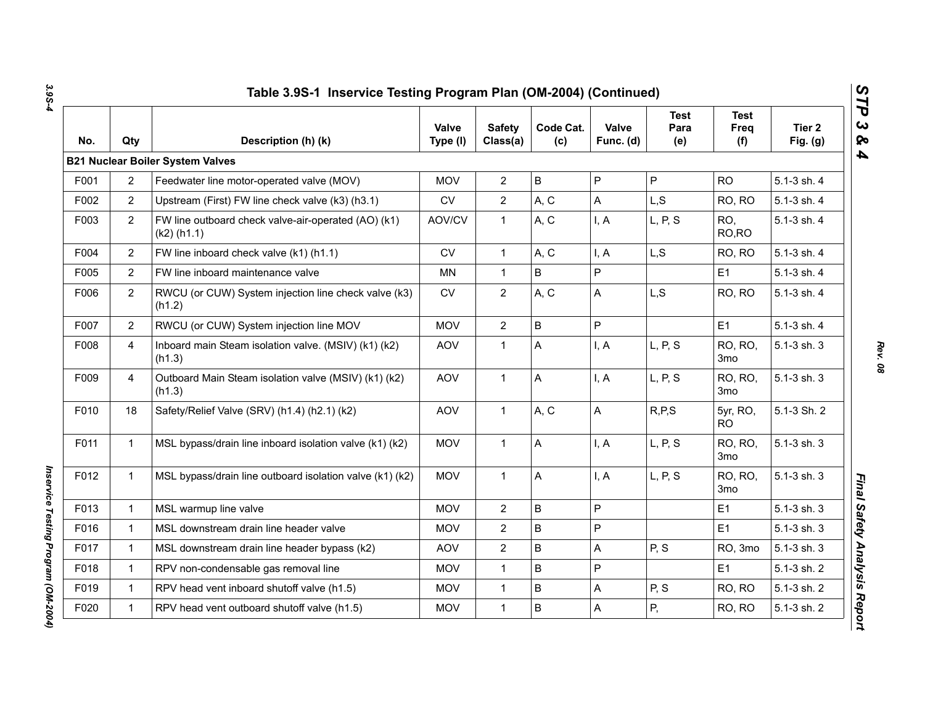| No.  | Qty            | Description (h) (k)                                                  | Valve<br>Type (I) | <b>Safety</b><br>Class(a) | Code Cat.<br>(c) | Valve<br>Func. (d) | <b>Test</b><br>Para<br>(e) | <b>Test</b><br>Freq<br>(f) | Tier 2<br>Fig. $(g)$ |
|------|----------------|----------------------------------------------------------------------|-------------------|---------------------------|------------------|--------------------|----------------------------|----------------------------|----------------------|
|      |                | <b>B21 Nuclear Boiler System Valves</b>                              |                   |                           |                  |                    |                            |                            |                      |
| F001 | $\overline{2}$ | Feedwater line motor-operated valve (MOV)                            | <b>MOV</b>        | $\overline{2}$            | $\sf B$          | P                  | P                          | <b>RO</b>                  | 5.1-3 sh. 4          |
| F002 | $\overline{2}$ | Upstream (First) FW line check valve (k3) (h3.1)                     | <b>CV</b>         | $\overline{2}$            | A, C             | A                  | L, S                       | RO, RO                     | 5.1-3 sh. 4          |
| F003 | $\overline{2}$ | FW line outboard check valve-air-operated (AO) (k1)<br>$(k2)$ (h1.1) | AOV/CV            | $\mathbf{1}$              | A, C             | I, A               | L, P, S                    | RO.<br>RO, RO              | 5.1-3 sh. 4          |
| F004 | $\overline{2}$ | FW line inboard check valve (k1) (h1.1)                              | <b>CV</b>         | $\mathbf{1}$              | A, C             | I, A               | L, S                       | RO, RO                     | 5.1-3 sh. 4          |
| F005 | $\overline{2}$ | FW line inboard maintenance valve                                    | <b>MN</b>         | $\mathbf{1}$              | B                | P                  |                            | E <sub>1</sub>             | 5.1-3 sh. 4          |
| F006 | 2              | RWCU (or CUW) System injection line check valve (k3)<br>(h1.2)       | CV                | $\overline{2}$            | A, C             | A                  | L, S                       | RO, RO                     | 5.1-3 sh. 4          |
| F007 | $\overline{2}$ | RWCU (or CUW) System injection line MOV                              | <b>MOV</b>        | $\overline{2}$            | $\sf B$          | P                  |                            | E <sub>1</sub>             | 5.1-3 sh. 4          |
| F008 | $\overline{4}$ | Inboard main Steam isolation valve. (MSIV) (k1) (k2)<br>(h1.3)       | <b>AOV</b>        | $\mathbf{1}$              | A                | I, A               | L, P, S                    | <b>RO, RO,</b><br>3mo      | 5.1-3 sh. 3          |
| F009 | $\overline{4}$ | Outboard Main Steam isolation valve (MSIV) (k1) (k2)<br>(h1.3)       | <b>AOV</b>        | $\mathbf{1}$              | A                | I, A               | L, P, S                    | RO, RO,<br>3mo             | $5.1 - 3$ sh. $3$    |
| F010 | 18             | Safety/Relief Valve (SRV) (h1.4) (h2.1) (k2)                         | <b>AOV</b>        | $\mathbf{1}$              | A, C             | A                  | R, P, S                    | 5yr, RO,<br><b>RO</b>      | 5.1-3 Sh. 2          |
| F011 | $\mathbf{1}$   | MSL bypass/drain line inboard isolation valve (k1) (k2)              | <b>MOV</b>        | $\mathbf{1}$              | A                | I, A               | L, P, S                    | RO, RO,<br>3 <sub>mo</sub> | 5.1-3 sh. 3          |
| F012 | 1              | MSL bypass/drain line outboard isolation valve (k1) (k2)             | <b>MOV</b>        | $\mathbf{1}$              | A                | I, A               | L, P, S                    | RO, RO,<br>3mo             | 5.1-3 sh. 3          |
| F013 | $\mathbf{1}$   | MSL warmup line valve                                                | <b>MOV</b>        | $\mathbf{2}$              | $\sf B$          | P                  |                            | E <sub>1</sub>             | 5.1-3 sh. 3          |
| F016 | $\mathbf{1}$   | MSL downstream drain line header valve                               | <b>MOV</b>        | $\overline{2}$            | B                | P                  |                            | E1                         | 5.1-3 sh. 3          |
| F017 | $\mathbf{1}$   | MSL downstream drain line header bypass (k2)                         | <b>AOV</b>        | $\overline{2}$            | B                | A                  | P, S                       | RO, 3mo                    | 5.1-3 sh. 3          |
| F018 | $\mathbf{1}$   | RPV non-condensable gas removal line                                 | <b>MOV</b>        | $\mathbf{1}$              | $\mathsf B$      | P                  |                            | E <sub>1</sub>             | 5.1-3 sh. 2          |
| F019 | $\mathbf{1}$   | RPV head vent inboard shutoff valve (h1.5)                           | <b>MOV</b>        | $\mathbf{1}$              | $\sf B$          | A                  | P, S                       | RO, RO                     | 5.1-3 sh. 2          |
| F020 | $\mathbf 1$    | RPV head vent outboard shutoff valve (h1.5)                          | <b>MOV</b>        | $\mathbf{1}$              | $\sf B$          | A                  | P,                         | RO, RO                     | 5.1-3 sh. 2          |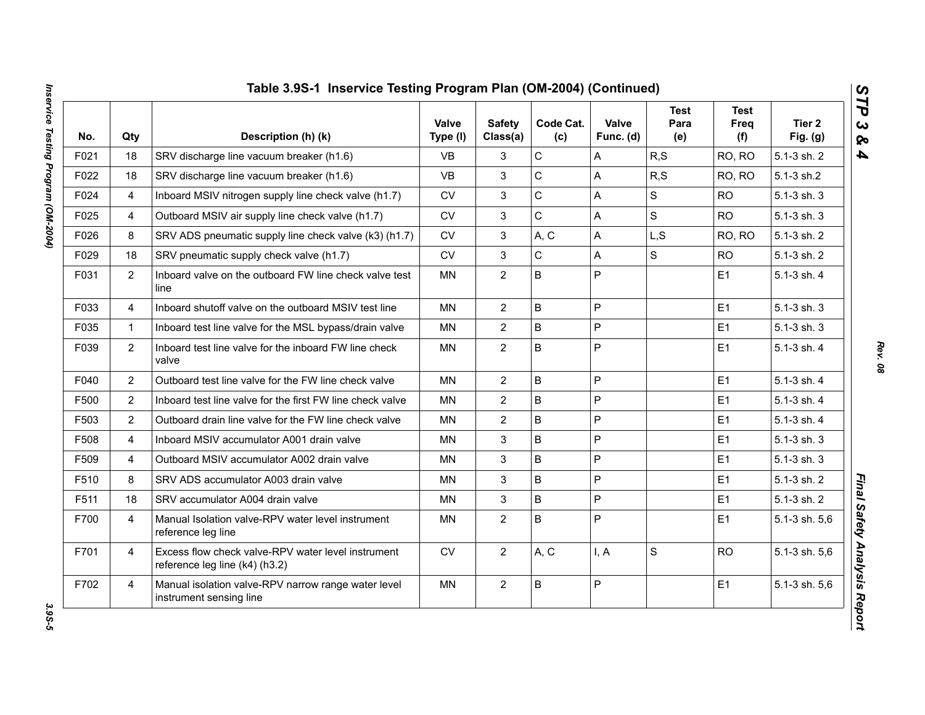| No.  | Qty            | Description (h) (k)                                                                  | <b>Valve</b><br>Type (I) | <b>Safety</b><br>Class(a) | Code Cat.<br>(c) | Valve<br>Func. (d) | <b>Test</b><br>Para<br>(e) | <b>Test</b><br>Freq<br>(f) | Tier 2<br>Fig. $(g)$ |
|------|----------------|--------------------------------------------------------------------------------------|--------------------------|---------------------------|------------------|--------------------|----------------------------|----------------------------|----------------------|
| F021 | 18             | SRV discharge line vacuum breaker (h1.6)                                             | <b>VB</b>                | 3                         | C                | A                  | R, S                       | RO, RO                     | 5.1-3 sh. 2          |
| F022 | 18             | SRV discharge line vacuum breaker (h1.6)                                             | <b>VB</b>                | 3                         | $\mathsf{C}$     | A                  | R, S                       | RO, RO                     | 5.1-3 sh.2           |
| F024 | 4              | Inboard MSIV nitrogen supply line check valve (h1.7)                                 | <b>CV</b>                | 3                         | $\mathsf{C}$     | A                  | S                          | <b>RO</b>                  | 5.1-3 sh. 3          |
| F025 | 4              | Outboard MSIV air supply line check valve (h1.7)                                     | ${\sf CV}$               | $\mathfrak{S}$            | $\mathsf C$      | A                  | S                          | <b>RO</b>                  | 5.1-3 sh. 3          |
| F026 | 8              | SRV ADS pneumatic supply line check valve (k3) (h1.7)                                | <b>CV</b>                | 3                         | A, C             | A                  | L,S                        | RO, RO                     | 5.1-3 sh. 2          |
| F029 | 18             | SRV pneumatic supply check valve (h1.7)                                              | <b>CV</b>                | 3                         | $\mathsf C$      | A                  | S                          | <b>RO</b>                  | 5.1-3 sh. 2          |
| F031 | $\overline{2}$ | Inboard valve on the outboard FW line check valve test<br>line                       | <b>MN</b>                | $\mathbf{2}$              | B                | $\overline{P}$     |                            | E <sub>1</sub>             | 5.1-3 sh. 4          |
| F033 | 4              | Inboard shutoff valve on the outboard MSIV test line                                 | <b>MN</b>                | $\overline{2}$            | B                | $\overline{P}$     |                            | E1                         | 5.1-3 sh. 3          |
| F035 | $\mathbf{1}$   | Inboard test line valve for the MSL bypass/drain valve                               | MN                       | $\overline{2}$            | B                | P                  |                            | E1                         | 5.1-3 sh. 3          |
| F039 | $\overline{2}$ | Inboard test line valve for the inboard FW line check<br>valve                       | <b>MN</b>                | $\overline{2}$            | B                | P                  |                            | E <sub>1</sub>             | 5.1-3 sh. 4          |
| F040 | $\overline{2}$ | Outboard test line valve for the FW line check valve                                 | <b>MN</b>                | $\overline{2}$            | B                | $\mathsf{P}$       |                            | E1                         | 5.1-3 sh. 4          |
| F500 | $\overline{2}$ | Inboard test line valve for the first FW line check valve                            | <b>MN</b>                | $\overline{2}$            | B                | P                  |                            | E1                         | 5.1-3 sh. 4          |
| F503 | $\overline{2}$ | Outboard drain line valve for the FW line check valve                                | <b>MN</b>                | $\overline{2}$            | B                | P                  |                            | E1                         | 5.1-3 sh. 4          |
| F508 | 4              | Inboard MSIV accumulator A001 drain valve                                            | <b>MN</b>                | $\mathbf{3}$              | B                | P                  |                            | E1                         | 5.1-3 sh. 3          |
| F509 | 4              | Outboard MSIV accumulator A002 drain valve                                           | <b>MN</b>                | 3                         | B                | P                  |                            | E1                         | 5.1-3 sh. 3          |
| F510 | 8              | SRV ADS accumulator A003 drain valve                                                 | <b>MN</b>                | 3                         | B                | $\mathsf{P}$       |                            | E1                         | 5.1-3 sh. 2          |
| F511 | 18             | SRV accumulator A004 drain valve                                                     | <b>MN</b>                | 3                         | B                | $\overline{P}$     |                            | E1                         | 5.1-3 sh. 2          |
| F700 | $\overline{4}$ | Manual Isolation valve-RPV water level instrument<br>reference leg line              | <b>MN</b>                | $\overline{2}$            | B                | $\overline{P}$     |                            | E1                         | 5.1-3 sh. 5,6        |
| F701 | $\overline{4}$ | Excess flow check valve-RPV water level instrument<br>reference leg line (k4) (h3.2) | ${\sf CV}$               | $\overline{2}$            | A, C             | I, A               | S                          | <b>RO</b>                  | 5.1-3 sh. 5,6        |
| F702 | 4              | Manual isolation valve-RPV narrow range water level<br>instrument sensing line       | <b>MN</b>                | $\overline{2}$            | B                | P                  |                            | E1                         | 5.1-3 sh. 5,6        |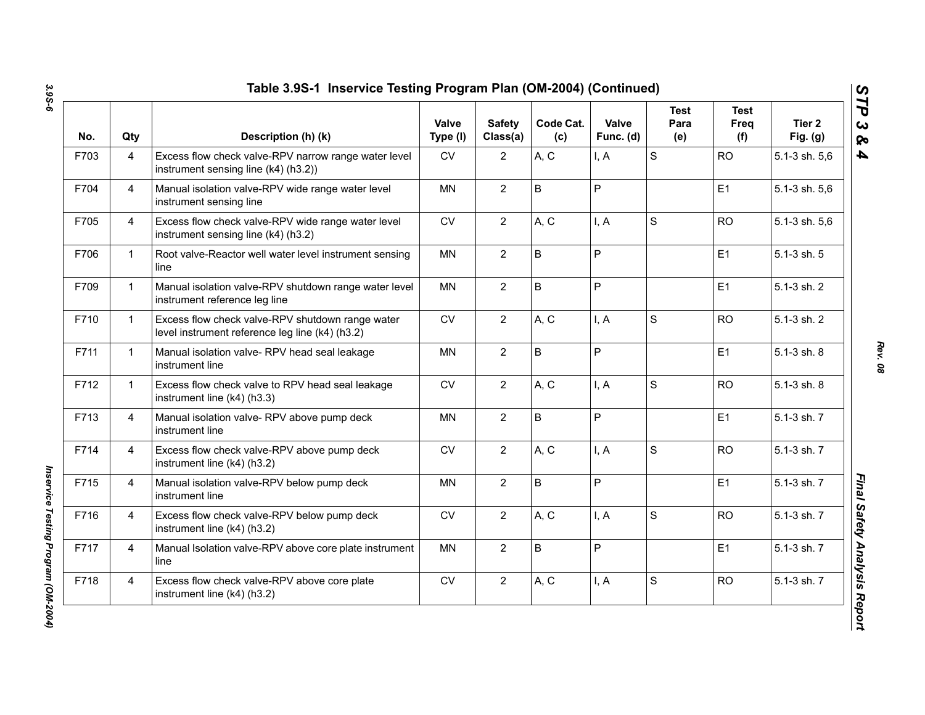| No.  | Qty            | Description (h) (k)                                                                                 | Valve<br>Type (I) | <b>Safety</b><br>Class(a) | Code Cat.<br>(c) | Valve<br>Func. (d) | <b>Test</b><br>Para<br>(e) | <b>Test</b><br>Freq<br>(f) | Tier <sub>2</sub><br>Fig. $(g)$ |
|------|----------------|-----------------------------------------------------------------------------------------------------|-------------------|---------------------------|------------------|--------------------|----------------------------|----------------------------|---------------------------------|
| F703 | 4              | Excess flow check valve-RPV narrow range water level<br>instrument sensing line (k4) (h3.2))        | <b>CV</b>         | $\overline{2}$            | A, C             | I, A               | $\mathbf S$                | <b>RO</b>                  | 5.1-3 sh. 5,6                   |
| F704 | 4              | Manual isolation valve-RPV wide range water level<br>instrument sensing line                        | ΜN                | $\overline{2}$            | B                | P                  |                            | E <sub>1</sub>             | 5.1-3 sh. 5,6                   |
| F705 | 4              | Excess flow check valve-RPV wide range water level<br>instrument sensing line (k4) (h3.2)           | CV                | $\overline{2}$            | A, C             | I, A               | S                          | <b>RO</b>                  | 5.1-3 sh. 5,6                   |
| F706 | $\mathbf{1}$   | Root valve-Reactor well water level instrument sensing<br>line                                      | MN                | $\overline{2}$            | B                | P                  |                            | E1                         | 5.1-3 sh. 5                     |
| F709 | $\mathbf{1}$   | Manual isolation valve-RPV shutdown range water level<br>instrument reference leg line              | MN                | $\overline{2}$            | B                | P                  |                            | E1                         | 5.1-3 sh. 2                     |
| F710 | $\mathbf{1}$   | Excess flow check valve-RPV shutdown range water<br>level instrument reference leg line (k4) (h3.2) | <b>CV</b>         | $\overline{2}$            | A, C             | I, A               | $\mathbf S$                | <b>RO</b>                  | 5.1-3 sh. 2                     |
| F711 | $\mathbf{1}$   | Manual isolation valve-RPV head seal leakage<br>instrument line                                     | <b>MN</b>         | $\overline{2}$            | B                | P                  |                            | E <sub>1</sub>             | 5.1-3 sh. 8                     |
| F712 | $\mathbf{1}$   | Excess flow check valve to RPV head seal leakage<br>instrument line (k4) (h3.3)                     | <b>CV</b>         | $\overline{2}$            | A, C             | I, A               | S                          | <b>RO</b>                  | 5.1-3 sh. 8                     |
| F713 | $\overline{4}$ | Manual isolation valve- RPV above pump deck<br>instrument line                                      | <b>MN</b>         | $\overline{2}$            | B                | P                  |                            | E1                         | 5.1-3 sh. 7                     |
| F714 | 4              | Excess flow check valve-RPV above pump deck<br>instrument line (k4) (h3.2)                          | <b>CV</b>         | $\overline{2}$            | A, C             | I, A               | $\mathbf S$                | <b>RO</b>                  | 5.1-3 sh. 7                     |
| F715 | $\overline{4}$ | Manual isolation valve-RPV below pump deck<br>instrument line                                       | <b>MN</b>         | $\overline{2}$            | B                | P                  |                            | E1                         | 5.1-3 sh. 7                     |
| F716 | 4              | Excess flow check valve-RPV below pump deck<br>instrument line (k4) (h3.2)                          | <b>CV</b>         | $\overline{2}$            | A, C             | I, A               | S                          | <b>RO</b>                  | 5.1-3 sh. 7                     |
| F717 | 4              | Manual Isolation valve-RPV above core plate instrument<br>line                                      | <b>MN</b>         | $\overline{2}$            | B                | P                  |                            | E1                         | 5.1-3 sh. 7                     |
| F718 | 4              | Excess flow check valve-RPV above core plate<br>instrument line (k4) (h3.2)                         | <b>CV</b>         | $\overline{2}$            | A, C             | I, A               | S                          | <b>RO</b>                  | 5.1-3 sh. 7                     |

*Rev. 08*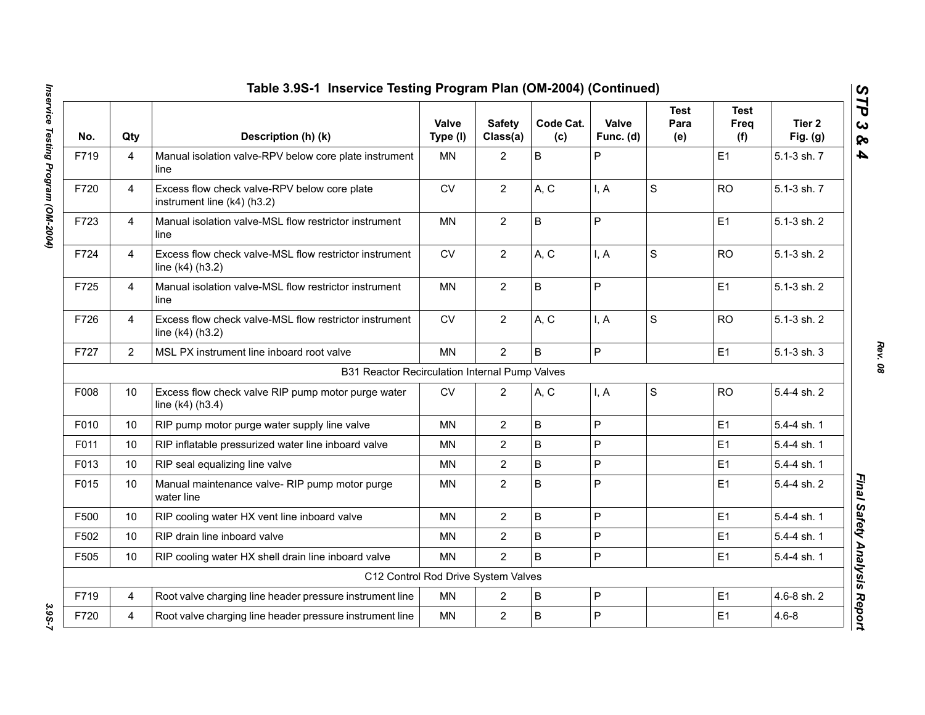|      |                | Table 3.9S-1 Inservice Testing Program Plan (OM-2004) (Continued)           |                   |                           |                  |                    |                            |                            |                      |
|------|----------------|-----------------------------------------------------------------------------|-------------------|---------------------------|------------------|--------------------|----------------------------|----------------------------|----------------------|
| No.  | Qty            | Description (h) (k)                                                         | Valve<br>Type (I) | <b>Safety</b><br>Class(a) | Code Cat.<br>(c) | Valve<br>Func. (d) | <b>Test</b><br>Para<br>(e) | <b>Test</b><br>Freq<br>(f) | Tier 2<br>Fig. $(g)$ |
| F719 | $\overline{4}$ | Manual isolation valve-RPV below core plate instrument<br>line              | <b>MN</b>         | $\overline{2}$            | B                | P                  |                            | E1                         | 5.1-3 sh. 7          |
| F720 | $\overline{4}$ | Excess flow check valve-RPV below core plate<br>instrument line (k4) (h3.2) | <b>CV</b>         | $\overline{2}$            | A, C             | I, A               | S                          | <b>RO</b>                  | 5.1-3 sh. 7          |
| F723 | $\overline{4}$ | Manual isolation valve-MSL flow restrictor instrument<br>line               | <b>MN</b>         | $\overline{2}$            | B                | $\overline{P}$     |                            | E1                         | 5.1-3 sh. 2          |
| F724 | 4              | Excess flow check valve-MSL flow restrictor instrument<br>line (k4) (h3.2)  | <b>CV</b>         | $\overline{2}$            | A, C             | I, A               | $\mathsf S$                | <b>RO</b>                  | 5.1-3 sh. 2          |
| F725 | $\overline{4}$ | Manual isolation valve-MSL flow restrictor instrument<br>line               | <b>MN</b>         | $\overline{2}$            | B                | $\mathsf{P}$       |                            | E1                         | 5.1-3 sh. 2          |
| F726 | 4              | Excess flow check valve-MSL flow restrictor instrument<br>line (k4) (h3.2)  | <b>CV</b>         | $\overline{2}$            | A, C             | I, A               | S                          | <b>RO</b>                  | 5.1-3 sh. 2          |
| F727 | $\overline{2}$ | MSL PX instrument line inboard root valve                                   | <b>MN</b>         | $\overline{2}$            | B                | P                  |                            | E1                         | $5.1 - 3$ sh. $3$    |
|      |                | B31 Reactor Recirculation Internal Pump Valves                              |                   |                           |                  |                    |                            |                            |                      |
| F008 | 10             | Excess flow check valve RIP pump motor purge water<br>line $(k4)$ (h3.4)    | <b>CV</b>         | $\overline{2}$            | A, C             | I, A               | $\mathbf S$                | <b>RO</b>                  | 5.4-4 sh. 2          |
| F010 | 10             | RIP pump motor purge water supply line valve                                | <b>MN</b>         | $\overline{2}$            | B                | P                  |                            | E1                         | 5.4-4 sh. 1          |
| F011 | 10             | RIP inflatable pressurized water line inboard valve                         | MN                | $\overline{2}$            | B                | P                  |                            | E <sub>1</sub>             | 5.4-4 sh. 1          |
| F013 | 10             | RIP seal equalizing line valve                                              | <b>MN</b>         | 2                         | B                | $\overline{P}$     |                            | E1                         | 5.4-4 sh. 1          |
| F015 | 10             | Manual maintenance valve- RIP pump motor purge<br>water line                | MN                | $\overline{2}$            | B                | $\mathsf{P}$       |                            | E1                         | 5.4-4 sh. 2          |
| F500 | 10             | RIP cooling water HX vent line inboard valve                                | <b>MN</b>         | $\overline{2}$            | B                | $\overline{P}$     |                            | E1                         | 5.4-4 sh. 1          |
| F502 | 10             | RIP drain line inboard valve                                                | <b>MN</b>         | $\overline{2}$            | B                | $\overline{P}$     |                            | E1                         | 5.4-4 sh. 1          |
| F505 | 10             | RIP cooling water HX shell drain line inboard valve                         | <b>MN</b>         | $\overline{2}$            | B                | P                  |                            | E1                         | 5.4-4 sh. 1          |
|      |                | C12 Control Rod Drive System Valves                                         |                   |                           |                  |                    |                            |                            |                      |
| F719 | $\overline{4}$ | Root valve charging line header pressure instrument line                    | <b>MN</b>         | $\overline{2}$            | B                | $\mathsf{P}$       |                            | E1                         | 4.6-8 sh. 2          |
| F720 | 4              | Root valve charging line header pressure instrument line                    | MN                | $\overline{2}$            | B                | P                  |                            | E1                         | $4.6 - 8$            |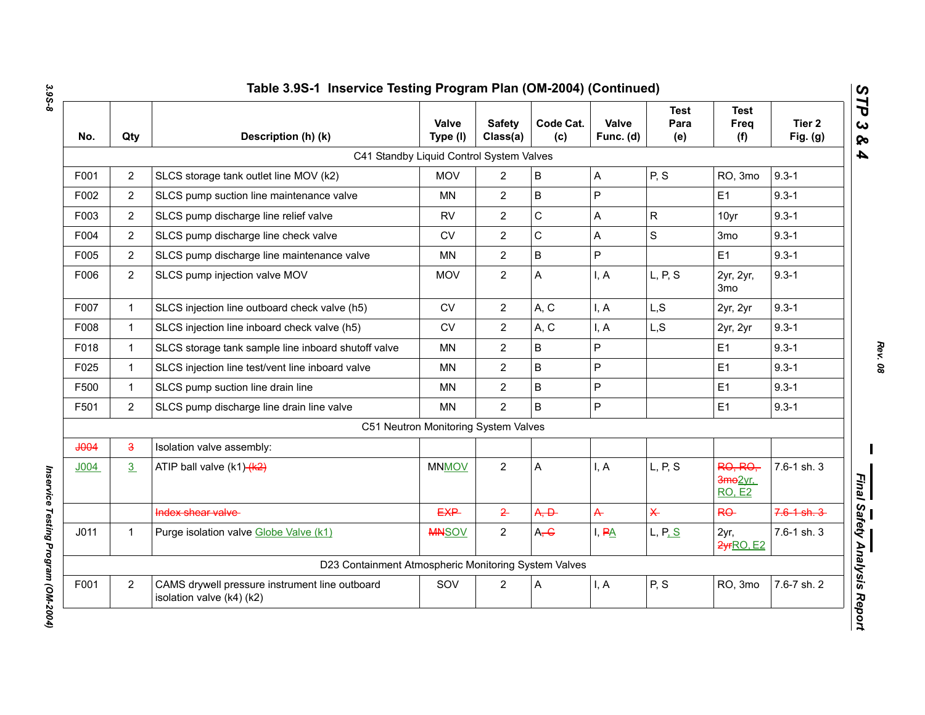| No.              | Qty            | Description (h) (k)                                                         | <b>Valve</b><br>Type (I)             | <b>Safety</b><br>Class(a) | Code Cat.<br>(c) | Valve<br>Func. (d)  | <b>Test</b><br>Para<br>(e) | <b>Test</b><br>Freq<br>(f)                            | Tier <sub>2</sub><br>Fig. $(g)$ |
|------------------|----------------|-----------------------------------------------------------------------------|--------------------------------------|---------------------------|------------------|---------------------|----------------------------|-------------------------------------------------------|---------------------------------|
|                  |                | C41 Standby Liquid Control System Valves                                    |                                      |                           |                  |                     |                            |                                                       |                                 |
| F001             | $\overline{2}$ | SLCS storage tank outlet line MOV (k2)                                      | <b>MOV</b>                           | $\overline{2}$            | $\mathsf B$      | A                   | P, S                       | RO, 3mo                                               | $9.3 - 1$                       |
| F002             | $\overline{2}$ | SLCS pump suction line maintenance valve                                    | <b>MN</b>                            | $\overline{2}$            | $\mathsf B$      | $\mathsf{P}$        |                            | E <sub>1</sub>                                        | $9.3 - 1$                       |
| F003             | $\overline{2}$ | SLCS pump discharge line relief valve                                       | <b>RV</b>                            | $\overline{2}$            | $\mathsf C$      | A                   | $\mathsf{R}$               | 10yr                                                  | $9.3 - 1$                       |
| F004             | $\overline{2}$ | SLCS pump discharge line check valve                                        | <b>CV</b>                            | $\overline{2}$            | $\mathbf C$      | A                   | S                          | 3 <sub>mo</sub>                                       | $9.3 - 1$                       |
| F005             | $\overline{2}$ | SLCS pump discharge line maintenance valve                                  | <b>MN</b>                            | $\overline{2}$            | $\mathsf B$      | P                   |                            | E1                                                    | $9.3 - 1$                       |
| F006             | $\overline{2}$ | SLCS pump injection valve MOV                                               | <b>MOV</b>                           | $\overline{2}$            | Α                | I, A                | L, P, S                    | 2yr, 2yr,<br>3 <sub>mo</sub>                          | $9.3 - 1$                       |
| F007             | $\mathbf{1}$   | SLCS injection line outboard check valve (h5)                               | <b>CV</b>                            | $\overline{2}$            | A, C             | I, A                | L, S                       | 2yr, 2yr                                              | $9.3 - 1$                       |
| F008             | $\mathbf{1}$   | SLCS injection line inboard check valve (h5)                                | CV                                   | $\overline{2}$            | A, C             | I, A                | L, S                       | 2yr, 2yr                                              | $9.3 - 1$                       |
| F018             | $\mathbf 1$    | SLCS storage tank sample line inboard shutoff valve                         | MN                                   | $\overline{2}$            | B                | P                   |                            | E <sub>1</sub>                                        | $9.3 - 1$                       |
| F025             | $\mathbf{1}$   | SLCS injection line test/vent line inboard valve                            | <b>MN</b>                            | $\overline{2}$            | $\mathsf B$      | P                   |                            | E1                                                    | $9.3 - 1$                       |
| F500             | $\mathbf{1}$   | SLCS pump suction line drain line                                           | <b>MN</b>                            | $\overline{2}$            | $\mathsf B$      | P                   |                            | E1                                                    | $9.3 - 1$                       |
| F501             | $\overline{2}$ | SLCS pump discharge line drain line valve                                   | <b>MN</b>                            | $\overline{2}$            | B                | P                   |                            | E <sub>1</sub>                                        | $9.3 - 1$                       |
|                  |                |                                                                             | C51 Neutron Monitoring System Valves |                           |                  |                     |                            |                                                       |                                 |
| <b>JOO4</b>      | $\overline{3}$ | Isolation valve assembly:                                                   |                                      |                           |                  |                     |                            |                                                       |                                 |
| J <sub>004</sub> | 3              | ATIP ball valve (k1)-(k2)                                                   | <b>MNMOV</b>                         | $\overline{2}$            | Α                | I, A                | L, P, S                    | <b>RO, RO,</b><br>3mo <sub>2yr</sub><br><b>RO, E2</b> | 7.6-1 sh. 3                     |
|                  |                | Index shear valve                                                           | <b>EXP</b>                           | $\overline{2}$            | A, D             | $\overline{A}$      | $\overline{\mathsf{X}}$    | RO-                                                   | $7.6 - 1 - 3$                   |
| J <sub>011</sub> | 1              | Purge isolation valve Globe Valve (k1)                                      | <b>MNSOV</b>                         | $\overline{2}$            | A, G             | $I, P\underline{A}$ | L, P, S                    | 2yr,<br>2yrRO, E2                                     | 7.6-1 sh. 3                     |
|                  |                | D23 Containment Atmospheric Monitoring System Valves                        |                                      |                           |                  |                     |                            |                                                       |                                 |
| F001             | $\overline{2}$ | CAMS drywell pressure instrument line outboard<br>isolation valve (k4) (k2) | SOV                                  | $\overline{2}$            | Α                | I, A                | P, S                       | RO, 3mo                                               | 7.6-7 sh. 2                     |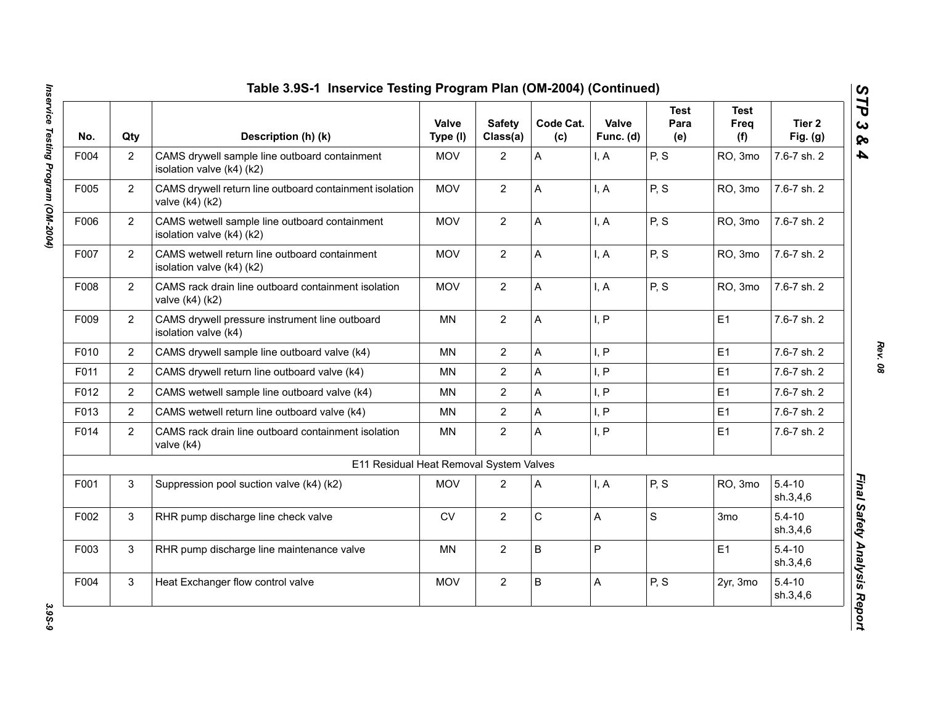| No.  | Qty            | Description (h) (k)                                                        | Valve<br>Type (I) | <b>Safety</b><br>Class(a) | Code Cat.<br>(c) | Valve<br>Func. (d) | <b>Test</b><br>Para<br>(e) | <b>Test</b><br>Freq<br>(f) | Tier 2<br>Fig. $(g)$   |
|------|----------------|----------------------------------------------------------------------------|-------------------|---------------------------|------------------|--------------------|----------------------------|----------------------------|------------------------|
| F004 | $\overline{2}$ | CAMS drywell sample line outboard containment<br>isolation valve (k4) (k2) | <b>MOV</b>        | $\overline{2}$            | A                | I, A               | P, S                       | RO, 3mo                    | 7.6-7 sh. 2            |
| F005 | $\overline{2}$ | CAMS drywell return line outboard containment isolation<br>valve (k4) (k2) | <b>MOV</b>        | $\mathbf{2}$              | А                | I, A               | P, S                       | RO, 3mo                    | 7.6-7 sh. 2            |
| F006 | $\overline{2}$ | CAMS wetwell sample line outboard containment<br>isolation valve (k4) (k2) | <b>MOV</b>        | $\overline{2}$            | A                | I, A               | P, S                       | RO, 3mo                    | 7.6-7 sh. 2            |
| F007 | $\overline{2}$ | CAMS wetwell return line outboard containment<br>isolation valve (k4) (k2) | <b>MOV</b>        | $\overline{2}$            | A                | I, A               | P, S                       | RO, 3mo                    | 7.6-7 sh. 2            |
| F008 | $\overline{2}$ | CAMS rack drain line outboard containment isolation<br>valve (k4) (k2)     | <b>MOV</b>        | $\overline{2}$            | A                | I, A               | P, S                       | RO, 3mo                    | 7.6-7 sh. 2            |
| F009 | $\overline{2}$ | CAMS drywell pressure instrument line outboard<br>isolation valve (k4)     | <b>MN</b>         | $\overline{2}$            | A                | I, P               |                            | E1                         | 7.6-7 sh. 2            |
| F010 | $\overline{2}$ | CAMS drywell sample line outboard valve (k4)                               | MN                | $\overline{2}$            | A                | I, P               |                            | E1                         | 7.6-7 sh. 2            |
| F011 | $\overline{2}$ | CAMS drywell return line outboard valve (k4)                               | MN                | $\overline{2}$            | A                | I, P               |                            | E1                         | 7.6-7 sh. 2            |
| F012 | $\overline{c}$ | CAMS wetwell sample line outboard valve (k4)                               | <b>MN</b>         | $\overline{2}$            | A                | I, P               |                            | E1                         | 7.6-7 sh. 2            |
| F013 | $\overline{2}$ | CAMS wetwell return line outboard valve (k4)                               | <b>MN</b>         | $\overline{2}$            | A                | I, P               |                            | E1                         | 7.6-7 sh. 2            |
| F014 | $\overline{2}$ | CAMS rack drain line outboard containment isolation<br>valve (k4)          | <b>MN</b>         | $\overline{2}$            | A                | I, P               |                            | E1                         | 7.6-7 sh. 2            |
|      |                | E11 Residual Heat Removal System Valves                                    |                   |                           |                  |                    |                            |                            |                        |
| F001 | 3              | Suppression pool suction valve (k4) (k2)                                   | <b>MOV</b>        | $\overline{2}$            | Α                | I, A               | P, S                       | RO, 3mo                    | $5.4 - 10$<br>sh.3,4,6 |
| F002 | 3              | RHR pump discharge line check valve                                        | <b>CV</b>         | $\overline{2}$            | C                | A                  | S                          | 3mo                        | $5.4 - 10$<br>sh.3,4,6 |
| F003 | 3              | RHR pump discharge line maintenance valve                                  | <b>MN</b>         | $\overline{2}$            | B                | P                  |                            | E1                         | $5.4 - 10$<br>sh.3,4,6 |
| F004 | 3              | Heat Exchanger flow control valve                                          | <b>MOV</b>        | $\overline{2}$            | B                | A                  | P, S                       | 2yr, 3mo                   | $5.4 - 10$<br>sh.3,4,6 |

3.9S-9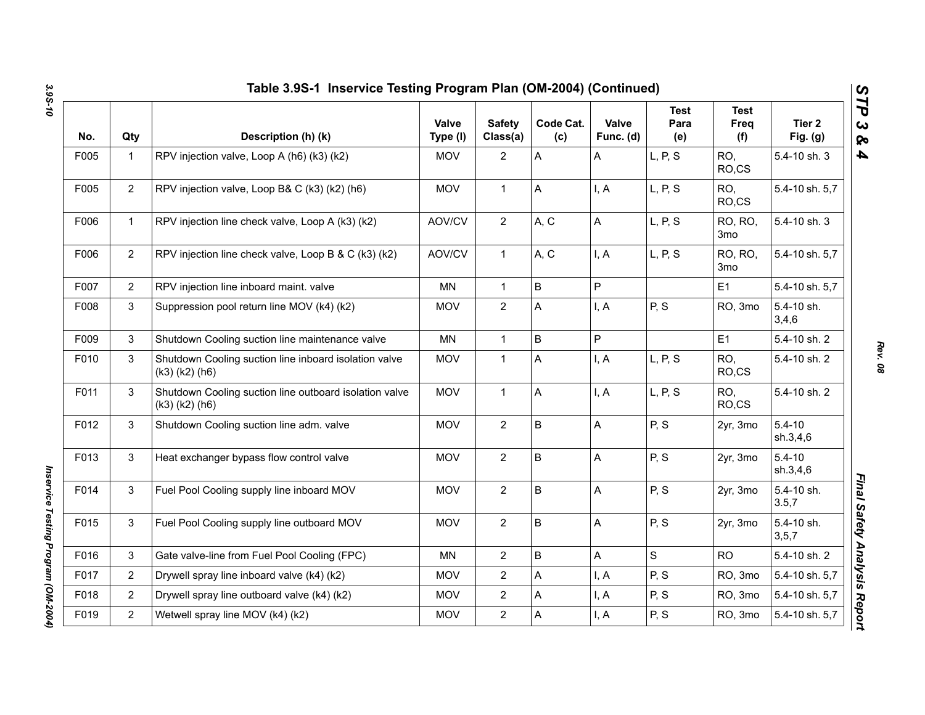| No.  | Qty            | Description (h) (k)                                                            | Valve<br>Type (I) | <b>Safety</b><br>Class(a) | Code Cat.<br>(c) | Valve<br>Func. (d) | <b>Test</b><br>Para<br>(e) | <b>Test</b><br>Freq<br>(f)        | Tier <sub>2</sub><br>Fig. $(g)$ |
|------|----------------|--------------------------------------------------------------------------------|-------------------|---------------------------|------------------|--------------------|----------------------------|-----------------------------------|---------------------------------|
| F005 | $\mathbf{1}$   | RPV injection valve, Loop A (h6) (k3) (k2)                                     | <b>MOV</b>        | $\overline{2}$            | A                | A                  | L, P, S                    | RO,<br>RO,CS                      | 5.4-10 sh. 3                    |
| F005 | $\overline{2}$ | RPV injection valve, Loop B& C (k3) (k2) (h6)                                  | <b>MOV</b>        | $\mathbf{1}$              | Α                | I, A               | L, P, S                    | RO,<br>RO,CS                      | 5.4-10 sh. 5,7                  |
| F006 | $\mathbf{1}$   | RPV injection line check valve, Loop A (k3) (k2)                               | AOV/CV            | $\overline{2}$            | A, C             | A                  | L, P, S                    | RO, RO,<br>3 <sub>mo</sub>        | 5.4-10 sh. 3                    |
| F006 | $\overline{2}$ | RPV injection line check valve, Loop B & C (k3) (k2)                           | AOV/CV            | $\mathbf{1}$              | A, C             | I, A               | L, P, S                    | <b>RO, RO,</b><br>3 <sub>mo</sub> | 5.4-10 sh. 5,7                  |
| F007 | $\overline{2}$ | RPV injection line inboard maint. valve                                        | MN                | $\mathbf{1}$              | $\sf B$          | P                  |                            | E <sub>1</sub>                    | 5.4-10 sh. 5,7                  |
| F008 | 3              | Suppression pool return line MOV (k4) (k2)                                     | <b>MOV</b>        | $\overline{2}$            | A                | I, A               | P, S                       | RO, 3mo                           | 5.4-10 sh.<br>3,4,6             |
| F009 | 3              | Shutdown Cooling suction line maintenance valve                                | <b>MN</b>         | $\mathbf{1}$              | B                | P                  |                            | E1                                | 5.4-10 sh. 2                    |
| F010 | 3              | Shutdown Cooling suction line inboard isolation valve<br>$(k3)$ $(k2)$ $(h6)$  | <b>MOV</b>        | $\mathbf{1}$              | A                | I, A               | L, P, S                    | RO,<br>RO,CS                      | 5.4-10 sh. 2                    |
| F011 | 3              | Shutdown Cooling suction line outboard isolation valve<br>$(k3)$ $(k2)$ $(h6)$ | <b>MOV</b>        | $\mathbf{1}$              | A                | I, A               | L, P, S                    | RO,<br>RO,CS                      | 5.4-10 sh. 2                    |
| F012 | 3              | Shutdown Cooling suction line adm. valve                                       | <b>MOV</b>        | $\overline{2}$            | $\sf B$          | A                  | P, S                       | 2yr, 3mo                          | $5.4 - 10$<br>sh.3,4,6          |
| F013 | 3              | Heat exchanger bypass flow control valve                                       | <b>MOV</b>        | $\overline{2}$            | $\mathsf B$      | A                  | P, S                       | 2yr, 3mo                          | $5.4 - 10$<br>sh.3,4,6          |
| F014 | 3              | Fuel Pool Cooling supply line inboard MOV                                      | <b>MOV</b>        | $\overline{2}$            | $\sf B$          | A                  | P, S                       | 2yr, 3mo                          | 5.4-10 sh.<br>3.5,7             |
| F015 | 3              | Fuel Pool Cooling supply line outboard MOV                                     | <b>MOV</b>        | $\overline{2}$            | $\mathsf B$      | A                  | P, S                       | 2yr, 3mo                          | 5.4-10 sh.<br>3, 5, 7           |
| F016 | 3              | Gate valve-line from Fuel Pool Cooling (FPC)                                   | <b>MN</b>         | $\overline{2}$            | B                | Α                  | S                          | <b>RO</b>                         | 5.4-10 sh. 2                    |
| F017 | $\overline{2}$ | Drywell spray line inboard valve (k4) (k2)                                     | <b>MOV</b>        | $\overline{2}$            | A                | I, A               | P, S                       | RO, 3mo                           | 5.4-10 sh. 5,7                  |
| F018 | $\overline{2}$ | Drywell spray line outboard valve (k4) (k2)                                    | <b>MOV</b>        | $\overline{2}$            | A                | I, A               | P, S                       | RO, 3mo                           | 5.4-10 sh. 5,7                  |
| F019 | $\overline{2}$ | Wetwell spray line MOV (k4) (k2)                                               | <b>MOV</b>        | $\overline{2}$            | A                | I, A               | P, S                       | RO, 3mo                           | 5.4-10 sh. 5,7                  |

*Rev. 08*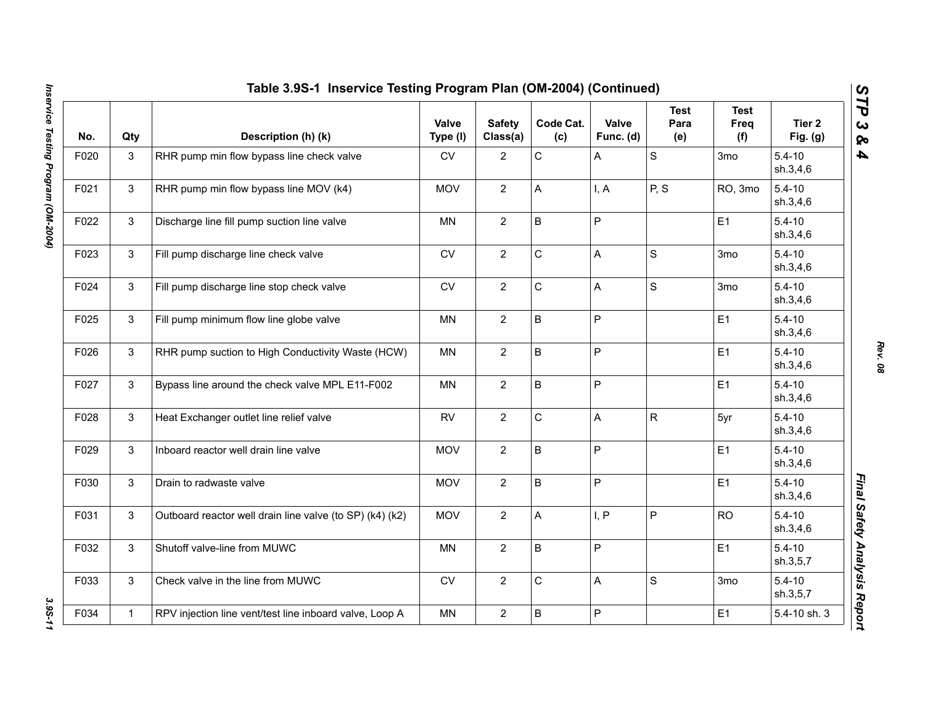|      |              | Table 3.9S-1 Inservice Testing Program Plan (OM-2004) (Continued) |                   |                           |                  |                    |                            |                            |                        |
|------|--------------|-------------------------------------------------------------------|-------------------|---------------------------|------------------|--------------------|----------------------------|----------------------------|------------------------|
| No.  | Qty          | Description (h) (k)                                               | Valve<br>Type (I) | <b>Safety</b><br>Class(a) | Code Cat.<br>(c) | Valve<br>Func. (d) | <b>Test</b><br>Para<br>(e) | <b>Test</b><br>Freq<br>(f) | Tier 2<br>Fig. (g)     |
| F020 | 3            | RHR pump min flow bypass line check valve                         | CV                | $\overline{2}$            | C                | A                  | $\mathbf S$                | 3 <sub>mo</sub>            | $5.4 - 10$<br>sh.3,4,6 |
| F021 | $\mathbf{3}$ | RHR pump min flow bypass line MOV (k4)                            | <b>MOV</b>        | $\overline{2}$            | A                | I, A               | P, S                       | RO, 3mo                    | $5.4 - 10$<br>sh.3,4,6 |
| F022 | $\mathbf{3}$ | Discharge line fill pump suction line valve                       | <b>MN</b>         | $\overline{2}$            | $\sf B$          | P                  |                            | E1                         | $5.4 - 10$<br>sh.3,4,6 |
| F023 | 3            | Fill pump discharge line check valve                              | <b>CV</b>         | $\overline{2}$            | C                | A                  | S                          | 3 <sub>mo</sub>            | $5.4 - 10$<br>sh.3,4,6 |
| F024 | 3            | Fill pump discharge line stop check valve                         | CV                | $\overline{2}$            | C                | A                  | $\mathbf S$                | 3 <sub>mo</sub>            | $5.4 - 10$<br>sh.3,4,6 |
| F025 | 3            | Fill pump minimum flow line globe valve                           | <b>MN</b>         | $\overline{2}$            | $\sf B$          | $\mathsf{P}$       |                            | E1                         | $5.4 - 10$<br>sh.3,4,6 |
| F026 | 3            | RHR pump suction to High Conductivity Waste (HCW)                 | MN                | $\overline{2}$            | B                | P                  |                            | E1                         | $5.4 - 10$<br>sh.3,4,6 |
| F027 | 3            | Bypass line around the check valve MPL E11-F002                   | <b>MN</b>         | $\overline{2}$            | B                | P                  |                            | E1                         | $5.4 - 10$<br>sh.3,4,6 |
| F028 | 3            | Heat Exchanger outlet line relief valve                           | <b>RV</b>         | $\overline{2}$            | C                | A                  | ${\sf R}$                  | 5yr                        | $5.4 - 10$<br>sh.3,4,6 |
| F029 | $\mathbf{3}$ | Inboard reactor well drain line valve                             | <b>MOV</b>        | $\overline{2}$            | $\sf B$          | P                  |                            | E <sub>1</sub>             | $5.4 - 10$<br>sh.3,4,6 |
| F030 | 3            | Drain to radwaste valve                                           | <b>MOV</b>        | $\overline{2}$            | B                | P                  |                            | E1                         | $5.4 - 10$<br>sh.3,4,6 |
| F031 | $\mathbf{3}$ | Outboard reactor well drain line valve (to SP) (k4) (k2)          | <b>MOV</b>        | $\overline{2}$            | A                | I, P               | $\mathsf{P}$               | <b>RO</b>                  | $5.4 - 10$<br>sh.3,4,6 |
| F032 | $\mathbf{3}$ | Shutoff valve-line from MUWC                                      | <b>MN</b>         | $\overline{2}$            | B                | P                  |                            | E <sub>1</sub>             | $5.4 - 10$<br>sh.3,5,7 |
| F033 | $\mathbf{3}$ | Check valve in the line from MUWC                                 | CV                | $\overline{2}$            | C                | A                  | $\mathbf S$                | 3mo                        | $5.4 - 10$<br>sh.3,5,7 |
| F034 | $\mathbf{1}$ | RPV injection line vent/test line inboard valve, Loop A           | <b>MN</b>         | $\overline{2}$            | $\sf B$          | P                  |                            | E1                         | 5.4-10 sh. 3           |

3.95-11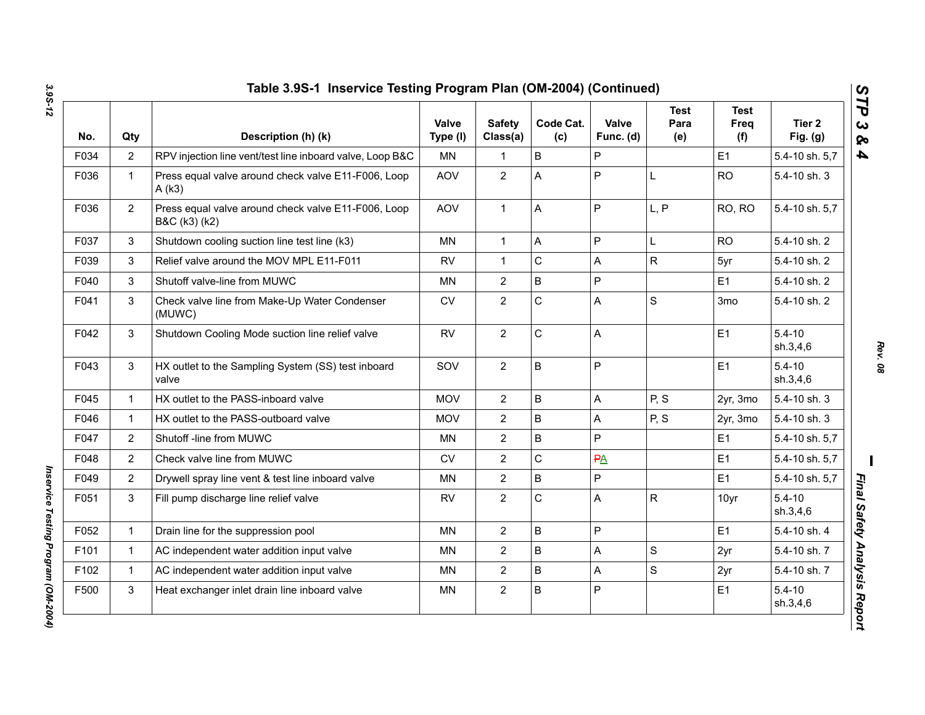| No.  | Qty            | Description (h) (k)                                                  | Valve<br>Type (I) | <b>Safety</b><br>Class(a) | Code Cat.<br>(c) | Valve<br>Func. (d) | <b>Test</b><br>Para<br>(e) | <b>Test</b><br>Freq<br>(f) | Tier <sub>2</sub><br>Fig. (g) |
|------|----------------|----------------------------------------------------------------------|-------------------|---------------------------|------------------|--------------------|----------------------------|----------------------------|-------------------------------|
| F034 | $\overline{2}$ | RPV injection line vent/test line inboard valve, Loop B&C            | <b>MN</b>         | 1                         | B                | P                  |                            | E1                         | 5.4-10 sh. 5,7                |
| F036 | $\mathbf{1}$   | Press equal valve around check valve E11-F006, Loop<br>A(k3)         | <b>AOV</b>        | $\overline{2}$            | Α                | P                  | L                          | <b>RO</b>                  | 5.4-10 sh. 3                  |
| F036 | $\overline{2}$ | Press equal valve around check valve E11-F006, Loop<br>B&C (k3) (k2) | <b>AOV</b>        | $\mathbf{1}$              | A                | $\mathsf{P}$       | L, P                       | RO, RO                     | 5.4-10 sh. 5,7                |
| F037 | 3              | Shutdown cooling suction line test line (k3)                         | MN                | $\mathbf{1}$              | A                | P                  | L                          | <b>RO</b>                  | 5.4-10 sh. 2                  |
| F039 | 3              | Relief valve around the MOV MPL E11-F011                             | <b>RV</b>         | 1                         | C                | A                  | R                          | 5yr                        | 5.4-10 sh. 2                  |
| F040 | 3              | Shutoff valve-line from MUWC                                         | MN                | $\overline{2}$            | B                | $\mathsf{P}$       |                            | E1                         | 5.4-10 sh. 2                  |
| F041 | 3              | Check valve line from Make-Up Water Condenser<br>(MUWC)              | CV                | $\overline{2}$            | C                | A                  | S                          | 3 <sub>mo</sub>            | 5.4-10 sh. 2                  |
| F042 | 3              | Shutdown Cooling Mode suction line relief valve                      | <b>RV</b>         | $\overline{2}$            | C                | A                  |                            | E <sub>1</sub>             | $5.4 - 10$<br>sh.3,4,6        |
| F043 | 3              | HX outlet to the Sampling System (SS) test inboard<br>valve          | SOV               | $\overline{2}$            | B                | P                  |                            | E1                         | $5.4 - 10$<br>sh.3,4,6        |
| F045 | $\mathbf{1}$   | HX outlet to the PASS-inboard valve                                  | <b>MOV</b>        | $\overline{2}$            | B                | A                  | P, S                       | 2yr, 3mo                   | 5.4-10 sh. 3                  |
| F046 | $\mathbf{1}$   | HX outlet to the PASS-outboard valve                                 | <b>MOV</b>        | $\overline{2}$            | B                | A                  | P, S                       | 2yr, 3mo                   | 5.4-10 sh. 3                  |
| F047 | $\overline{2}$ | Shutoff -line from MUWC                                              | <b>MN</b>         | $\overline{2}$            | B                | P                  |                            | E1                         | 5.4-10 sh. 5,7                |
| F048 | $\overline{2}$ | Check valve line from MUWC                                           | <b>CV</b>         | $\overline{2}$            | C                | PA                 |                            | E1                         | 5.4-10 sh. 5,7                |
| F049 | $\overline{2}$ | Drywell spray line vent & test line inboard valve                    | MN                | $\overline{2}$            | B                | P                  |                            | E1                         | 5.4-10 sh. 5,7                |
| F051 | 3              | Fill pump discharge line relief valve                                | <b>RV</b>         | $\overline{2}$            | C                | A                  | R                          | 10yr                       | $5.4 - 10$<br>sh.3,4,6        |
| F052 | $\mathbf{1}$   | Drain line for the suppression pool                                  | <b>MN</b>         | $\overline{2}$            | B                | P                  |                            | E1                         | 5.4-10 sh. 4                  |
| F101 | $\mathbf{1}$   | AC independent water addition input valve                            | <b>MN</b>         | $\overline{2}$            | B                | $\mathsf{A}$       | S                          | 2yr                        | 5.4-10 sh. 7                  |
| F102 | $\mathbf{1}$   | AC independent water addition input valve                            | <b>MN</b>         | $\overline{2}$            | B                | A                  | S                          | 2yr                        | 5.4-10 sh. 7                  |
| F500 | 3              | Heat exchanger inlet drain line inboard valve                        | MN                | $\overline{c}$            | B                | ${\sf P}$          |                            | E <sub>1</sub>             | $5.4 - 10$<br>sh.3,4,6        |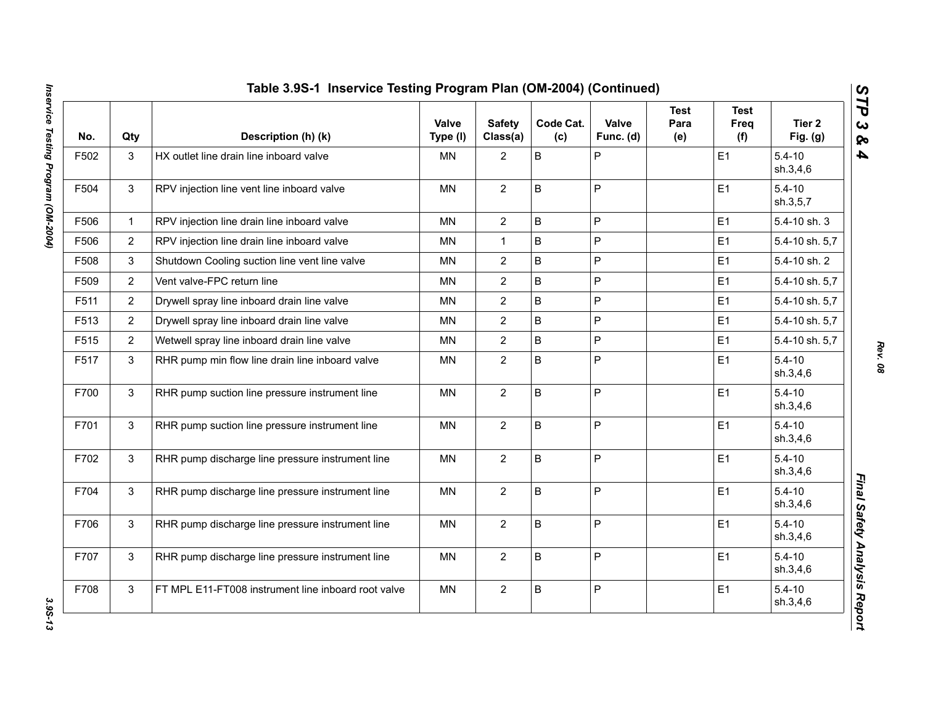| No.  | Qty            | Description (h) (k)                                 | Valve<br>Type (I) | <b>Safety</b><br>Class(a) | Code Cat.<br>(c) | Valve<br>Func. (d) | <b>Test</b><br>Para<br>(e) | <b>Test</b><br>Freq<br>(f) | Tier <sub>2</sub><br>Fig. $(g)$ |
|------|----------------|-----------------------------------------------------|-------------------|---------------------------|------------------|--------------------|----------------------------|----------------------------|---------------------------------|
| F502 | 3              | HX outlet line drain line inboard valve             | MN                | $\overline{2}$            | B                | $\mathsf{P}$       |                            | E <sub>1</sub>             | $5.4 - 10$<br>sh.3,4,6          |
| F504 | 3              | RPV injection line vent line inboard valve          | MN                | $\overline{2}$            | B                | P                  |                            | E1                         | $5.4 - 10$<br>sh.3,5,7          |
| F506 | $\mathbf{1}$   | RPV injection line drain line inboard valve         | <b>MN</b>         | $\overline{2}$            | B                | P                  |                            | E1                         | 5.4-10 sh. 3                    |
| F506 | $\overline{2}$ | RPV injection line drain line inboard valve         | <b>MN</b>         | $\mathbf{1}$              | B                | P                  |                            | E1                         | 5.4-10 sh. 5,7                  |
| F508 | 3              | Shutdown Cooling suction line vent line valve       | <b>MN</b>         | $\overline{2}$            | B                | $\mathsf{P}$       |                            | E1                         | 5.4-10 sh. 2                    |
| F509 | $\overline{2}$ | Vent valve-FPC return line                          | <b>MN</b>         | $\overline{2}$            | B                | P                  |                            | E <sub>1</sub>             | 5.4-10 sh. 5,7                  |
| F511 | $\overline{2}$ | Drywell spray line inboard drain line valve         | <b>MN</b>         | $\overline{2}$            | B                | P                  |                            | E1                         | 5.4-10 sh. 5,7                  |
| F513 | $\overline{2}$ | Drywell spray line inboard drain line valve         | <b>MN</b>         | $\overline{2}$            | B                | $\mathsf{P}$       |                            | E1                         | 5.4-10 sh. 5,7                  |
| F515 | $\overline{2}$ | Wetwell spray line inboard drain line valve         | <b>MN</b>         | $\overline{2}$            | B                | P                  |                            | E1                         | 5.4-10 sh. 5,7                  |
| F517 | 3              | RHR pump min flow line drain line inboard valve     | <b>MN</b>         | $\overline{2}$            | B                | P                  |                            | E1                         | $5.4 - 10$<br>sh.3,4,6          |
| F700 | $\mathfrak{S}$ | RHR pump suction line pressure instrument line      | MN                | $\overline{2}$            | B                | P                  |                            | E1                         | $5.4 - 10$<br>sh.3,4,6          |
| F701 | 3              | RHR pump suction line pressure instrument line      | <b>MN</b>         | $\overline{2}$            | B                | $\mathsf{P}$       |                            | E1                         | $5.4 - 10$<br>sh.3,4,6          |
| F702 | 3              | RHR pump discharge line pressure instrument line    | <b>MN</b>         | $\overline{2}$            | B                | P                  |                            | E1                         | $5.4 - 10$<br>sh.3,4,6          |
| F704 | 3              | RHR pump discharge line pressure instrument line    | MN                | $\mathbf{2}$              | B                | P                  |                            | E <sub>1</sub>             | $5.4 - 10$<br>sh.3,4,6          |
| F706 | 3              | RHR pump discharge line pressure instrument line    | MN                | $\overline{2}$            | B                | P                  |                            | E1                         | $5.4 - 10$<br>sh.3,4,6          |
| F707 | 3              | RHR pump discharge line pressure instrument line    | <b>MN</b>         | $\overline{2}$            | B                | P                  |                            | E1                         | $5.4 - 10$<br>sh.3,4,6          |
| F708 | 3              | FT MPL E11-FT008 instrument line inboard root valve | MN                | $\overline{2}$            | B                | $\mathsf{P}$       |                            | E1                         | $5.4 - 10$<br>sh.3,4,6          |

3.95-13

*Rev. 08*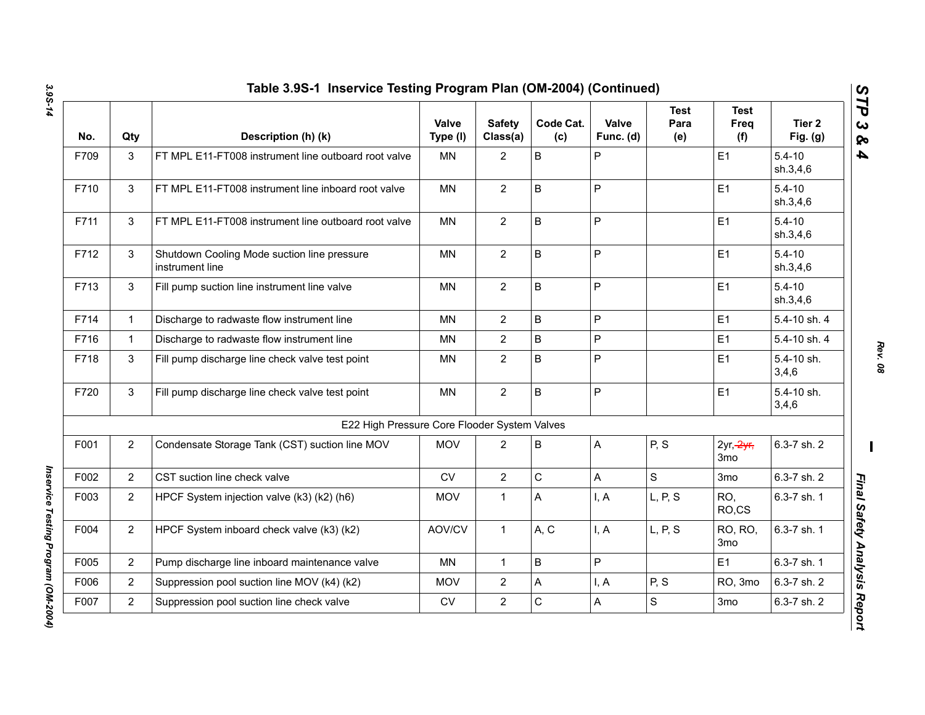| No.  | Qty            | Description (h) (k)                                            | Valve<br>Type (I) | <b>Safety</b><br>Class(a) | Code Cat.<br>(c) | Valve<br>Func. (d) | <b>Test</b><br>Para<br>(e) | <b>Test</b><br>Freq<br>(f)  | Tier 2<br>Fig. $(g)$   |
|------|----------------|----------------------------------------------------------------|-------------------|---------------------------|------------------|--------------------|----------------------------|-----------------------------|------------------------|
| F709 | 3              | FT MPL E11-FT008 instrument line outboard root valve           | MN                | $\overline{2}$            | B                | P                  |                            | E <sub>1</sub>              | $5.4 - 10$<br>sh.3,4,6 |
| F710 | 3              | FT MPL E11-FT008 instrument line inboard root valve            | <b>MN</b>         | $\overline{2}$            | B                | $\mathsf{P}$       |                            | E1                          | $5.4 - 10$<br>sh.3,4,6 |
| F711 | 3              | FT MPL E11-FT008 instrument line outboard root valve           | <b>MN</b>         | $\overline{2}$            | B                | $\mathsf{P}$       |                            | E1                          | $5.4 - 10$<br>sh.3,4,6 |
| F712 | 3              | Shutdown Cooling Mode suction line pressure<br>instrument line | <b>MN</b>         | $\overline{2}$            | B                | $\mathsf{P}$       |                            | E1                          | $5.4 - 10$<br>sh.3,4,6 |
| F713 | 3              | Fill pump suction line instrument line valve                   | <b>MN</b>         | $\overline{2}$            | B                | $\mathsf{P}$       |                            | E1                          | $5.4 - 10$<br>sh.3,4,6 |
| F714 | $\mathbf{1}$   | Discharge to radwaste flow instrument line                     | MN                | $\overline{2}$            | B                | P                  |                            | E <sub>1</sub>              | 5.4-10 sh. 4           |
| F716 | $\mathbf{1}$   | Discharge to radwaste flow instrument line                     | ΜN                | $\overline{2}$            | B                | $\sf P$            |                            | E1                          | 5.4-10 sh. 4           |
| F718 | 3              | Fill pump discharge line check valve test point                | MN                | $\overline{2}$            | B                | P                  |                            | E1                          | 5.4-10 sh.<br>3,4,6    |
| F720 | 3              | Fill pump discharge line check valve test point                | <b>MN</b>         | $\overline{2}$            | B                | P                  |                            | E1                          | 5.4-10 sh.<br>3,4,6    |
|      |                | E22 High Pressure Core Flooder System Valves                   |                   |                           |                  |                    |                            |                             |                        |
| F001 | $\overline{2}$ | Condensate Storage Tank (CST) suction line MOV                 | <b>MOV</b>        | 2                         | B                | A                  | P, S                       | $2yr, \frac{2yr}{r}$<br>3mo | 6.3-7 sh. 2            |
| F002 | $\overline{2}$ | CST suction line check valve                                   | CV                | $\overline{2}$            | $\mathsf C$      | A                  | S                          | 3 <sub>mo</sub>             | 6.3-7 sh. 2            |
| F003 | $\overline{2}$ | HPCF System injection valve (k3) (k2) (h6)                     | <b>MOV</b>        | $\mathbf{1}$              | A                | I, A               | L, P, S                    | RO,<br>RO.CS                | 6.3-7 sh. 1            |
| F004 | $\overline{2}$ | HPCF System inboard check valve (k3) (k2)                      | AOV/CV            | $\mathbf{1}$              | A, C             | I, A               | L, P, S                    | RO, RO,<br>3 <sub>mo</sub>  | 6.3-7 sh. 1            |
| F005 | $\overline{2}$ | Pump discharge line inboard maintenance valve                  | <b>MN</b>         | $\mathbf{1}$              | B                | P                  |                            | E1                          | 6.3-7 sh. 1            |
| F006 | $\overline{2}$ | Suppression pool suction line MOV (k4) (k2)                    | <b>MOV</b>        | $\overline{2}$            | А                | I, A               | P, S                       | RO, 3mo                     | 6.3-7 sh. 2            |
| F007 | $\overline{2}$ | Suppression pool suction line check valve                      | CV                | $\overline{2}$            | C                | A                  | S                          | 3 <sub>mo</sub>             | 6.3-7 sh. 2            |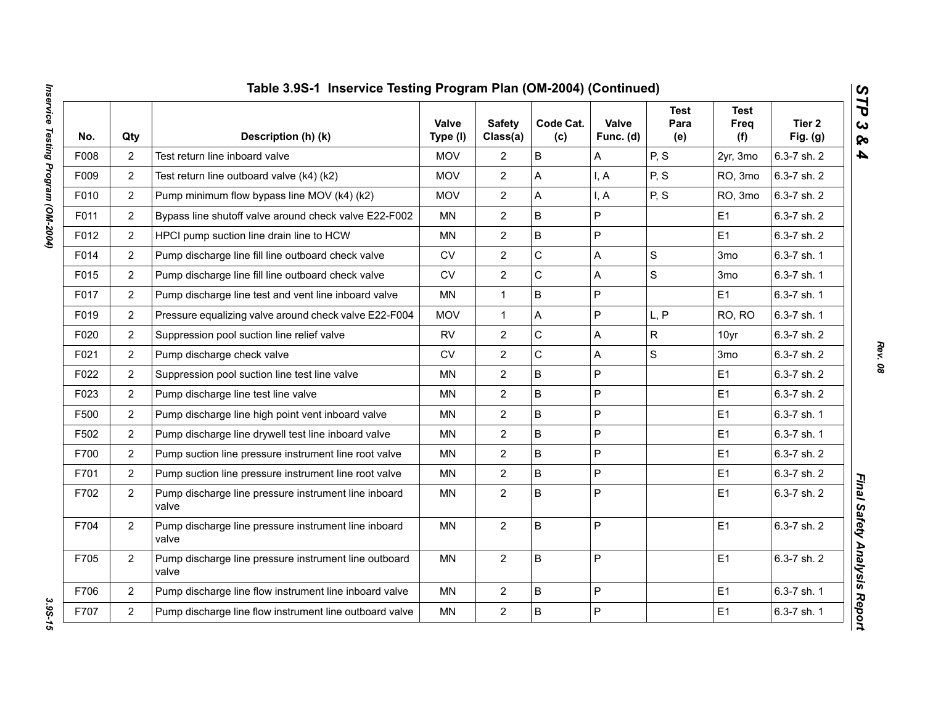|      |                | Table 3.9S-1 Inservice Testing Program Plan (OM-2004) (Continued) |                   |                           |                  |                    |                            |                            |                      |
|------|----------------|-------------------------------------------------------------------|-------------------|---------------------------|------------------|--------------------|----------------------------|----------------------------|----------------------|
| No.  | Qty            | Description (h) (k)                                               | Valve<br>Type (I) | <b>Safety</b><br>Class(a) | Code Cat.<br>(c) | Valve<br>Func. (d) | <b>Test</b><br>Para<br>(e) | <b>Test</b><br>Freq<br>(f) | Tier 2<br>Fig. $(g)$ |
| F008 | $\overline{2}$ | Test return line inboard valve                                    | <b>MOV</b>        | $\overline{2}$            | B                | Α                  | P, S                       | 2yr, 3mo                   | 6.3-7 sh. 2          |
| F009 | $\overline{2}$ | Test return line outboard valve (k4) (k2)                         | <b>MOV</b>        | $\overline{2}$            | A                | I, A               | P, S                       | RO, 3mo                    | 6.3-7 sh. 2          |
| F010 | $\overline{2}$ | Pump minimum flow bypass line MOV (k4) (k2)                       | <b>MOV</b>        | $\overline{2}$            | A                | I, A               | P, S                       | RO, 3mo                    | 6.3-7 sh. 2          |
| F011 | $\overline{2}$ | Bypass line shutoff valve around check valve E22-F002             | MN                | $\overline{2}$            | B                | P                  |                            | E1                         | 6.3-7 sh. 2          |
| F012 | $\overline{2}$ | HPCI pump suction line drain line to HCW                          | <b>MN</b>         | $\overline{2}$            | B                | P                  |                            | E1                         | 6.3-7 sh. 2          |
| F014 | $\overline{2}$ | Pump discharge line fill line outboard check valve                | <b>CV</b>         | $\overline{2}$            | $\mathsf{C}$     | A                  | S                          | 3mo                        | 6.3-7 sh. 1          |
| F015 | $\overline{2}$ | Pump discharge line fill line outboard check valve                | <b>CV</b>         | $\overline{2}$            | C                | A                  | $\mathbf S$                | 3mo                        | 6.3-7 sh. 1          |
| F017 | $\overline{2}$ | Pump discharge line test and vent line inboard valve              | <b>MN</b>         | $\mathbf{1}$              | B                | P                  |                            | E1                         | 6.3-7 sh. 1          |
| F019 | $\overline{2}$ | Pressure equalizing valve around check valve E22-F004             | <b>MOV</b>        | $\mathbf{1}$              | A                | P                  | L, P                       | RO, RO                     | 6.3-7 sh. 1          |
| F020 | $\overline{2}$ | Suppression pool suction line relief valve                        | <b>RV</b>         | $\mathbf{2}$              | C                | A                  | R                          | 10yr                       | 6.3-7 sh. 2          |
| F021 | $\overline{2}$ | Pump discharge check valve                                        | <b>CV</b>         | $\mathbf{2}$              | C                | A                  | S                          | 3mo                        | 6.3-7 sh. 2          |
| F022 | 2              | Suppression pool suction line test line valve                     | <b>MN</b>         | $\overline{2}$            | $\overline{B}$   | P                  |                            | E1                         | 6.3-7 sh. 2          |
| F023 | $\overline{2}$ | Pump discharge line test line valve                               | <b>MN</b>         | $\overline{2}$            | B                | P                  |                            | E1                         | 6.3-7 sh. 2          |
| F500 | $\overline{2}$ | Pump discharge line high point vent inboard valve                 | MN                | $\overline{2}$            | B                | P                  |                            | E1                         | 6.3-7 sh. 1          |
| F502 | 2              | Pump discharge line drywell test line inboard valve               | <b>MN</b>         | $\overline{2}$            | B                | P                  |                            | E <sub>1</sub>             | 6.3-7 sh. 1          |
| F700 | $\overline{2}$ | Pump suction line pressure instrument line root valve             | MN                | $\mathbf{2}$              | B                | P                  |                            | E1                         | 6.3-7 sh. 2          |
| F701 | $\overline{2}$ | Pump suction line pressure instrument line root valve             | <b>MN</b>         | $\mathbf{2}$              | B                | P                  |                            | E1                         | 6.3-7 sh. 2          |
| F702 | $\overline{2}$ | Pump discharge line pressure instrument line inboard<br>valve     | MN                | $\overline{2}$            | B                | P                  |                            | E1                         | 6.3-7 sh. 2          |
| F704 | $\overline{2}$ | Pump discharge line pressure instrument line inboard<br>valve     | <b>MN</b>         | $\overline{2}$            | B                | P                  |                            | E1                         | 6.3-7 sh. 2          |
| F705 | $\overline{2}$ | Pump discharge line pressure instrument line outboard<br>valve    | <b>MN</b>         | $\mathbf{2}$              | B                | P                  |                            | E1                         | 6.3-7 sh. 2          |
| F706 | 2              | Pump discharge line flow instrument line inboard valve            | <b>MN</b>         | $\overline{2}$            | B                | P                  |                            | E1                         | 6.3-7 sh. 1          |
| F707 | $\overline{2}$ | Pump discharge line flow instrument line outboard valve           | <b>MN</b>         | $\mathbf{2}$              | B                | P                  |                            | E1                         | 6.3-7 sh. 1          |

3.95-15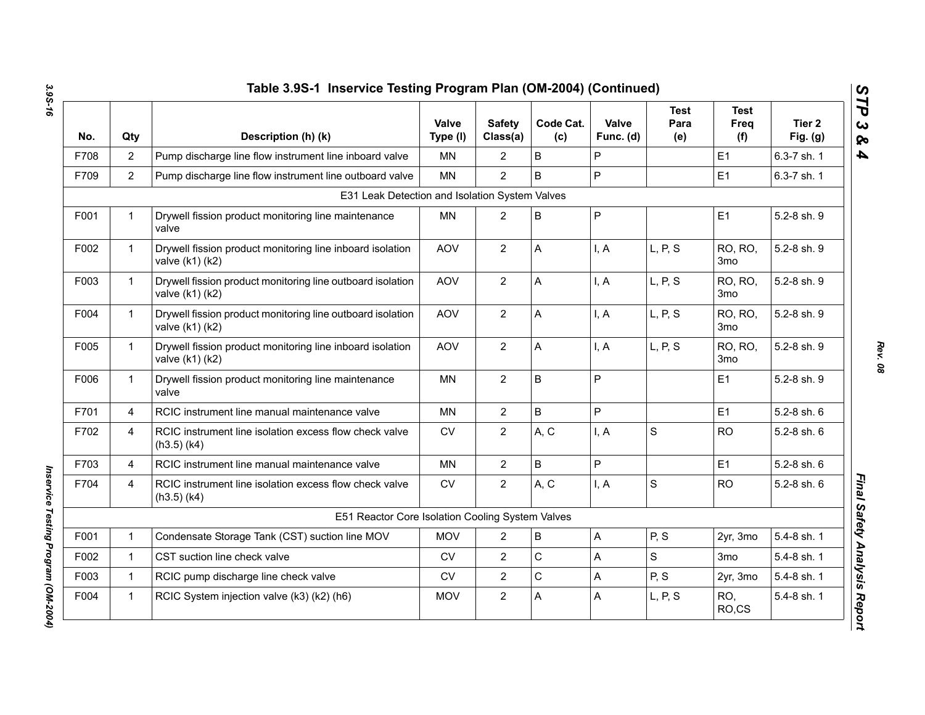| No.  | Qty            | Description (h) (k)                                                           | Valve<br>Type (I) | <b>Safety</b><br>Class(a) | Code Cat.<br>(c) | Valve<br>Func. (d) | <b>Test</b><br>Para<br>(e) | <b>Test</b><br>Freq<br>(f) | Tier <sub>2</sub><br>Fig. $(g)$ |
|------|----------------|-------------------------------------------------------------------------------|-------------------|---------------------------|------------------|--------------------|----------------------------|----------------------------|---------------------------------|
| F708 | 2              | Pump discharge line flow instrument line inboard valve                        | <b>MN</b>         | $\overline{2}$            | B                | P                  |                            | E1                         | 6.3-7 sh. 1                     |
| F709 | 2              | Pump discharge line flow instrument line outboard valve                       | MN                | $\overline{2}$            | B                | $\overline{P}$     |                            | E1                         | 6.3-7 sh. 1                     |
|      |                | E31 Leak Detection and Isolation System Valves                                |                   |                           |                  |                    |                            |                            |                                 |
| F001 | $\mathbf 1$    | Drywell fission product monitoring line maintenance<br>valve                  | MN                | $\overline{2}$            | B                | P                  |                            | E1                         | 5.2-8 sh. 9                     |
| F002 | $\mathbf{1}$   | Drywell fission product monitoring line inboard isolation<br>valve (k1) (k2)  | AOV               | $\overline{2}$            | A                | I, A               | L, P, S                    | RO, RO,<br>3 <sub>mo</sub> | 5.2-8 sh. 9                     |
| F003 | $\mathbf{1}$   | Drywell fission product monitoring line outboard isolation<br>valve (k1) (k2) | AOV               | $\overline{2}$            | A                | I, A               | L, P, S                    | RO, RO,<br>3 <sub>mo</sub> | 5.2-8 sh. 9                     |
| F004 | $\mathbf{1}$   | Drywell fission product monitoring line outboard isolation<br>valve (k1) (k2) | AOV               | $\mathbf{2}$              | A                | I, A               | L, P, S                    | RO, RO,<br>3 <sub>mo</sub> | 5.2-8 sh. 9                     |
| F005 | $\mathbf{1}$   | Drywell fission product monitoring line inboard isolation<br>valve (k1) (k2)  | AOV               | $\mathbf{2}$              | А                | I, A               | L, P, S                    | RO, RO,<br>3 <sub>mo</sub> | 5.2-8 sh. 9                     |
| F006 | $\mathbf{1}$   | Drywell fission product monitoring line maintenance<br>valve                  | <b>MN</b>         | $\overline{2}$            | B                | P                  |                            | E1                         | 5.2-8 sh. 9                     |
| F701 | $\overline{4}$ | RCIC instrument line manual maintenance valve                                 | <b>MN</b>         | $\overline{2}$            | B                | P                  |                            | E1                         | 5.2-8 sh. 6                     |
| F702 | $\overline{4}$ | RCIC instrument line isolation excess flow check valve<br>$(h3.5)$ $(k4)$     | <b>CV</b>         | $\overline{2}$            | A, C             | I, A               | $\mathsf S$                | <b>RO</b>                  | 5.2-8 sh. 6                     |
| F703 | $\overline{4}$ | RCIC instrument line manual maintenance valve                                 | <b>MN</b>         | $\overline{2}$            | B                | P                  |                            | E1                         | 5.2-8 sh. 6                     |
| F704 | 4              | RCIC instrument line isolation excess flow check valve<br>$(h3.5)$ (k4)       | <b>CV</b>         | $\overline{2}$            | A, C             | I, A               | $\mathbf S$                | <b>RO</b>                  | 5.2-8 sh. 6                     |
|      |                | E51 Reactor Core Isolation Cooling System Valves                              |                   |                           |                  |                    |                            |                            |                                 |
| F001 | 1              | Condensate Storage Tank (CST) suction line MOV                                | <b>MOV</b>        | 2                         | B                | Α                  | P, S                       | 2yr, 3mo                   | 5.4-8 sh. 1                     |
| F002 | $\mathbf 1$    | CST suction line check valve                                                  | <b>CV</b>         | $\overline{2}$            | C                | Α                  | $\mathsf{s}$               | 3 <sub>mo</sub>            | 5.4-8 sh. 1                     |
| F003 | $\mathbf 1$    | RCIC pump discharge line check valve                                          | CV                | $\overline{2}$            | C                | Α                  | P, S                       | 2yr, 3mo                   | 5.4-8 sh. 1                     |
| F004 | 1              | RCIC System injection valve (k3) (k2) (h6)                                    | <b>MOV</b>        | $\mathbf{2}$              | A                | A                  | L, P, S                    | RO,<br>RO,CS               | 5.4-8 sh. 1                     |

*Inservice Testing Program (OM-2004)* 

Inservice Testing Program (OM-2004)

*Rev. 08*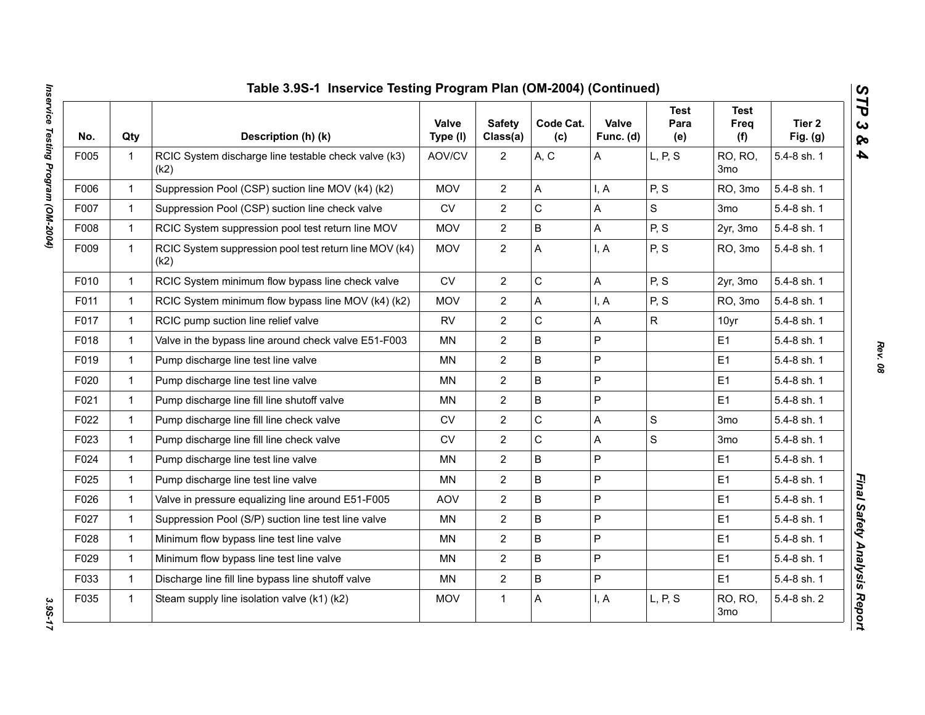|      |              | Table 3.9S-1 Inservice Testing Program Plan (OM-2004) (Continued) |                   |                           |                  |                    |                            |                            |                      |
|------|--------------|-------------------------------------------------------------------|-------------------|---------------------------|------------------|--------------------|----------------------------|----------------------------|----------------------|
| No.  | Qty          | Description (h) (k)                                               | Valve<br>Type (I) | <b>Safety</b><br>Class(a) | Code Cat.<br>(c) | Valve<br>Func. (d) | <b>Test</b><br>Para<br>(e) | <b>Test</b><br>Freq<br>(f) | Tier 2<br>Fig. $(g)$ |
| F005 | $\mathbf{1}$ | RCIC System discharge line testable check valve (k3)<br>(k2)      | AOV/CV            | $\overline{2}$            | A, C             | Α                  | L, P, S                    | RO, RO,<br>3 <sub>mo</sub> | 5.4-8 sh. 1          |
| F006 | $\mathbf{1}$ | Suppression Pool (CSP) suction line MOV (k4) (k2)                 | <b>MOV</b>        | $\overline{2}$            | Α                | I, A               | P, S                       | RO, 3mo                    | 5.4-8 sh. 1          |
| F007 | $\mathbf{1}$ | Suppression Pool (CSP) suction line check valve                   | <b>CV</b>         | $\overline{2}$            | C                | A                  | S                          | 3mo                        | 5.4-8 sh. 1          |
| F008 | $\mathbf{1}$ | RCIC System suppression pool test return line MOV                 | <b>MOV</b>        | 2                         | B                | A                  | P, S                       | 2yr, 3mo                   | 5.4-8 sh. 1          |
| F009 | $\mathbf{1}$ | RCIC System suppression pool test return line MOV (k4)<br>(k2)    | <b>MOV</b>        | $\overline{2}$            | A                | I, A               | P, S                       | RO, 3mo                    | 5.4-8 sh. 1          |
| F010 | $\mathbf{1}$ | RCIC System minimum flow bypass line check valve                  | ${\sf CV}$        | $\overline{2}$            | C                | A                  | P, S                       | 2yr, 3mo                   | 5.4-8 sh. 1          |
| F011 | $\mathbf{1}$ | RCIC System minimum flow bypass line MOV (k4) (k2)                | <b>MOV</b>        | $\overline{2}$            | A                | I, A               | P, S                       | RO, 3mo                    | 5.4-8 sh. 1          |
| F017 | $\mathbf{1}$ | RCIC pump suction line relief valve                               | <b>RV</b>         | $\overline{2}$            | C                | A                  | $\mathsf{R}$               | 10yr                       | 5.4-8 sh. 1          |
| F018 | $\mathbf{1}$ | Valve in the bypass line around check valve E51-F003              | <b>MN</b>         | $\overline{2}$            | B                | $\mathsf{P}$       |                            | E1                         | 5.4-8 sh. 1          |
| F019 | $\mathbf{1}$ | Pump discharge line test line valve                               | <b>MN</b>         | $\overline{2}$            | B                | $\overline{P}$     |                            | E1                         | 5.4-8 sh. 1          |
| F020 | $\mathbf{1}$ | Pump discharge line test line valve                               | <b>MN</b>         | $\overline{2}$            | B                | P                  |                            | E1                         | 5.4-8 sh. 1          |
| F021 | $\mathbf{1}$ | Pump discharge line fill line shutoff valve                       | <b>MN</b>         | $\overline{2}$            | B                | P                  |                            | E1                         | 5.4-8 sh. 1          |
| F022 | $\mathbf{1}$ | Pump discharge line fill line check valve                         | <b>CV</b>         | $\overline{2}$            | C                | A                  | S                          | 3 <sub>mo</sub>            | 5.4-8 sh. 1          |
| F023 | $\mathbf{1}$ | Pump discharge line fill line check valve                         | ${\sf CV}$        | $\overline{2}$            | $\mathsf C$      | A                  | S                          | 3 <sub>mo</sub>            | 5.4-8 sh. 1          |
| F024 | $\mathbf{1}$ | Pump discharge line test line valve                               | <b>MN</b>         | $\overline{2}$            | B                | $\mathsf{P}$       |                            | E1                         | 5.4-8 sh. 1          |
| F025 | $\mathbf{1}$ | Pump discharge line test line valve                               | MN                | $\overline{2}$            | B                | P                  |                            | E1                         | 5.4-8 sh. 1          |
| F026 | $\mathbf{1}$ | Valve in pressure equalizing line around E51-F005                 | <b>AOV</b>        | 2                         | B                | $\overline{P}$     |                            | E1                         | 5.4-8 sh. 1          |
| F027 | $\mathbf{1}$ | Suppression Pool (S/P) suction line test line valve               | <b>MN</b>         | $\overline{2}$            | B                | P                  |                            | E1                         | 5.4-8 sh. 1          |
| F028 | $\mathbf{1}$ | Minimum flow bypass line test line valve                          | MN                | $\overline{2}$            | B                | P                  |                            | E1                         | 5.4-8 sh. 1          |
| F029 | $\mathbf{1}$ | Minimum flow bypass line test line valve                          | MN                | $\overline{2}$            | B                | $\mathsf{P}$       |                            | E1                         | 5.4-8 sh. 1          |
| F033 | $\mathbf{1}$ | Discharge line fill line bypass line shutoff valve                | MN                | $\overline{2}$            | B                | P                  |                            | E1                         | 5.4-8 sh. 1          |
| F035 | $\mathbf{1}$ | Steam supply line isolation valve (k1) (k2)                       | <b>MOV</b>        | $\mathbf{1}$              | A                | I, A               | L, P, S                    | RO, RO,<br>3 <sub>mo</sub> | 5.4-8 sh. 2          |

3.95-17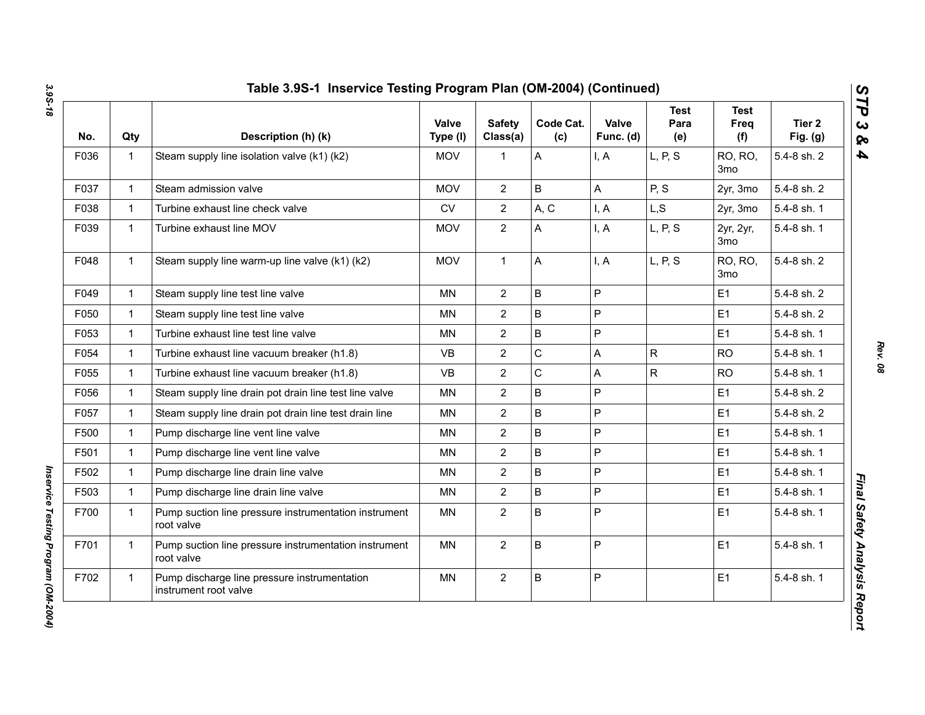| No.  | Qty          | Description (h) (k)                                                   | Valve<br>Type (I) | <b>Safety</b><br>Class(a) | Code Cat.<br>(c) | Valve<br>Func. (d) | Test<br>Para<br>(e) | <b>Test</b><br>Freq<br>(f)   | Tier <sub>2</sub><br>Fig. $(g)$ |
|------|--------------|-----------------------------------------------------------------------|-------------------|---------------------------|------------------|--------------------|---------------------|------------------------------|---------------------------------|
| F036 | $\mathbf{1}$ | Steam supply line isolation valve (k1) (k2)                           | <b>MOV</b>        | $\mathbf{1}$              | A                | I, A               | L, P, S             | RO, RO,<br>3 <sub>mo</sub>   | 5.4-8 sh. 2                     |
| F037 | $\mathbf{1}$ | Steam admission valve                                                 | <b>MOV</b>        | $\overline{2}$            | $\mathsf B$      | A                  | P, S                | 2yr, 3mo                     | 5.4-8 sh. 2                     |
| F038 | $\mathbf{1}$ | Turbine exhaust line check valve                                      | ${\sf CV}$        | $\overline{2}$            | A, C             | I, A               | L, S                | 2yr, 3mo                     | 5.4-8 sh. 1                     |
| F039 | $\mathbf{1}$ | Turbine exhaust line MOV                                              | <b>MOV</b>        | $\overline{2}$            | A                | I, A               | L, P, S             | 2yr, 2yr,<br>3 <sub>mo</sub> | 5.4-8 sh. 1                     |
| F048 | $\mathbf{1}$ | Steam supply line warm-up line valve (k1) (k2)                        | <b>MOV</b>        | $\mathbf{1}$              | A                | I, A               | L, P, S             | RO, RO,<br>3 <sub>mo</sub>   | 5.4-8 sh. 2                     |
| F049 | $\mathbf{1}$ | Steam supply line test line valve                                     | <b>MN</b>         | $\overline{2}$            | $\sf B$          | P                  |                     | E1                           | 5.4-8 sh. 2                     |
| F050 | $\mathbf{1}$ | Steam supply line test line valve                                     | <b>MN</b>         | $\overline{2}$            | B                | P                  |                     | E1                           | 5.4-8 sh. 2                     |
| F053 | $\mathbf{1}$ | Turbine exhaust line test line valve                                  | MN                | $\overline{2}$            | $\sf B$          | P                  |                     | E1                           | 5.4-8 sh. 1                     |
| F054 | $\mathbf{1}$ | Turbine exhaust line vacuum breaker (h1.8)                            | <b>VB</b>         | $\overline{2}$            | $\mathsf C$      | A                  | R                   | <b>RO</b>                    | 5.4-8 sh. 1                     |
| F055 | $\mathbf{1}$ | Turbine exhaust line vacuum breaker (h1.8)                            | <b>VB</b>         | $\overline{2}$            | C                | A                  | $\mathsf{R}$        | <b>RO</b>                    | 5.4-8 sh. 1                     |
| F056 | $\mathbf{1}$ | Steam supply line drain pot drain line test line valve                | MN                | $\overline{2}$            | B                | P                  |                     | E <sub>1</sub>               | 5.4-8 sh. 2                     |
| F057 | $\mathbf{1}$ | Steam supply line drain pot drain line test drain line                | <b>MN</b>         | $\overline{2}$            | B                | P                  |                     | E1                           | 5.4-8 sh. 2                     |
| F500 | $\mathbf{1}$ | Pump discharge line vent line valve                                   | <b>MN</b>         | $\overline{2}$            | $\sf B$          | P                  |                     | E1                           | 5.4-8 sh. 1                     |
| F501 | $\mathbf{1}$ | Pump discharge line vent line valve                                   | <b>MN</b>         | $\overline{2}$            | B                | P                  |                     | E1                           | 5.4-8 sh. 1                     |
| F502 | $\mathbf{1}$ | Pump discharge line drain line valve                                  | MN                | $\overline{2}$            | $\sf B$          | P                  |                     | E1                           | 5.4-8 sh. 1                     |
| F503 | $\mathbf{1}$ | Pump discharge line drain line valve                                  | <b>MN</b>         | $\overline{2}$            | $\sf B$          | P                  |                     | E <sub>1</sub>               | 5.4-8 sh. 1                     |
| F700 | $\mathbf{1}$ | Pump suction line pressure instrumentation instrument<br>root valve   | <b>MN</b>         | $\overline{2}$            | B                | P                  |                     | E1                           | 5.4-8 sh. 1                     |
| F701 | $\mathbf{1}$ | Pump suction line pressure instrumentation instrument<br>root valve   | MN                | $\overline{2}$            | B                | P                  |                     | E1                           | 5.4-8 sh. 1                     |
| F702 | $\mathbf{1}$ | Pump discharge line pressure instrumentation<br>instrument root valve | MN                | $\overline{2}$            | B                | $\mathsf P$        |                     | E1                           | 5.4-8 sh. 1                     |

*Inservice Testing Program (OM-2004)* 

Inservice Testing Program (OM-2004)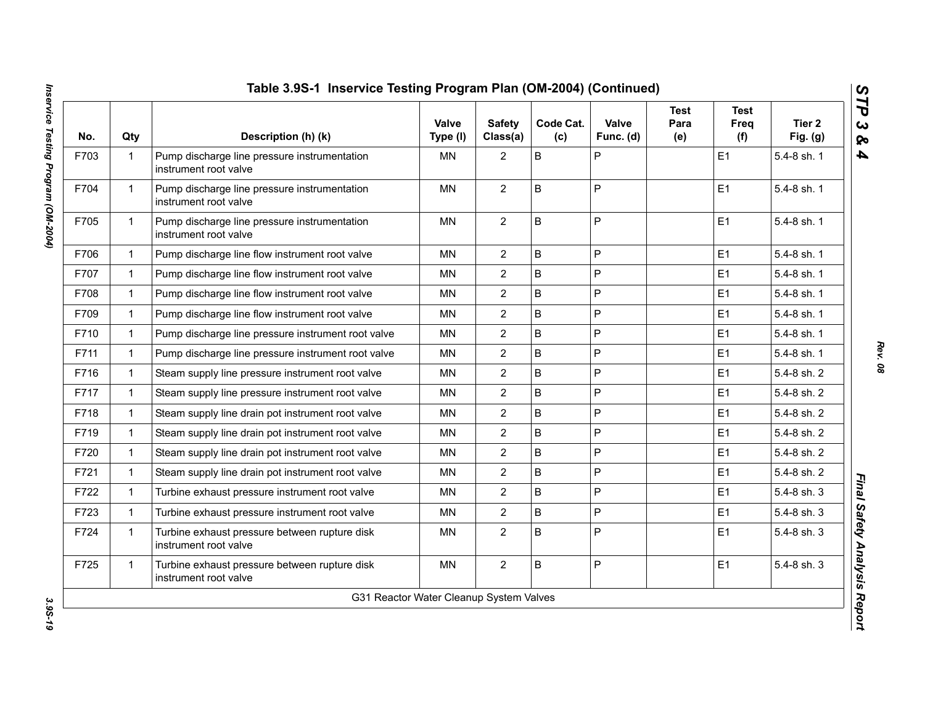| No.  | Qty          | Description (h) (k)                                                    | Valve<br>Type (I) | <b>Safety</b><br>Class(a) | Code Cat.<br>(c) | Valve<br>Func. (d) | <b>Test</b><br>Para<br>(e) | Test<br>Freq<br>(f) | Tier 2<br>Fig. $(g)$ |
|------|--------------|------------------------------------------------------------------------|-------------------|---------------------------|------------------|--------------------|----------------------------|---------------------|----------------------|
| F703 | $\mathbf{1}$ | Pump discharge line pressure instrumentation<br>instrument root valve  | <b>MN</b>         | $\overline{2}$            | $\sf B$          | P                  |                            | E1                  | 5.4-8 sh. 1          |
| F704 | $\mathbf 1$  | Pump discharge line pressure instrumentation<br>instrument root valve  | <b>MN</b>         | $\overline{2}$            | B                | P                  |                            | E1                  | 5.4-8 sh. 1          |
| F705 | $\mathbf{1}$ | Pump discharge line pressure instrumentation<br>instrument root valve  | <b>MN</b>         | $\overline{2}$            | $\mathsf B$      | P                  |                            | E <sub>1</sub>      | 5.4-8 sh. 1          |
| F706 | $\mathbf{1}$ | Pump discharge line flow instrument root valve                         | <b>MN</b>         | $\overline{2}$            | $\sf B$          | P                  |                            | E <sub>1</sub>      | 5.4-8 sh. 1          |
| F707 | $\mathbf 1$  | Pump discharge line flow instrument root valve                         | <b>MN</b>         | $\overline{2}$            | $\sf B$          | P                  |                            | E <sub>1</sub>      | 5.4-8 sh. 1          |
| F708 | $\mathbf{1}$ | Pump discharge line flow instrument root valve                         | <b>MN</b>         | $\overline{2}$            | $\sf B$          | $\mathsf{P}$       |                            | E <sub>1</sub>      | 5.4-8 sh. 1          |
| F709 | $\mathbf{1}$ | Pump discharge line flow instrument root valve                         | <b>MN</b>         | $\overline{2}$            | B                | P                  |                            | E <sub>1</sub>      | 5.4-8 sh. 1          |
| F710 | 1.           | Pump discharge line pressure instrument root valve                     | ΜN                | $\overline{c}$            | B                | P                  |                            | E <sub>1</sub>      | 5.4-8 sh. 1          |
| F711 | $\mathbf{1}$ | Pump discharge line pressure instrument root valve                     | <b>MN</b>         | $\overline{2}$            | B                | P                  |                            | E <sub>1</sub>      | 5.4-8 sh. 1          |
| F716 | $\mathbf{1}$ | Steam supply line pressure instrument root valve                       | <b>MN</b>         | $\overline{2}$            | B                | P                  |                            | E <sub>1</sub>      | 5.4-8 sh. 2          |
| F717 | $\mathbf 1$  | Steam supply line pressure instrument root valve                       | <b>MN</b>         | $\overline{2}$            | B                | P                  |                            | E <sub>1</sub>      | 5.4-8 sh. 2          |
| F718 | 1            | Steam supply line drain pot instrument root valve                      | <b>MN</b>         | $\overline{2}$            | $\sf B$          | $\overline{P}$     |                            | E <sub>1</sub>      | 5.4-8 sh. 2          |
| F719 | $\mathbf{1}$ | Steam supply line drain pot instrument root valve                      | MN                | $\overline{2}$            | $\sf B$          | P                  |                            | E <sub>1</sub>      | 5.4-8 sh. 2          |
| F720 | $\mathbf{1}$ | Steam supply line drain pot instrument root valve                      | <b>MN</b>         | $\overline{2}$            | B                | P                  |                            | E <sub>1</sub>      | 5.4-8 sh. 2          |
| F721 | 1.           | Steam supply line drain pot instrument root valve                      | MN                | $\overline{2}$            | $\sf B$          | P                  |                            | E <sub>1</sub>      | 5.4-8 sh. 2          |
| F722 | 1            | Turbine exhaust pressure instrument root valve                         | <b>MN</b>         | $\overline{2}$            | $\mathsf B$      | P                  |                            | E1                  | 5.4-8 sh. 3          |
| F723 | $\mathbf{1}$ | Turbine exhaust pressure instrument root valve                         | <b>MN</b>         | $\overline{2}$            | B                | P                  |                            | E1                  | 5.4-8 sh. 3          |
| F724 | $\mathbf{1}$ | Turbine exhaust pressure between rupture disk<br>instrument root valve | <b>MN</b>         | $\overline{2}$            | $\sf B$          | $\mathsf{P}$       |                            | E1                  | 5.4-8 sh. 3          |
| F725 | 1.           | Turbine exhaust pressure between rupture disk<br>instrument root valve | <b>MN</b>         | $\overline{2}$            | B                | P                  |                            | E <sub>1</sub>      | 5.4-8 sh. 3          |

3.95-19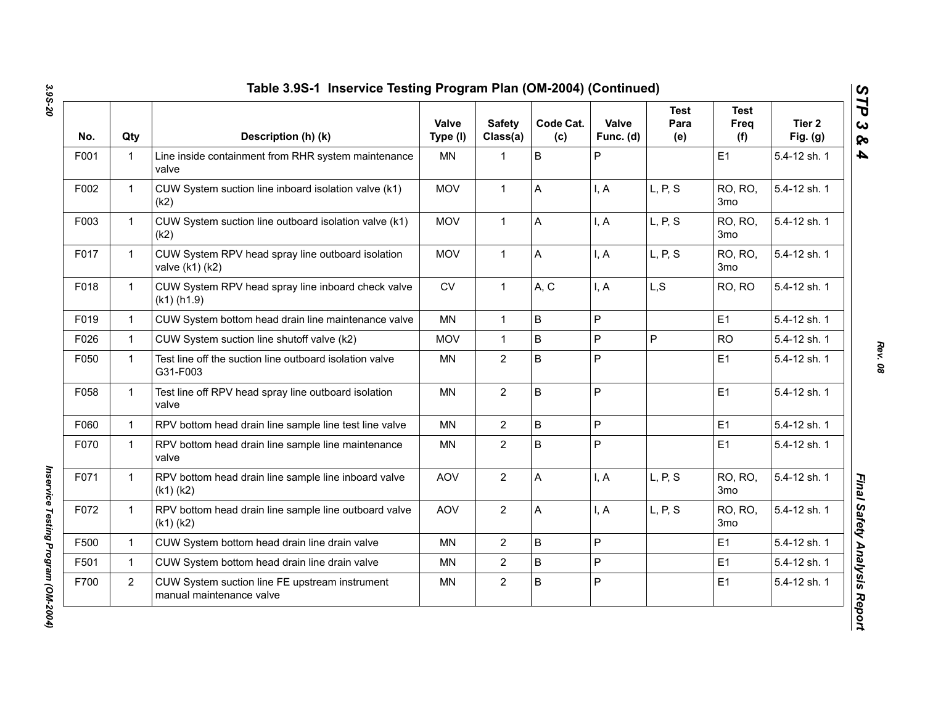| No.  | Qty            | Description (h) (k)                                                        | <b>Valve</b><br>Type (I) | <b>Safety</b><br>Class(a) | Code Cat.<br>(c) | Valve<br>Func. (d) | <b>Test</b><br>Para<br>(e) | <b>Test</b><br>Freq<br>(f) | Tier 2<br>Fig. $(g)$ |
|------|----------------|----------------------------------------------------------------------------|--------------------------|---------------------------|------------------|--------------------|----------------------------|----------------------------|----------------------|
| F001 | $\mathbf 1$    | Line inside containment from RHR system maintenance<br>valve               | <b>MN</b>                | $\mathbf{1}$              | $\mathsf B$      | P                  |                            | E1                         | 5.4-12 sh. 1         |
| F002 | $\mathbf{1}$   | CUW System suction line inboard isolation valve (k1)<br>(k2)               | <b>MOV</b>               | $\mathbf{1}$              | A                | I, A               | L, P, S                    | RO, RO,<br>3 <sub>mo</sub> | 5.4-12 sh. 1         |
| F003 | $\mathbf{1}$   | CUW System suction line outboard isolation valve (k1)<br>(k2)              | <b>MOV</b>               | $\mathbf{1}$              | A                | I, A               | L, P, S                    | RO, RO,<br>3 <sub>mo</sub> | 5.4-12 sh. 1         |
| F017 | $\mathbf{1}$   | CUW System RPV head spray line outboard isolation<br>valve (k1) (k2)       | <b>MOV</b>               | $\mathbf{1}$              | A                | I, A               | L, P, S                    | RO, RO,<br>3 <sub>mo</sub> | 5.4-12 sh. 1         |
| F018 | $\mathbf{1}$   | CUW System RPV head spray line inboard check valve<br>$(k1)$ (h1.9)        | ${\sf CV}$               | $\mathbf{1}$              | A, C             | I, A               | L, S                       | RO, RO                     | 5.4-12 sh. 1         |
| F019 | $\mathbf{1}$   | CUW System bottom head drain line maintenance valve                        | <b>MN</b>                | $\mathbf{1}$              | $\sf B$          | P                  |                            | E1                         | 5.4-12 sh. 1         |
| F026 | $\mathbf{1}$   | CUW System suction line shutoff valve (k2)                                 | <b>MOV</b>               | $\mathbf{1}$              | $\sf B$          | P                  | P                          | <b>RO</b>                  | 5.4-12 sh. 1         |
| F050 | $\mathbf{1}$   | Test line off the suction line outboard isolation valve<br>G31-F003        | <b>MN</b>                | $\overline{2}$            | $\overline{B}$   | P                  |                            | E1                         | 5.4-12 sh. 1         |
| F058 | $\mathbf{1}$   | Test line off RPV head spray line outboard isolation<br>valve              | <b>MN</b>                | $\mathbf{2}$              | $\mathsf B$      | P                  |                            | E1                         | 5.4-12 sh. 1         |
| F060 | $\mathbf{1}$   | RPV bottom head drain line sample line test line valve                     | <b>MN</b>                | $\mathbf{2}$              | $\sf B$          | P                  |                            | E1                         | 5.4-12 sh. 1         |
| F070 | $\mathbf{1}$   | RPV bottom head drain line sample line maintenance<br>valve                | MN                       | $\mathbf{2}$              | $\sf B$          | P                  |                            | E1                         | 5.4-12 sh. 1         |
| F071 | $\mathbf{1}$   | RPV bottom head drain line sample line inboard valve<br>$(k1)$ $(k2)$      | <b>AOV</b>               | $\overline{2}$            | A                | I, A               | L, P, S                    | RO, RO,<br>3 <sub>mo</sub> | 5.4-12 sh. 1         |
| F072 | $\mathbf{1}$   | RPV bottom head drain line sample line outboard valve<br>$(k1)$ $(k2)$     | <b>AOV</b>               | $\overline{2}$            | A                | I, A               | L, P, S                    | RO, RO,<br>3 <sub>mo</sub> | 5.4-12 sh. 1         |
| F500 | $\mathbf{1}$   | CUW System bottom head drain line drain valve                              | <b>MN</b>                | $\overline{2}$            | $\overline{B}$   | P                  |                            | E1                         | 5.4-12 sh. 1         |
| F501 | $\mathbf{1}$   | CUW System bottom head drain line drain valve                              | MN                       | $\overline{2}$            | $\sf B$          | P                  |                            | E1                         | 5.4-12 sh. 1         |
| F700 | $\overline{2}$ | CUW System suction line FE upstream instrument<br>manual maintenance valve | MN                       | $\overline{2}$            | $\sf B$          | P                  |                            | E1                         | 5.4-12 sh. 1         |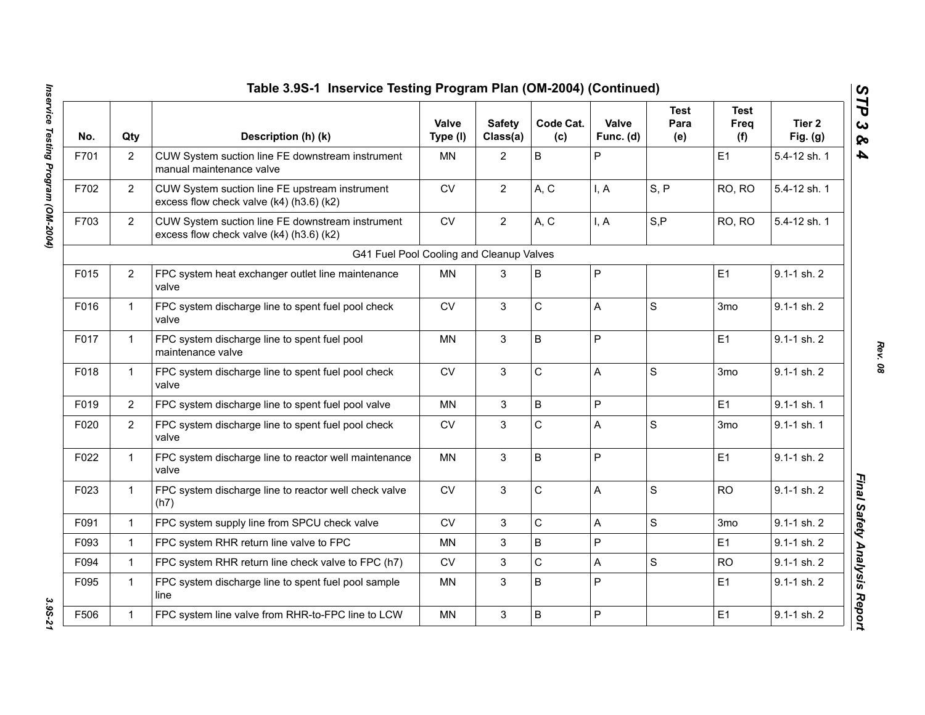|      |                | Table 3.9S-1 Inservice Testing Program Plan (OM-2004) (Continued)                            |                          |                           |                  |                    |                            |                            |                      |
|------|----------------|----------------------------------------------------------------------------------------------|--------------------------|---------------------------|------------------|--------------------|----------------------------|----------------------------|----------------------|
| No.  | Qty            | Description (h) (k)                                                                          | <b>Valve</b><br>Type (I) | <b>Safety</b><br>Class(a) | Code Cat.<br>(c) | Valve<br>Func. (d) | <b>Test</b><br>Para<br>(e) | <b>Test</b><br>Freq<br>(f) | Tier 2<br>Fig. $(g)$ |
| F701 | $\overline{2}$ | CUW System suction line FE downstream instrument<br>manual maintenance valve                 | <b>MN</b>                | $\overline{2}$            | B                | P                  |                            | E1                         | 5.4-12 sh. 1         |
| F702 | $\overline{2}$ | CUW System suction line FE upstream instrument<br>excess flow check valve (k4) (h3.6) (k2)   | <b>CV</b>                | $\overline{2}$            | A, C             | I, A               | S, P                       | RO, RO                     | 5.4-12 sh. 1         |
| F703 | $\overline{2}$ | CUW System suction line FE downstream instrument<br>excess flow check valve (k4) (h3.6) (k2) | ${\sf CV}$               | $\overline{2}$            | A, C             | I, A               | S, P                       | RO, RO                     | 5.4-12 sh. 1         |
|      |                | G41 Fuel Pool Cooling and Cleanup Valves                                                     |                          |                           |                  |                    |                            |                            |                      |
| F015 | 2              | FPC system heat exchanger outlet line maintenance<br>valve                                   | <b>MN</b>                | 3                         | B                | P                  |                            | E1                         | $9.1 - 1$ sh. $2$    |
| F016 | $\mathbf{1}$   | FPC system discharge line to spent fuel pool check<br>valve                                  | ${\sf CV}$               | 3                         | C                | A                  | $\mathbf S$                | 3 <sub>mo</sub>            | 9.1-1 sh. 2          |
| F017 | $\mathbf{1}$   | FPC system discharge line to spent fuel pool<br>maintenance valve                            | <b>MN</b>                | 3                         | B                | P                  |                            | E1                         | $9.1 - 1$ sh. $2$    |
| F018 | $\mathbf{1}$   | FPC system discharge line to spent fuel pool check<br>valve                                  | CV                       | 3                         | C                | A                  | $\mathbf S$                | 3 <sub>mo</sub>            | 9.1-1 sh. 2          |
| F019 | $\overline{2}$ | FPC system discharge line to spent fuel pool valve                                           | <b>MN</b>                | 3                         | $\sf B$          | P                  |                            | E1                         | 9.1-1 sh. 1          |
| F020 | $\overline{2}$ | FPC system discharge line to spent fuel pool check<br>valve                                  | <b>CV</b>                | 3                         | $\mathsf{C}$     | A                  | S                          | 3 <sub>mo</sub>            | 9.1-1 sh. 1          |
| F022 | $\mathbf{1}$   | FPC system discharge line to reactor well maintenance<br>valve                               | <b>MN</b>                | 3                         | B                | P                  |                            | E1                         | 9.1-1 sh. 2          |
| F023 | $\mathbf{1}$   | FPC system discharge line to reactor well check valve<br>(h7)                                | <b>CV</b>                | 3                         | C                | A                  | S                          | <b>RO</b>                  | $9.1 - 1$ sh. $2$    |
| F091 | $\mathbf{1}$   | FPC system supply line from SPCU check valve                                                 | ${\sf CV}$               | $\mathfrak{S}$            | C                | A                  | $\mathbf S$                | 3mo                        | 9.1-1 sh. 2          |
| F093 | $\mathbf{1}$   | FPC system RHR return line valve to FPC                                                      | MN                       | 3                         | $\sf B$          | P                  |                            | E1                         | 9.1-1 sh. 2          |
| F094 | $\mathbf{1}$   | FPC system RHR return line check valve to FPC (h7)                                           | ${\sf CV}$               | 3                         | C                | Α                  | $\mathbf S$                | <b>RO</b>                  | 9.1-1 sh. 2          |
| F095 | $\mathbf{1}$   | FPC system discharge line to spent fuel pool sample<br>line                                  | MN                       | 3                         | B                | P                  |                            | E1                         | 9.1-1 sh. 2          |
| F506 | $\mathbf{1}$   | FPC system line valve from RHR-to-FPC line to LCW                                            | <b>MN</b>                | $\mathbf{3}$              | B                | P                  |                            | E1                         | 9.1-1 sh. 2          |

3.95-21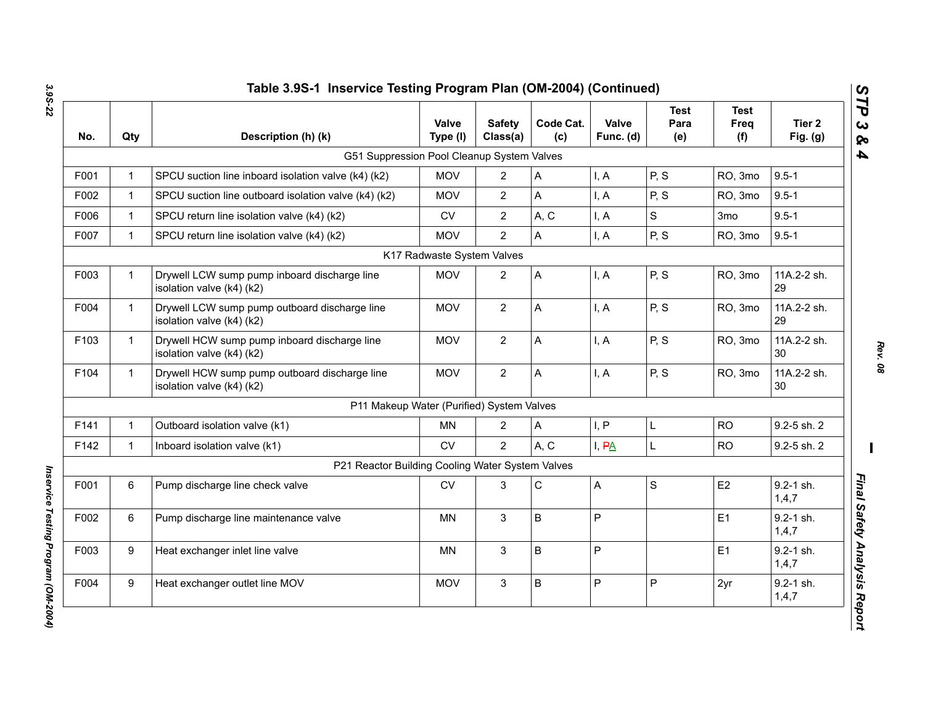| No.  | Qty          | Description (h) (k)                                                        | Valve<br>Type (I)          | <b>Safety</b><br>Class(a) | Code Cat.<br>(c) | Valve<br>Func. (d) | <b>Test</b><br>Para<br>(e) | <b>Test</b><br><b>Freq</b><br>(f) | Tier 2<br>Fig. $(g)$   |
|------|--------------|----------------------------------------------------------------------------|----------------------------|---------------------------|------------------|--------------------|----------------------------|-----------------------------------|------------------------|
|      |              | G51 Suppression Pool Cleanup System Valves                                 |                            |                           |                  |                    |                            |                                   |                        |
| F001 | $\mathbf{1}$ | SPCU suction line inboard isolation valve (k4) (k2)                        | <b>MOV</b>                 | $\overline{2}$            | Α                | I, A               | P, S                       | RO, 3mo                           | $9.5 - 1$              |
| F002 | $\mathbf{1}$ | SPCU suction line outboard isolation valve (k4) (k2)                       | <b>MOV</b>                 | $\mathbf{2}$              | A                | I, A               | P, S                       | RO, 3mo                           | $9.5 - 1$              |
| F006 | $\mathbf{1}$ | SPCU return line isolation valve (k4) (k2)                                 | CV                         | $\mathbf{2}$              | A, C             | I, A               | S                          | 3 <sub>mo</sub>                   | $9.5 - 1$              |
| F007 | $\mathbf{1}$ | SPCU return line isolation valve (k4) (k2)                                 | <b>MOV</b>                 | $\overline{2}$            | $\overline{A}$   | I, A               | P, S                       | RO, 3mo                           | $9.5 - 1$              |
|      |              |                                                                            | K17 Radwaste System Valves |                           |                  |                    |                            |                                   |                        |
| F003 | $\mathbf{1}$ | Drywell LCW sump pump inboard discharge line<br>isolation valve (k4) (k2)  | <b>MOV</b>                 | $\overline{2}$            | $\overline{A}$   | I, A               | P, S                       | RO, 3mo                           | 11A.2-2 sh.<br>29      |
| F004 | $\mathbf{1}$ | Drywell LCW sump pump outboard discharge line<br>isolation valve (k4) (k2) | <b>MOV</b>                 | $\mathbf{2}$              | A                | I, A               | P, S                       | RO, 3mo                           | 11A.2-2 sh.<br>29      |
| F103 | $\mathbf{1}$ | Drywell HCW sump pump inboard discharge line<br>isolation valve (k4) (k2)  | <b>MOV</b>                 | $\overline{2}$            | A                | I, A               | P, S                       | RO, 3mo                           | 11A.2-2 sh.<br>30      |
| F104 | $\mathbf{1}$ | Drywell HCW sump pump outboard discharge line<br>isolation valve (k4) (k2) | <b>MOV</b>                 | $\overline{2}$            | $\overline{A}$   | I, A               | P, S                       | RO, 3mo                           | 11A.2-2 sh.<br>30      |
|      |              | P11 Makeup Water (Purified) System Valves                                  |                            |                           |                  |                    |                            |                                   |                        |
| F141 | $\mathbf{1}$ | Outboard isolation valve (k1)                                              | MN                         | 2                         | A                | I, P               | L                          | <b>RO</b>                         | 9.2-5 sh. 2            |
| F142 | $\mathbf{1}$ | Inboard isolation valve (k1)                                               | <b>CV</b>                  | $\overline{2}$            | A, C             | I, PA              | L                          | <b>RO</b>                         | 9.2-5 sh. 2            |
|      |              | P21 Reactor Building Cooling Water System Valves                           |                            |                           |                  |                    |                            |                                   |                        |
| F001 | 6            | Pump discharge line check valve                                            | CV                         | 3                         | $\mathsf C$      | Α                  | S                          | E <sub>2</sub>                    | 9.2-1 sh.<br>1,4,7     |
| F002 | 6            | Pump discharge line maintenance valve                                      | <b>MN</b>                  | 3                         | B                | P                  |                            | E1                                | $9.2 - 1$ sh.<br>1,4,7 |
| F003 | 9            | Heat exchanger inlet line valve                                            | <b>MN</b>                  | $\mathbf{3}$              | B                | P                  |                            | E1                                | 9.2-1 sh.<br>1,4,7     |
| F004 | 9            | Heat exchanger outlet line MOV                                             | <b>MOV</b>                 | $\mathfrak{S}$            | $\sf B$          | P                  | P                          | 2yr                               | $9.2 - 1$ sh.<br>1,4,7 |

*Rev. 08*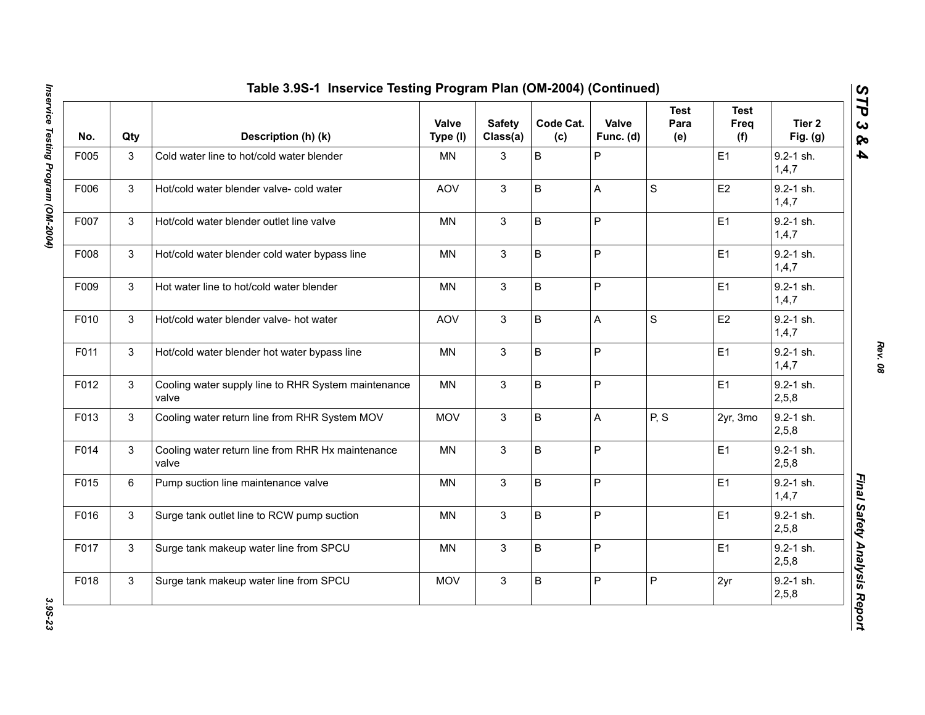| No.  | Qty          | Description (h) (k)                                          | Valve<br>Type (I) | <b>Safety</b><br>Class(a) | Code Cat.<br>(c) | Valve<br>Func. (d) | <b>Test</b><br>Para<br>(e) | <b>Test</b><br>Freq<br>(f) | Tier <sub>2</sub><br>Fig. $(g)$ |
|------|--------------|--------------------------------------------------------------|-------------------|---------------------------|------------------|--------------------|----------------------------|----------------------------|---------------------------------|
| F005 | 3            | Cold water line to hot/cold water blender                    | <b>MN</b>         | 3                         | $\sf B$          | P                  |                            | E1                         | $9.2 - 1$ sh.<br>1, 4, 7        |
| F006 | $\mathbf{3}$ | Hot/cold water blender valve- cold water                     | AOV               | 3                         | $\sf B$          | A                  | $\mathbf S$                | E <sub>2</sub>             | 9.2-1 sh.<br>1,4,7              |
| F007 | 3            | Hot/cold water blender outlet line valve                     | <b>MN</b>         | 3                         | $\sf B$          | P                  |                            | E1                         | 9.2-1 sh.<br>1,4,7              |
| F008 | 3            | Hot/cold water blender cold water bypass line                | <b>MN</b>         | 3                         | $\sf B$          | P                  |                            | E <sub>1</sub>             | $9.2 - 1$ sh.<br>1,4,7          |
| F009 | 3            | Hot water line to hot/cold water blender                     | MN                | 3                         | B                | P                  |                            | E1                         | $9.2 - 1$ sh.<br>1,4,7          |
| F010 | 3            | Hot/cold water blender valve- hot water                      | AOV               | 3                         | B                | A                  | $\mathbf S$                | E <sub>2</sub>             | 9.2-1 sh.<br>1,4,7              |
| F011 | 3            | Hot/cold water blender hot water bypass line                 | <b>MN</b>         | $\mathbf{3}$              | B                | P                  |                            | E1                         | $9.2 - 1$ sh.<br>1,4,7          |
| F012 | 3            | Cooling water supply line to RHR System maintenance<br>valve | <b>MN</b>         | 3                         | $\sf B$          | P                  |                            | E1                         | 9.2-1 sh.<br>2,5,8              |
| F013 | $\mathbf{3}$ | Cooling water return line from RHR System MOV                | <b>MOV</b>        | 3                         | B                | A                  | P, S                       | 2yr, 3mo                   | 9.2-1 sh.<br>2,5,8              |
| F014 | $\mathbf{3}$ | Cooling water return line from RHR Hx maintenance<br>valve   | <b>MN</b>         | 3                         | $\sf B$          | P                  |                            | E <sub>1</sub>             | $9.2 - 1$ sh.<br>2,5,8          |
| F015 | 6            | Pump suction line maintenance valve                          | <b>MN</b>         | 3                         | $\sf B$          | P                  |                            | E1                         | 9.2-1 sh.<br>1,4,7              |
| F016 | 3            | Surge tank outlet line to RCW pump suction                   | <b>MN</b>         | 3                         | $\sf B$          | P                  |                            | E1                         | $9.2 - 1$ sh.<br>2,5,8          |
| F017 | $\mathbf{3}$ | Surge tank makeup water line from SPCU                       | MN                | 3                         | B                | P                  |                            | E <sub>1</sub>             | $9.2 - 1$ sh.<br>2,5,8          |
| F018 | 3            | Surge tank makeup water line from SPCU                       | <b>MOV</b>        | 3                         | $\sf B$          | P                  | $\mathsf{P}$               | 2yr                        | $9.2 - 1$ sh.<br>2,5,8          |

3.9S-23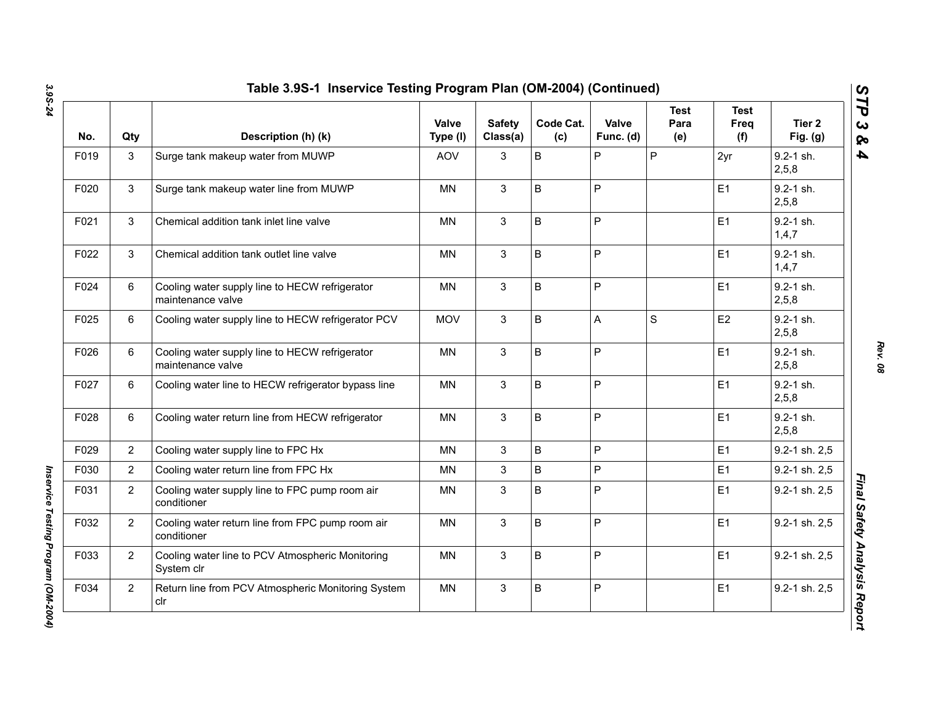| No.  | Qty            | Description (h) (k)                                                 | Valve<br>Type (I) | <b>Safety</b><br>Class(a) | Code Cat.<br>(c) | Valve<br>Func. (d) | Test<br>Para<br>(e) | <b>Test</b><br>Freq<br>(f) | Tier 2<br>Fig. $(g)$   |
|------|----------------|---------------------------------------------------------------------|-------------------|---------------------------|------------------|--------------------|---------------------|----------------------------|------------------------|
| F019 | $\mathbf{3}$   | Surge tank makeup water from MUWP                                   | <b>AOV</b>        | 3                         | $\sf B$          | P                  | $\overline{P}$      | 2yr                        | $9.2 - 1$ sh.<br>2,5,8 |
| F020 | $\mathbf{3}$   | Surge tank makeup water line from MUWP                              | <b>MN</b>         | $\mathbf{3}$              | $\sf B$          | $\mathsf{P}$       |                     | E1                         | $9.2 - 1$ sh.<br>2,5,8 |
| F021 | $\mathbf{3}$   | Chemical addition tank inlet line valve                             | <b>MN</b>         | $\mathbf{3}$              | $\sf B$          | P                  |                     | E1                         | $9.2 - 1$ sh.<br>1,4,7 |
| F022 | 3              | Chemical addition tank outlet line valve                            | <b>MN</b>         | 3                         | $\sf B$          | $\mathsf{P}$       |                     | E1                         | 9.2-1 sh.<br>1,4,7     |
| F024 | 6              | Cooling water supply line to HECW refrigerator<br>maintenance valve | <b>MN</b>         | 3                         | $\sf B$          | $\mathsf{P}$       |                     | E1                         | $9.2 - 1$ sh.<br>2,5,8 |
| F025 | 6              | Cooling water supply line to HECW refrigerator PCV                  | <b>MOV</b>        | 3                         | B                | A                  | S                   | E <sub>2</sub>             | $9.2 - 1$ sh.<br>2,5,8 |
| F026 | 6              | Cooling water supply line to HECW refrigerator<br>maintenance valve | MN                | 3                         | B                | P                  |                     | E1                         | $9.2 - 1$ sh.<br>2,5,8 |
| F027 | 6              | Cooling water line to HECW refrigerator bypass line                 | ΜN                | 3                         | $\sf B$          | ${\sf P}$          |                     | E <sub>1</sub>             | $9.2 - 1$ sh.<br>2,5,8 |
| F028 | 6              | Cooling water return line from HECW refrigerator                    | <b>MN</b>         | $\mathbf{3}$              | B                | $\mathsf{P}$       |                     | E1                         | $9.2 - 1$ sh.<br>2,5,8 |
| F029 | $\mathbf{2}$   | Cooling water supply line to FPC Hx                                 | <b>MN</b>         | 3                         | B                | $\mathsf{P}$       |                     | E1                         | 9.2-1 sh. 2,5          |
| F030 | $\mathbf{2}$   | Cooling water return line from FPC Hx                               | <b>MN</b>         | $\mathfrak{S}$            | $\sf B$          | P                  |                     | E <sub>1</sub>             | 9.2-1 sh. 2,5          |
| F031 | $\mathbf{2}$   | Cooling water supply line to FPC pump room air<br>conditioner       | <b>MN</b>         | 3                         | B                | $\sf P$            |                     | E1                         | 9.2-1 sh. 2,5          |
| F032 | $\mathbf{2}$   | Cooling water return line from FPC pump room air<br>conditioner     | <b>MN</b>         | 3                         | B                | $\mathsf{P}$       |                     | E1                         | 9.2-1 sh. 2,5          |
| F033 | $\overline{2}$ | Cooling water line to PCV Atmospheric Monitoring<br>System clr      | <b>MN</b>         | 3                         | B                | P                  |                     | E1                         | 9.2-1 sh. 2,5          |
| F034 | $\overline{2}$ | Return line from PCV Atmospheric Monitoring System<br>clr           | <b>MN</b>         | 3                         | B                | P                  |                     | E1                         | 9.2-1 sh. 2,5          |

*Rev. 08*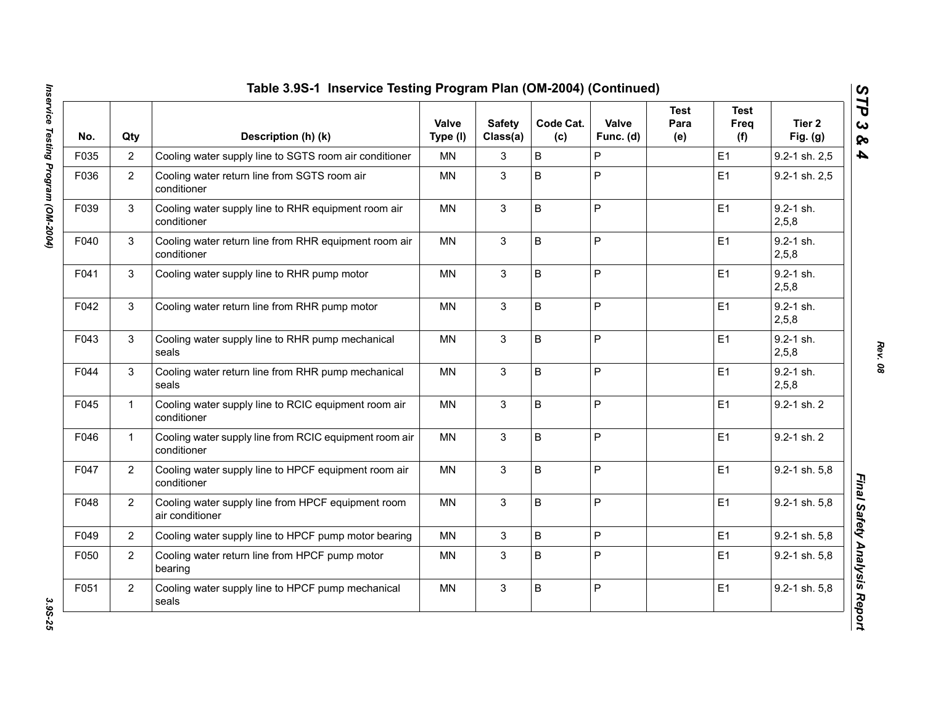| No.  | Qty            | Description (h) (k)                                                   | <b>Valve</b><br>Type (I) | <b>Safety</b><br>Class(a) | Code Cat.<br>(c) | Valve<br>Func. (d) | <b>Test</b><br>Para<br>(e) | <b>Test</b><br>Freq<br>(f) | Tier 2<br>Fig. $(g)$   |
|------|----------------|-----------------------------------------------------------------------|--------------------------|---------------------------|------------------|--------------------|----------------------------|----------------------------|------------------------|
| F035 | $\overline{2}$ | Cooling water supply line to SGTS room air conditioner                | MN.                      | 3                         | B                | P                  |                            | E1                         | 9.2-1 sh. 2,5          |
| F036 | $\overline{2}$ | Cooling water return line from SGTS room air<br>conditioner           | <b>MN</b>                | 3                         | B                | P                  |                            | E1                         | 9.2-1 sh. 2,5          |
| F039 | 3              | Cooling water supply line to RHR equipment room air<br>conditioner    | <b>MN</b>                | 3                         | B                | P                  |                            | E1                         | 9.2-1 sh.<br>2,5,8     |
| F040 | 3              | Cooling water return line from RHR equipment room air<br>conditioner  | <b>MN</b>                | 3                         | B                | P                  |                            | E1                         | $9.2 - 1$ sh.<br>2,5,8 |
| F041 | 3              | Cooling water supply line to RHR pump motor                           | <b>MN</b>                | 3                         | $\sf B$          | P                  |                            | E1                         | $9.2 - 1$ sh.<br>2,5,8 |
| F042 | 3              | Cooling water return line from RHR pump motor                         | <b>MN</b>                | 3                         | B                | P                  |                            | E1                         | $9.2 - 1$ sh.<br>2,5,8 |
| F043 | 3              | Cooling water supply line to RHR pump mechanical<br>seals             | <b>MN</b>                | 3                         | $\mathsf B$      | P                  |                            | E1                         | $9.2 - 1$ sh.<br>2,5,8 |
| F044 | 3              | Cooling water return line from RHR pump mechanical<br>seals           | <b>MN</b>                | 3                         | $\sf B$          | P                  |                            | E1                         | $9.2 - 1$ sh.<br>2,5,8 |
| F045 | $\mathbf{1}$   | Cooling water supply line to RCIC equipment room air<br>conditioner   | <b>MN</b>                | 3                         | $\sf B$          | P                  |                            | E1                         | 9.2-1 sh. 2            |
| F046 | $\mathbf{1}$   | Cooling water supply line from RCIC equipment room air<br>conditioner | <b>MN</b>                | 3                         | B                | P                  |                            | E1                         | 9.2-1 sh. 2            |
| F047 | $\overline{2}$ | Cooling water supply line to HPCF equipment room air<br>conditioner   | <b>MN</b>                | 3                         | $\mathsf B$      | P                  |                            | E1                         | 9.2-1 sh. 5,8          |
| F048 | $\overline{2}$ | Cooling water supply line from HPCF equipment room<br>air conditioner | <b>MN</b>                | 3                         | B                | P                  |                            | E1                         | 9.2-1 sh. 5,8          |
| F049 | $\overline{2}$ | Cooling water supply line to HPCF pump motor bearing                  | <b>MN</b>                | 3                         | $\sf B$          | P                  |                            | E1                         | 9.2-1 sh. 5,8          |
| F050 | $\overline{2}$ | Cooling water return line from HPCF pump motor<br>bearing             | <b>MN</b>                | 3                         | B                | P                  |                            | E1                         | 9.2-1 sh. 5,8          |
| F051 | $\overline{2}$ | Cooling water supply line to HPCF pump mechanical<br>seals            | <b>MN</b>                | 3                         | B                | P                  |                            | E1                         | 9.2-1 sh. 5,8          |

3.9S-25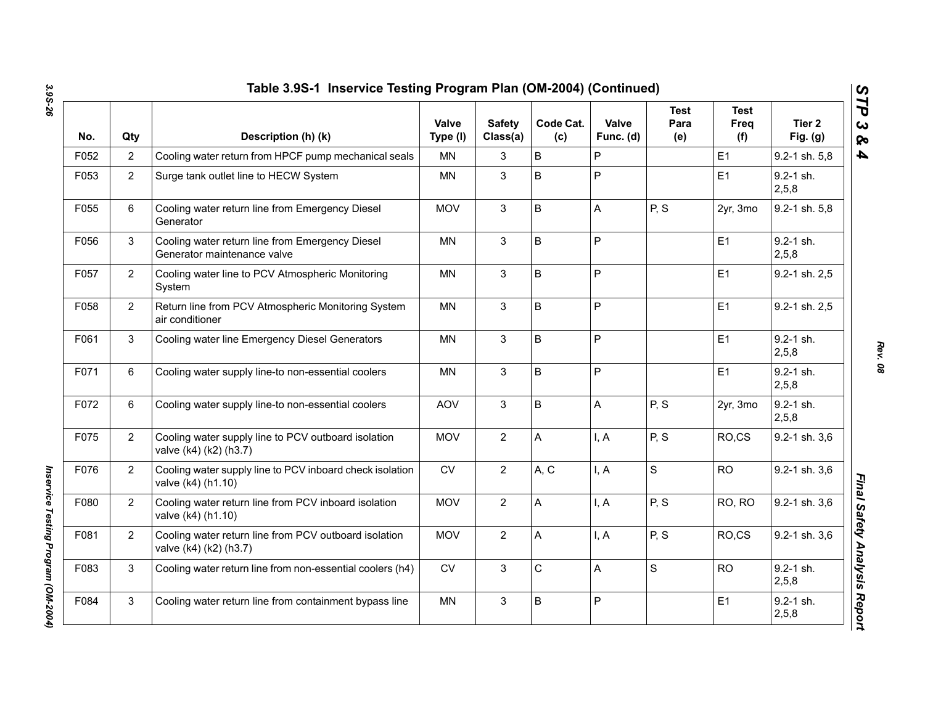| No.  | Qty            | Description (h) (k)                                                             | Valve<br>Type (I) | <b>Safety</b><br>Class(a) | Code Cat.<br>(c) | Valve<br>Func. (d) | Test<br>Para<br>(e) | <b>Test</b><br><b>Freq</b><br>(f) | Tier <sub>2</sub><br>Fig. $(g)$ |
|------|----------------|---------------------------------------------------------------------------------|-------------------|---------------------------|------------------|--------------------|---------------------|-----------------------------------|---------------------------------|
| F052 | $\overline{2}$ | Cooling water return from HPCF pump mechanical seals                            | <b>MN</b>         | 3                         | B                | P                  |                     | E1                                | 9.2-1 sh. 5,8                   |
| F053 | $\overline{2}$ | Surge tank outlet line to HECW System                                           | <b>MN</b>         | 3                         | B                | P                  |                     | E1                                | $9.2 - 1$ sh.<br>2,5,8          |
| F055 | 6              | Cooling water return line from Emergency Diesel<br>Generator                    | <b>MOV</b>        | 3                         | B                | A                  | P, S                | 2yr, 3mo                          | 9.2-1 sh. 5,8                   |
| F056 | 3              | Cooling water return line from Emergency Diesel<br>Generator maintenance valve  | <b>MN</b>         | 3                         | B                | P                  |                     | E1                                | 9.2-1 sh.<br>2,5,8              |
| F057 | $\overline{2}$ | Cooling water line to PCV Atmospheric Monitoring<br>System                      | <b>MN</b>         | 3                         | B                | P                  |                     | E1                                | 9.2-1 sh. 2,5                   |
| F058 | $\overline{2}$ | Return line from PCV Atmospheric Monitoring System<br>air conditioner           | MN                | 3                         | B                | P                  |                     | E1                                | 9.2-1 sh. 2,5                   |
| F061 | 3              | Cooling water line Emergency Diesel Generators                                  | <b>MN</b>         | 3                         | B                | P                  |                     | E1                                | $9.2 - 1$ sh.<br>2,5,8          |
| F071 | 6              | Cooling water supply line-to non-essential coolers                              | <b>MN</b>         | 3                         | B                | P                  |                     | E1                                | $9.2 - 1$ sh.<br>2,5,8          |
| F072 | 6              | Cooling water supply line-to non-essential coolers                              | <b>AOV</b>        | 3                         | B                | A                  | P, S                | 2yr, 3mo                          | $9.2 - 1$ sh.<br>2,5,8          |
| F075 | $\overline{2}$ | Cooling water supply line to PCV outboard isolation<br>valve (k4) (k2) (h3.7)   | <b>MOV</b>        | $\overline{2}$            | A                | I, A               | P, S                | RO,CS                             | 9.2-1 sh. 3,6                   |
| F076 | $\overline{2}$ | Cooling water supply line to PCV inboard check isolation<br>valve (k4) (h1.10)  | <b>CV</b>         | $\overline{2}$            | A, C             | I, A               | $\mathsf{s}$        | <b>RO</b>                         | 9.2-1 sh. 3,6                   |
| F080 | $\overline{2}$ | Cooling water return line from PCV inboard isolation<br>valve (k4) (h1.10)      | <b>MOV</b>        | $\overline{2}$            | A                | I, A               | P, S                | RO, RO                            | 9.2-1 sh. 3,6                   |
| F081 | $\overline{2}$ | Cooling water return line from PCV outboard isolation<br>valve (k4) (k2) (h3.7) | <b>MOV</b>        | $\overline{2}$            | A                | I, A               | P, S                | RO,CS                             | 9.2-1 sh. 3,6                   |
| F083 | 3              | Cooling water return line from non-essential coolers (h4)                       | <b>CV</b>         | 3                         | C                | Α                  | S                   | <b>RO</b>                         | 9.2-1 sh.<br>2,5,8              |
| F084 | 3              | Cooling water return line from containment bypass line                          | <b>MN</b>         | 3                         | B                | P                  |                     | E <sub>1</sub>                    | $9.2 - 1$ sh.<br>2,5,8          |

*Rev. 08*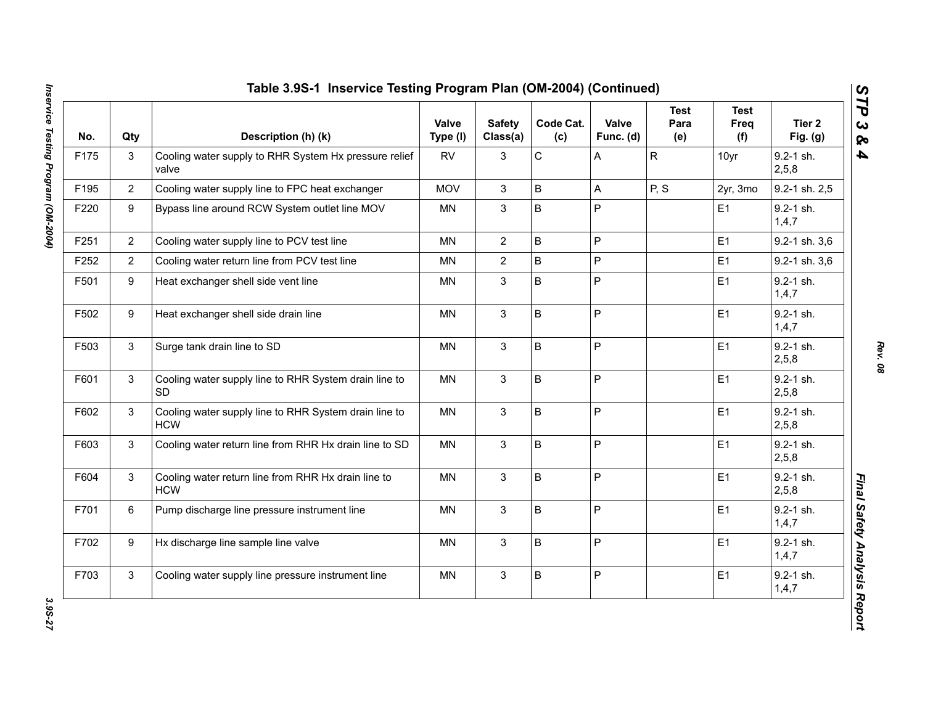| No.  | Qty            | Description (h) (k)                                                 | Valve<br>Type (I) | <b>Safety</b><br>Class(a) | Code Cat.<br>(c) | Valve<br>Func. (d) | <b>Test</b><br>Para<br>(e) | <b>Test</b><br>Freq<br>(f) | Tier <sub>2</sub><br>Fig. $(g)$ |
|------|----------------|---------------------------------------------------------------------|-------------------|---------------------------|------------------|--------------------|----------------------------|----------------------------|---------------------------------|
| F175 | 3              | Cooling water supply to RHR System Hx pressure relief<br>valve      | <b>RV</b>         | 3                         | C                | Α                  | $\mathsf{R}$               | 10yr                       | $9.2 - 1$ sh.<br>2,5,8          |
| F195 | $\overline{2}$ | Cooling water supply line to FPC heat exchanger                     | <b>MOV</b>        | 3                         | B                | A                  | P, S                       | 2yr, 3mo                   | 9.2-1 sh. 2,5                   |
| F220 | 9              | Bypass line around RCW System outlet line MOV                       | MN                | 3                         | B                | P                  |                            | E1                         | 9.2-1 sh.<br>1,4,7              |
| F251 | $\overline{2}$ | Cooling water supply line to PCV test line                          | <b>MN</b>         | $\overline{2}$            | B                | P                  |                            | E1                         | 9.2-1 sh. 3,6                   |
| F252 | $\overline{2}$ | Cooling water return line from PCV test line                        | <b>MN</b>         | $\overline{2}$            | B                | P                  |                            | E1                         | 9.2-1 sh. 3,6                   |
| F501 | 9              | Heat exchanger shell side vent line                                 | <b>MN</b>         | 3                         | B                | P                  |                            | E1                         | $9.2 - 1$ sh.<br>1,4,7          |
| F502 | 9              | Heat exchanger shell side drain line                                | <b>MN</b>         | $\mathbf{3}$              | B                | P                  |                            | E1                         | $9.2 - 1$ sh.<br>1,4,7          |
| F503 | $\mathbf{3}$   | Surge tank drain line to SD                                         | <b>MN</b>         | $\mathbf{3}$              | $\sf B$          | $\mathsf{P}$       |                            | E1                         | $9.2 - 1$ sh.<br>2,5,8          |
| F601 | 3              | Cooling water supply line to RHR System drain line to<br>SD         | <b>MN</b>         | 3                         | B                | P                  |                            | E1                         | $9.2 - 1$ sh.<br>2,5,8          |
| F602 | 3              | Cooling water supply line to RHR System drain line to<br><b>HCW</b> | <b>MN</b>         | $\mathfrak{S}$            | B                | P                  |                            | E1                         | 9.2-1 sh.<br>2,5,8              |
| F603 | 3              | Cooling water return line from RHR Hx drain line to SD              | <b>MN</b>         | $\mathfrak{S}$            | B                | P                  |                            | E1                         | $9.2 - 1$ sh.<br>2,5,8          |
| F604 | 3              | Cooling water return line from RHR Hx drain line to<br><b>HCW</b>   | <b>MN</b>         | $\mathbf{3}$              | B                | P                  |                            | E1                         | $9.2 - 1$ sh.<br>2,5,8          |
| F701 | 6              | Pump discharge line pressure instrument line                        | MN                | $\mathfrak{S}$            | $\sf B$          | P                  |                            | E1                         | $9.2 - 1$ sh.<br>1,4,7          |
| F702 | 9              | Hx discharge line sample line valve                                 | <b>MN</b>         | $\mathbf{3}$              | $\sf B$          | P                  |                            | E1                         | 9.2-1 sh.<br>1,4,7              |
| F703 | $\mathfrak{S}$ | Cooling water supply line pressure instrument line                  | MN                | $\ensuremath{\mathsf{3}}$ | $\sf B$          | P                  |                            | E1                         | $9.2 - 1$ sh.<br>1,4,7          |

3.95-27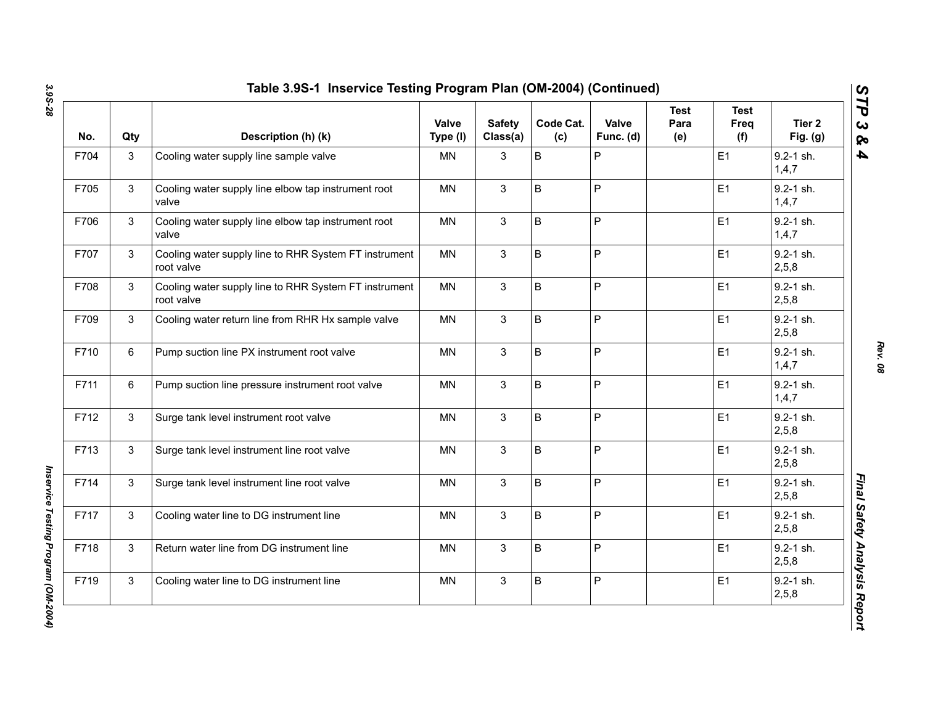| No.  | Qty | Description (h) (k)                                                 | Valve<br>Type (I) | <b>Safety</b><br>Class(a) | Code Cat.<br>(c) | Valve<br>Func. (d) | <b>Test</b><br>Para<br>(e) | <b>Test</b><br><b>Freq</b><br>(f) | Tier <sub>2</sub><br>Fig. $(g)$ |
|------|-----|---------------------------------------------------------------------|-------------------|---------------------------|------------------|--------------------|----------------------------|-----------------------------------|---------------------------------|
| F704 | 3   | Cooling water supply line sample valve                              | MN                | 3                         | B                | P                  |                            | E <sub>1</sub>                    | $9.2 - 1$ sh.<br>1,4,7          |
| F705 | 3   | Cooling water supply line elbow tap instrument root<br>valve        | MN                | 3                         | B                | P                  |                            | E1                                | 9.2-1 sh.<br>1,4,7              |
| F706 | 3   | Cooling water supply line elbow tap instrument root<br>valve        | <b>MN</b>         | 3                         | B                | P                  |                            | E <sub>1</sub>                    | $9.2 - 1$ sh.<br>1,4,7          |
| F707 | 3   | Cooling water supply line to RHR System FT instrument<br>root valve | MN                | 3                         | B                | P                  |                            | E1                                | $9.2 - 1$ sh.<br>2,5,8          |
| F708 | 3   | Cooling water supply line to RHR System FT instrument<br>root valve | MN                | 3                         | B                | P                  |                            | E1                                | $9.2 - 1$ sh.<br>2,5,8          |
| F709 | 3   | Cooling water return line from RHR Hx sample valve                  | <b>MN</b>         | 3                         | B                | P                  |                            | E1                                | $9.2 - 1$ sh.<br>2,5,8          |
| F710 | 6   | Pump suction line PX instrument root valve                          | <b>MN</b>         | 3                         | B                | P                  |                            | E1                                | 9.2-1 sh.<br>1, 4, 7            |
| F711 | 6   | Pump suction line pressure instrument root valve                    | <b>MN</b>         | 3                         | B                | P                  |                            | E1                                | 9.2-1 sh.<br>1, 4, 7            |
| F712 | 3   | Surge tank level instrument root valve                              | <b>MN</b>         | 3                         | B                | P                  |                            | E1                                | $9.2 - 1$ sh.<br>2,5,8          |
| F713 | 3   | Surge tank level instrument line root valve                         | <b>MN</b>         | 3                         | B                | P                  |                            | E1                                | $9.2 - 1$ sh.<br>2,5,8          |
| F714 | 3   | Surge tank level instrument line root valve                         | <b>MN</b>         | 3                         | B                | P                  |                            | E1                                | 9.2-1 sh.<br>2,5,8              |
| F717 | 3   | Cooling water line to DG instrument line                            | <b>MN</b>         | 3                         | B                | P                  |                            | E1                                | 9.2-1 sh.<br>2,5,8              |
| F718 | 3   | Return water line from DG instrument line                           | <b>MN</b>         | 3                         | B                | P                  |                            | E1                                | 9.2-1 sh.<br>2, 5, 8            |
| F719 | 3   | Cooling water line to DG instrument line                            | <b>MN</b>         | 3                         | B                | P                  |                            | E <sub>1</sub>                    | $9.2 - 1$ sh.<br>2,5,8          |

*Rev. 08*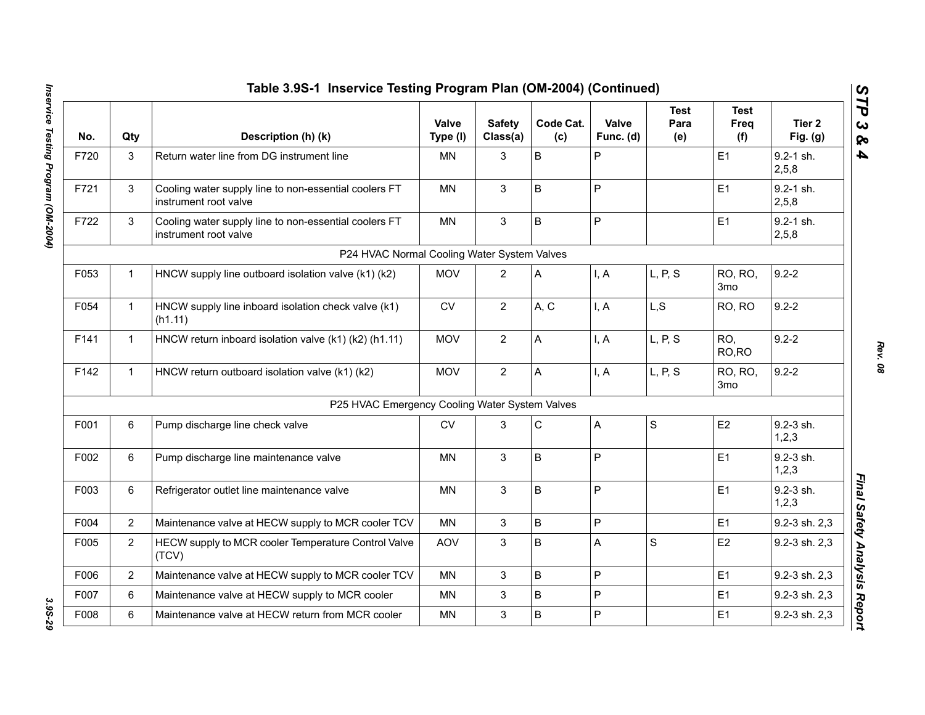|      |                | Table 3.9S-1 Inservice Testing Program Plan (OM-2004) (Continued)              |                   |                           |                  |                    |                     |                            |                        |
|------|----------------|--------------------------------------------------------------------------------|-------------------|---------------------------|------------------|--------------------|---------------------|----------------------------|------------------------|
| No.  | Qty            | Description (h) (k)                                                            | Valve<br>Type (I) | <b>Safety</b><br>Class(a) | Code Cat.<br>(c) | Valve<br>Func. (d) | Test<br>Para<br>(e) | Test<br>Freq<br>(f)        | Tier 2<br>Fig. $(g)$   |
| F720 | 3              | Return water line from DG instrument line                                      | <b>MN</b>         | 3                         | B                | P                  |                     | E <sub>1</sub>             | $9.2 - 1$ sh.<br>2,5,8 |
| F721 | 3              | Cooling water supply line to non-essential coolers FT<br>instrument root valve | <b>MN</b>         | $\mathbf{3}$              | B                | $\mathsf{P}$       |                     | E1                         | $9.2 - 1$ sh.<br>2,5,8 |
| F722 | 3              | Cooling water supply line to non-essential coolers FT<br>instrument root valve | <b>MN</b>         | 3                         | B                | $\mathsf{P}$       |                     | E1                         | $9.2 - 1$ sh.<br>2,5,8 |
|      |                | P24 HVAC Normal Cooling Water System Valves                                    |                   |                           |                  |                    |                     |                            |                        |
| F053 | $\mathbf{1}$   | HNCW supply line outboard isolation valve (k1) (k2)                            | <b>MOV</b>        | $\overline{2}$            | A                | I, A               | L, P, S             | RO, RO,<br>3 <sub>mo</sub> | $9.2 - 2$              |
| F054 | $\mathbf{1}$   | HNCW supply line inboard isolation check valve (k1)<br>(h1.11)                 | ${\sf CV}$        | $\overline{2}$            | A, C             | I, A               | L, S                | RO, RO                     | $9.2 - 2$              |
| F141 | $\mathbf{1}$   | HNCW return inboard isolation valve (k1) (k2) (h1.11)                          | <b>MOV</b>        | $\overline{2}$            | A                | I, A               | L, P, S             | RO,<br>RO, RO              | $9.2 - 2$              |
| F142 | $\mathbf{1}$   | HNCW return outboard isolation valve (k1) (k2)                                 | <b>MOV</b>        | $\overline{2}$            | A                | I, A               | L, P, S             | RO, RO,<br>3 <sub>mo</sub> | $9.2 - 2$              |
|      |                | P25 HVAC Emergency Cooling Water System Valves                                 |                   |                           |                  |                    |                     |                            |                        |
| F001 | 6              | Pump discharge line check valve                                                | <b>CV</b>         | 3                         | $\mathsf C$      | A                  | S                   | E <sub>2</sub>             | 9.2-3 sh.<br>1, 2, 3   |
| F002 | 6              | Pump discharge line maintenance valve                                          | MN                | 3                         | B                | $\mathsf{P}$       |                     | E1                         | 9.2-3 sh.<br>1,2,3     |
| F003 | 6              | Refrigerator outlet line maintenance valve                                     | <b>MN</b>         | 3                         | B                | $\mathsf{P}$       |                     | E1                         | 9.2-3 sh.<br>1, 2, 3   |
| F004 | 2              | Maintenance valve at HECW supply to MCR cooler TCV                             | MN                | $\mathbf{3}$              | B                | $\sf P$            |                     | E1                         | 9.2-3 sh. 2,3          |
| F005 | $\overline{2}$ | HECW supply to MCR cooler Temperature Control Valve<br>(TCV)                   | AOV               | 3                         | B                | A                  | $\mathsf{S}$        | E <sub>2</sub>             | 9.2-3 sh. 2,3          |
| F006 | $\overline{2}$ | Maintenance valve at HECW supply to MCR cooler TCV                             | MN                | 3                         | B                | $\mathsf{P}$       |                     | E <sub>1</sub>             | 9.2-3 sh. 2,3          |
| F007 | 6              | Maintenance valve at HECW supply to MCR cooler                                 | MN                | 3                         | B                | P                  |                     | E1                         | 9.2-3 sh. 2,3          |
| F008 | 6              | Maintenance valve at HECW return from MCR cooler                               | <b>MN</b>         | 3                         | B                | P                  |                     | E1                         | 9.2-3 sh. 2,3          |

*Rev. 08*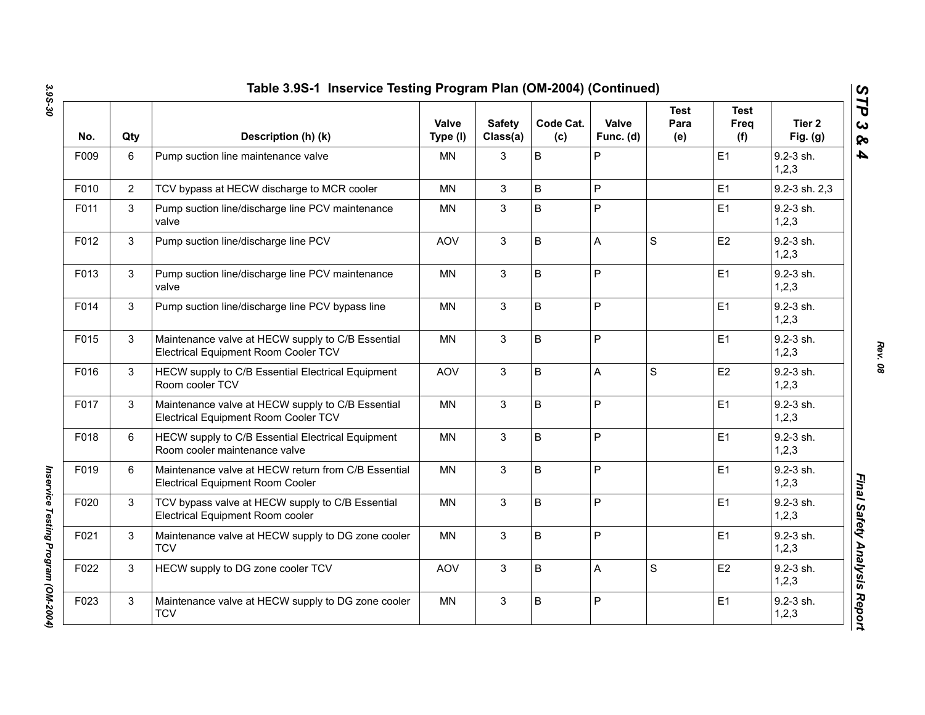| No.  | Qty            | Description (h) (k)                                                                            | Valve<br>Type (I) | <b>Safety</b><br>Class(a) | Code Cat.<br>(c) | Valve<br>Func. (d) | Test<br>Para<br>(e) | <b>Test</b><br>Freq<br>(f) | Tier <sub>2</sub><br>Fig. $(g)$ |
|------|----------------|------------------------------------------------------------------------------------------------|-------------------|---------------------------|------------------|--------------------|---------------------|----------------------------|---------------------------------|
| F009 | 6              | Pump suction line maintenance valve                                                            | <b>MN</b>         | 3                         | B                | P                  |                     | E1                         | 9.2-3 sh.<br>1,2,3              |
| F010 | $\overline{2}$ | TCV bypass at HECW discharge to MCR cooler                                                     | <b>MN</b>         | 3                         | B                | P                  |                     | E1                         | 9.2-3 sh. 2,3                   |
| F011 | 3              | Pump suction line/discharge line PCV maintenance<br>valve                                      | MN                | 3                         | B                | P                  |                     | E1                         | $9.2 - 3$ sh.<br>1, 2, 3        |
| F012 | 3              | Pump suction line/discharge line PCV                                                           | <b>AOV</b>        | 3                         | B                | A                  | S                   | E2                         | $9.2 - 3$ sh.<br>1, 2, 3        |
| F013 | 3              | Pump suction line/discharge line PCV maintenance<br>valve                                      | <b>MN</b>         | 3                         | B                | P                  |                     | E1                         | $9.2 - 3$ sh.<br>1, 2, 3        |
| F014 | $\mathbf{3}$   | Pump suction line/discharge line PCV bypass line                                               | <b>MN</b>         | 3                         | B                | P                  |                     | E1                         | 9.2-3 sh.<br>1,2,3              |
| F015 | 3              | Maintenance valve at HECW supply to C/B Essential<br>Electrical Equipment Room Cooler TCV      | <b>MN</b>         | 3                         | B                | P                  |                     | E1                         | 9.2-3 sh.<br>1, 2, 3            |
| F016 | 3              | HECW supply to C/B Essential Electrical Equipment<br>Room cooler TCV                           | <b>AOV</b>        | 3                         | B                | Α                  | S                   | E2                         | 9.2-3 sh.<br>1, 2, 3            |
| F017 | 3              | Maintenance valve at HECW supply to C/B Essential<br>Electrical Equipment Room Cooler TCV      | <b>MN</b>         | $\mathbf{3}$              | B                | P                  |                     | E1                         | 9.2-3 sh.<br>1,2,3              |
| F018 | 6              | HECW supply to C/B Essential Electrical Equipment<br>Room cooler maintenance valve             | <b>MN</b>         | $\mathbf{3}$              | B                | P                  |                     | E1                         | $9.2 - 3$ sh.<br>1, 2, 3        |
| F019 | 6              | Maintenance valve at HECW return from C/B Essential<br><b>Electrical Equipment Room Cooler</b> | <b>MN</b>         | 3                         | B                | P                  |                     | E1                         | $9.2 - 3$ sh.<br>1, 2, 3        |
| F020 | 3              | TCV bypass valve at HECW supply to C/B Essential<br>Electrical Equipment Room cooler           | <b>MN</b>         | $\mathbf{3}$              | B                | P                  |                     | E <sub>1</sub>             | $9.2 - 3$ sh.<br>1, 2, 3        |
| F021 | 3              | Maintenance valve at HECW supply to DG zone cooler<br><b>TCV</b>                               | <b>MN</b>         | $\mathbf{3}$              | B                | P                  |                     | E <sub>1</sub>             | 9.2-3 sh.<br>1, 2, 3            |
| F022 | 3              | HECW supply to DG zone cooler TCV                                                              | <b>AOV</b>        | $\mathbf{3}$              | B                | Α                  | S                   | E <sub>2</sub>             | 9.2-3 sh.<br>1,2,3              |
| F023 | 3              | Maintenance valve at HECW supply to DG zone cooler<br><b>TCV</b>                               | <b>MN</b>         | 3                         | B                | P                  |                     | E <sub>1</sub>             | 9.2-3 sh.<br>1, 2, 3            |

*Rev. 08*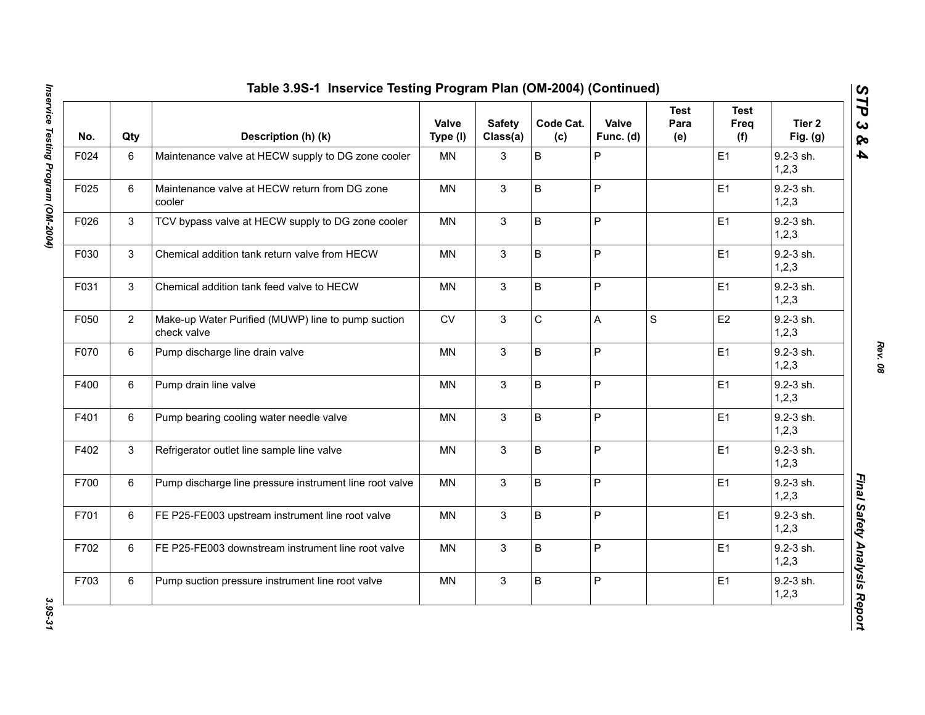| No.  | Qty | Description (h) (k)                                               | Valve<br>Type (I) | <b>Safety</b><br>Class(a) | Code Cat.<br>(c) | Valve<br>Func. (d) | <b>Test</b><br>Para<br>(e) | <b>Test</b><br>Freq<br>(f) | Tier 2<br>Fig. $(g)$   |
|------|-----|-------------------------------------------------------------------|-------------------|---------------------------|------------------|--------------------|----------------------------|----------------------------|------------------------|
| F024 | 6   | Maintenance valve at HECW supply to DG zone cooler                | <b>MN</b>         | 3                         | $\sf B$          | P                  |                            | E <sub>1</sub>             | 9.2-3 sh.<br>1, 2, 3   |
| F025 | 6   | Maintenance valve at HECW return from DG zone<br>cooler           | <b>MN</b>         | $\mathbf{3}$              | $\sf B$          | P                  |                            | E1                         | 9.2-3 sh.<br>1,2,3     |
| F026 | 3   | TCV bypass valve at HECW supply to DG zone cooler                 | <b>MN</b>         | $\mathbf{3}$              | $\mathsf B$      | P                  |                            | E1                         | 9.2-3 sh.<br>1,2,3     |
| F030 | 3   | Chemical addition tank return valve from HECW                     | MN                | 3                         | B                | P                  |                            | E1                         | 9.2-3 sh.<br>1,2,3     |
| F031 | 3   | Chemical addition tank feed valve to HECW                         | MN                | $\mathbf{3}$              | B                | P                  |                            | E1                         | 9.2-3 sh.<br>1, 2, 3   |
| F050 | 2   | Make-up Water Purified (MUWP) line to pump suction<br>check valve | CV                | 3                         | C                | A                  | $\mathbf S$                | E <sub>2</sub>             | 9.2-3 sh.<br>1,2,3     |
| F070 | 6   | Pump discharge line drain valve                                   | <b>MN</b>         | 3                         | $\sf B$          | P                  |                            | E1                         | 9.2-3 sh.<br>1,2,3     |
| F400 | 6   | Pump drain line valve                                             | <b>MN</b>         | 3                         | $\sf B$          | P                  |                            | E1                         | 9.2-3 sh.<br>1,2,3     |
| F401 | 6   | Pump bearing cooling water needle valve                           | <b>MN</b>         | 3                         | $\mathsf B$      | P                  |                            | E1                         | 9.2-3 sh.<br>1,2,3     |
| F402 | 3   | Refrigerator outlet line sample line valve                        | <b>MN</b>         | 3                         | B                | P                  |                            | E1                         | $9.2 - 3$ sh.<br>1,2,3 |
| F700 | 6   | Pump discharge line pressure instrument line root valve           | <b>MN</b>         | 3                         | B                | P                  |                            | E1                         | 9.2-3 sh.<br>1,2,3     |
| F701 | 6   | FE P25-FE003 upstream instrument line root valve                  | <b>MN</b>         | 3                         | $\sf B$          | P                  |                            | E1                         | 9.2-3 sh.<br>1,2,3     |
| F702 | 6   | FE P25-FE003 downstream instrument line root valve                | MN                | 3                         | $\sf B$          | P                  |                            | E1                         | 9.2-3 sh.<br>1,2,3     |
| F703 | 6   | Pump suction pressure instrument line root valve                  | <b>MN</b>         | 3                         | B                | P                  |                            | E1                         | 9.2-3 sh.<br>1,2,3     |

3.95-31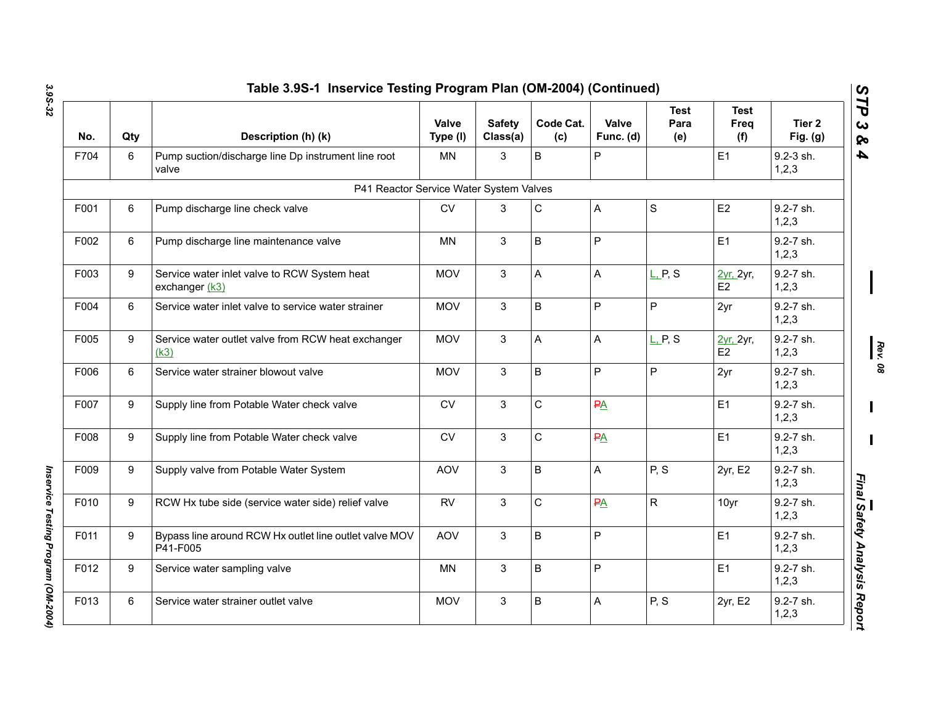| No.  | Qty | Description (h) (k)                                                | Valve<br>Type (I) | <b>Safety</b><br>Class(a) | Code Cat.<br>(c) | Valve<br>Func. (d) | <b>Test</b><br>Para<br>(e)        | <b>Test</b><br>Freq<br>(f) | Tier <sub>2</sub><br>Fig. $(g)$ |
|------|-----|--------------------------------------------------------------------|-------------------|---------------------------|------------------|--------------------|-----------------------------------|----------------------------|---------------------------------|
| F704 | 6   | Pump suction/discharge line Dp instrument line root<br>valve       | <b>MN</b>         | 3                         | B                | P                  |                                   | E1                         | 9.2-3 sh.<br>1,2,3              |
|      |     | P41 Reactor Service Water System Valves                            |                   |                           |                  |                    |                                   |                            |                                 |
| F001 | 6   | Pump discharge line check valve                                    | <b>CV</b>         | 3                         | $\mathsf C$      | A                  | S                                 | E <sub>2</sub>             | 9.2-7 sh.<br>1,2,3              |
| F002 | 6   | Pump discharge line maintenance valve                              | <b>MN</b>         | 3                         | B                | P                  |                                   | E1                         | 9.2-7 sh.<br>1, 2, 3            |
| F003 | 9   | Service water inlet valve to RCW System heat<br>exchanger (k3)     | <b>MOV</b>        | 3                         | A                | A                  | $L$ <sub>r</sub> $P$ , S          | 2yr, 2yr,<br>E2            | 9.2-7 sh.<br>1,2,3              |
| F004 | 6   | Service water inlet valve to service water strainer                | <b>MOV</b>        | $\mathbf{3}$              | B                | P                  | P                                 | 2yr                        | 9.2-7 sh.<br>1, 2, 3            |
| F005 | 9   | Service water outlet valve from RCW heat exchanger<br>(k3)         | <b>MOV</b>        | 3                         | A                | A                  | $L$ <sub>L</sub> P <sub>,</sub> S | 2yr, 2yr,<br>E2            | 9.2-7 sh.<br>1,2,3              |
| F006 | 6   | Service water strainer blowout valve                               | <b>MOV</b>        | 3                         | B                | P                  | P                                 | 2yr                        | 9.2-7 sh.<br>1, 2, 3            |
| F007 | 9   | Supply line from Potable Water check valve                         | CV                | 3                         | $\mathsf{C}$     | PA                 |                                   | E1                         | 9.2-7 sh.<br>1,2,3              |
| F008 | 9   | Supply line from Potable Water check valve                         | ${\sf CV}$        | 3                         | $\mathsf C$      | PA                 |                                   | E1                         | 9.2-7 sh.<br>1,2,3              |
| F009 | 9   | Supply valve from Potable Water System                             | <b>AOV</b>        | 3                         | B                | A                  | P, S                              | 2yr, E2                    | 9.2-7 sh.<br>1,2,3              |
| F010 | 9   | RCW Hx tube side (service water side) relief valve                 | <b>RV</b>         | 3                         | $\mathsf C$      | PA                 | $\mathsf{R}$                      | 10yr                       | 9.2-7 sh.<br>1,2,3              |
| F011 | 9   | Bypass line around RCW Hx outlet line outlet valve MOV<br>P41-F005 | <b>AOV</b>        | 3                         | B                | P                  |                                   | E1                         | 9.2-7 sh.<br>1,2,3              |
| F012 | 9   | Service water sampling valve                                       | MN                | 3                         | B                | P                  |                                   | E1                         | 9.2-7 sh.<br>1,2,3              |
| F013 | 6   | Service water strainer outlet valve                                | <b>MOV</b>        | 3                         | B                | A                  | P, S                              | 2yr, E2                    | 9.2-7 sh.<br>1,2,3              |

Inservice Testing Program (OM-2004) *Inservice Testing Program (OM-2004)* 

*Rev. 08*

 $\mathbf I$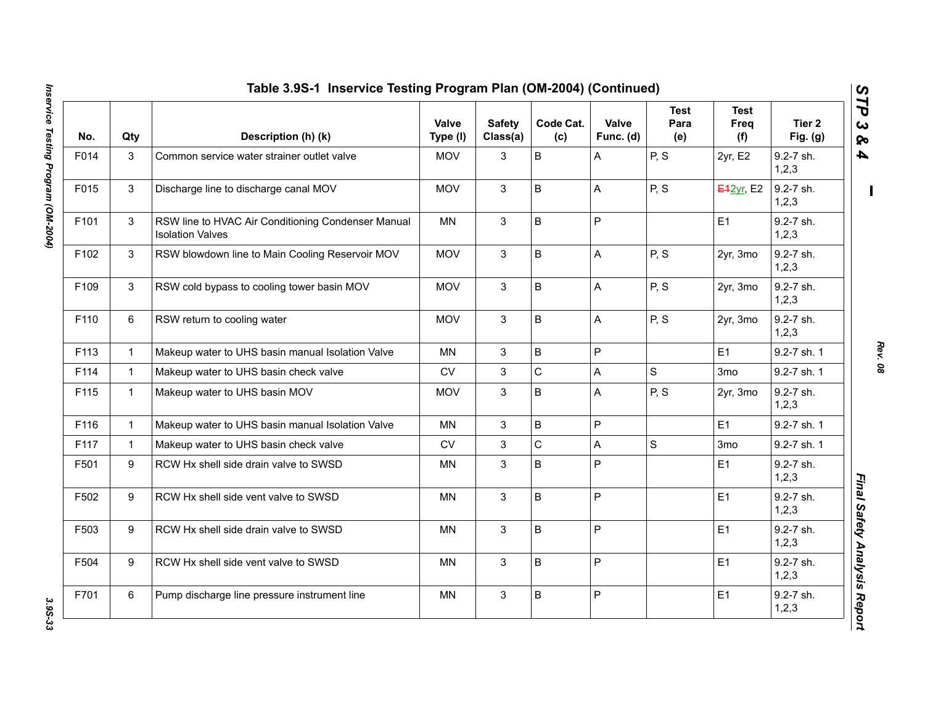| No.  | Qty          | Description (h) (k)                                                           | Valve<br>Type (I) | <b>Safety</b><br>Class(a) | Code Cat.<br>(c) | Valve<br>Func. (d)        | <b>Test</b><br>Para<br>(e) | Test<br>Freq<br>(f) | Tier 2<br>Fig. $(g)$ |
|------|--------------|-------------------------------------------------------------------------------|-------------------|---------------------------|------------------|---------------------------|----------------------------|---------------------|----------------------|
| F014 | 3            | Common service water strainer outlet valve                                    | <b>MOV</b>        | 3                         | B                | A                         | P, S                       | 2yr, E2             | 9.2-7 sh.<br>1,2,3   |
| F015 | 3            | Discharge line to discharge canal MOV                                         | <b>MOV</b>        | $\mathbf{3}$              | B                | A                         | P, S                       | <b>E42yr, E2</b>    | 9.2-7 sh.<br>1, 2, 3 |
| F101 | 3            | RSW line to HVAC Air Conditioning Condenser Manual<br><b>Isolation Valves</b> | MN                | 3                         | B                | $\mathsf{P}$              |                            | E1                  | 9.2-7 sh.<br>1, 2, 3 |
| F102 | 3            | RSW blowdown line to Main Cooling Reservoir MOV                               | <b>MOV</b>        | $\mathbf{3}$              | B                | $\boldsymbol{\mathsf{A}}$ | P, S                       | 2yr, 3mo            | 9.2-7 sh.<br>1, 2, 3 |
| F109 | 3            | RSW cold bypass to cooling tower basin MOV                                    | <b>MOV</b>        | 3                         | B                | $\mathsf{A}$              | P, S                       | 2yr, 3mo            | 9.2-7 sh.<br>1, 2, 3 |
| F110 | 6            | RSW return to cooling water                                                   | <b>MOV</b>        | $\mathbf{3}$              | B                | A                         | P, S                       | 2yr, 3mo            | 9.2-7 sh.<br>1,2,3   |
| F113 | $\mathbf{1}$ | Makeup water to UHS basin manual Isolation Valve                              | <b>MN</b>         | 3                         | B                | $\mathsf{P}$              |                            | E1                  | 9.2-7 sh. 1          |
| F114 | $\mathbf{1}$ | Makeup water to UHS basin check valve                                         | ${\sf CV}$        | $\mathbf{3}$              | $\mathsf C$      | $\mathsf{A}$              | $\mathsf{S}$               | 3 <sub>mo</sub>     | 9.2-7 sh. 1          |
| F115 | $\mathbf{1}$ | Makeup water to UHS basin MOV                                                 | <b>MOV</b>        | $\mathbf{3}$              | B                | A                         | P, S                       | 2yr, 3mo            | 9.2-7 sh.<br>1, 2, 3 |
| F116 | $\mathbf{1}$ | Makeup water to UHS basin manual Isolation Valve                              | <b>MN</b>         | $\mathbf{3}$              | B                | $\mathsf{P}$              |                            | E1                  | 9.2-7 sh. 1          |
| F117 | $\mathbf{1}$ | Makeup water to UHS basin check valve                                         | <b>CV</b>         | $\mathbf{3}$              | $\mathsf C$      | $\mathsf{A}$              | $\mathbf S$                | 3mo                 | 9.2-7 sh. 1          |
| F501 | 9            | RCW Hx shell side drain valve to SWSD                                         | MN                | 3                         | B                | $\sf P$                   |                            | E1                  | 9.2-7 sh.<br>1,2,3   |
| F502 | 9            | RCW Hx shell side vent valve to SWSD                                          | <b>MN</b>         | 3                         | B                | $\mathsf P$               |                            | E1                  | 9.2-7 sh.<br>1, 2, 3 |
| F503 | 9            | RCW Hx shell side drain valve to SWSD                                         | <b>MN</b>         | 3                         | B                | $\mathsf P$               |                            | E1                  | 9.2-7 sh.<br>1,2,3   |
| F504 | 9            | RCW Hx shell side vent valve to SWSD                                          | <b>MN</b>         | 3                         | B                | $\mathsf{P}$              |                            | E1                  | 9.2-7 sh.<br>1, 2, 3 |
| F701 | 6            | Pump discharge line pressure instrument line                                  | <b>MN</b>         | 3                         | B                | $\mathsf{P}$              |                            | E1                  | 9.2-7 sh.<br>1,2,3   |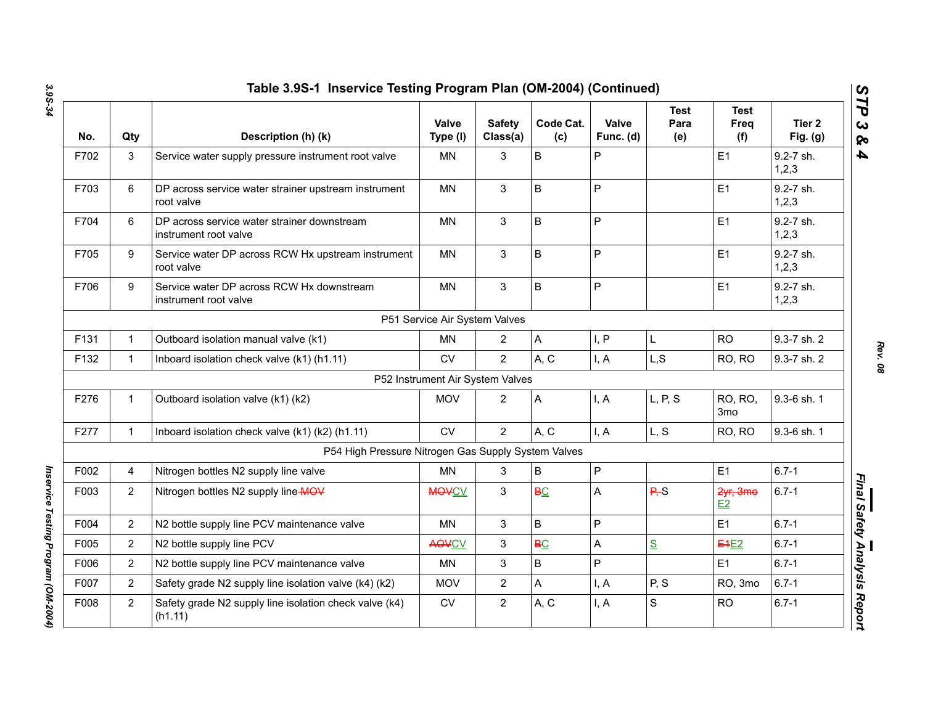| No.  | Qty            | Description (h) (k)                                                  | <b>Valve</b><br>Type (I)         | <b>Safety</b><br>Class(a) | Code Cat.<br>(c) | Valve<br>Func. (d) | <b>Test</b><br>Para<br>(e) | <b>Test</b><br>Freq<br>(f) | Tier <sub>2</sub><br>Fig. $(g)$ |
|------|----------------|----------------------------------------------------------------------|----------------------------------|---------------------------|------------------|--------------------|----------------------------|----------------------------|---------------------------------|
| F702 | 3              | Service water supply pressure instrument root valve                  | <b>MN</b>                        | 3                         | $\sf B$          | P                  |                            | E1                         | 9.2-7 sh.<br>1,2,3              |
| F703 | 6              | DP across service water strainer upstream instrument<br>root valve   | <b>MN</b>                        | 3                         | B                | P                  |                            | E1                         | 9.2-7 sh.<br>1,2,3              |
| F704 | 6              | DP across service water strainer downstream<br>instrument root valve | <b>MN</b>                        | 3                         | $\sf B$          | P                  |                            | E1                         | 9.2-7 sh.<br>1,2,3              |
| F705 | 9              | Service water DP across RCW Hx upstream instrument<br>root valve     | <b>MN</b>                        | 3                         | $\sf B$          | Ρ                  |                            | E1                         | 9.2-7 sh.<br>1,2,3              |
| F706 | 9              | Service water DP across RCW Hx downstream<br>instrument root valve   | <b>MN</b>                        | 3                         | $\sf B$          | P                  |                            | E1                         | 9.2-7 sh.<br>1, 2, 3            |
|      |                |                                                                      | P51 Service Air System Valves    |                           |                  |                    |                            |                            |                                 |
| F131 | 1              | Outboard isolation manual valve (k1)                                 | <b>MN</b>                        | 2                         | $\mathsf{A}$     | I, P               | L                          | <b>RO</b>                  | 9.3-7 sh. 2                     |
| F132 | $\mathbf{1}$   | Inboard isolation check valve (k1) (h1.11)                           | <b>CV</b>                        | $\overline{2}$            | A, C             | I, A               | L, S                       | RO, RO                     | 9.3-7 sh. 2                     |
|      |                |                                                                      | P52 Instrument Air System Valves |                           |                  |                    |                            |                            |                                 |
| F276 | 1              | Outboard isolation valve (k1) (k2)                                   | <b>MOV</b>                       | $\overline{2}$            | A                | I, A               | L, P, S                    | RO, RO,<br>3 <sub>mo</sub> | 9.3-6 sh. 1                     |
| F277 | $\mathbf{1}$   | Inboard isolation check valve (k1) (k2) (h1.11)                      | CV                               | $\overline{2}$            | A, C             | I, A               | L, S                       | RO, RO                     | 9.3-6 sh. 1                     |
|      |                | P54 High Pressure Nitrogen Gas Supply System Valves                  |                                  |                           |                  |                    |                            |                            |                                 |
| F002 | 4              | Nitrogen bottles N2 supply line valve                                | <b>MN</b>                        | 3                         | B                | P                  |                            | E1                         | $6.7 - 1$                       |
| F003 | $\overline{2}$ | Nitrogen bottles N2 supply line MOV                                  | <b>MOVCV</b>                     | 3                         | <b>BC</b>        | Α                  | P, S                       | 2yr, 3mo<br>E2             | $6.7 - 1$                       |
| F004 | $\overline{2}$ | N2 bottle supply line PCV maintenance valve                          | MN                               | 3                         | B                | P                  |                            | E1                         | $6.7 - 1$                       |
| F005 | $\overline{2}$ | N2 bottle supply line PCV                                            | <b>AOVCV</b>                     | 3                         | <b>BC</b>        | Α                  | S                          | <b>E4E2</b>                | $6.7 - 1$                       |
| F006 | $\overline{2}$ | N2 bottle supply line PCV maintenance valve                          | MN                               | 3                         | $\sf B$          | P                  |                            | E1                         | $6.7 - 1$                       |
| F007 | $\overline{2}$ | Safety grade N2 supply line isolation valve (k4) (k2)                | <b>MOV</b>                       | $\overline{2}$            | A                | I, A               | P, S                       | RO, 3mo                    | $6.7 - 1$                       |
| F008 | $\overline{2}$ | Safety grade N2 supply line isolation check valve (k4)<br>(h1.11)    | <b>CV</b>                        | $\overline{2}$            | A, C             | I, A               | S                          | <b>RO</b>                  | $6.7 - 1$                       |

*Rev. 08*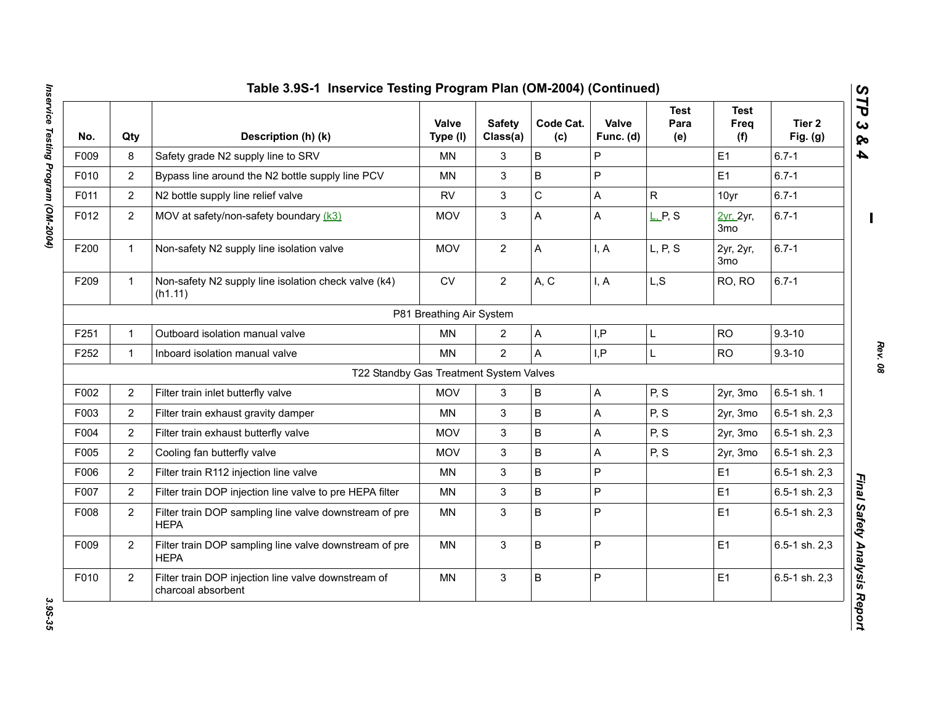| No.  | Qty            | Description (h) (k)                                                       | <b>Valve</b><br>Type (I) | <b>Safety</b><br>Class(a) | Code Cat.<br>(c) | Valve<br>Func. (d)        | <b>Test</b><br>Para<br>(e) | <b>Test</b><br>Freq<br>(f)   | Tier 2<br>Fig. $(g)$ |
|------|----------------|---------------------------------------------------------------------------|--------------------------|---------------------------|------------------|---------------------------|----------------------------|------------------------------|----------------------|
| F009 | 8              | Safety grade N2 supply line to SRV                                        | MN                       | 3                         | B                | ${\sf P}$                 |                            | E <sub>1</sub>               | $6.7 - 1$            |
| F010 | $\overline{2}$ | Bypass line around the N2 bottle supply line PCV                          | <b>MN</b>                | 3                         | B                | $\overline{P}$            |                            | E <sub>1</sub>               | $6.7 - 1$            |
| F011 | $\overline{2}$ | N2 bottle supply line relief valve                                        | <b>RV</b>                | $\mathbf{3}$              | $\mathsf C$      | A                         | $\mathsf{R}$               | 10yr                         | $6.7 - 1$            |
| F012 | $\overline{2}$ | MOV at safety/non-safety boundary (k3)                                    | <b>MOV</b>               | 3                         | A                | A                         | L, P, S                    | 2yr, 2yr,<br>3 <sub>mo</sub> | $6.7 - 1$            |
| F200 | $\mathbf{1}$   | Non-safety N2 supply line isolation valve                                 | <b>MOV</b>               | $\overline{2}$            | A                | I, A                      | L, P, S                    | 2yr, 2yr,<br>3 <sub>mo</sub> | $6.7 - 1$            |
| F209 | $\mathbf{1}$   | Non-safety N2 supply line isolation check valve (k4)<br>(h1.11)           | ${\sf CV}$               | $\overline{2}$            | A, C             | I, A                      | L, S                       | RO, RO                       | $6.7 - 1$            |
|      |                |                                                                           | P81 Breathing Air System |                           |                  |                           |                            |                              |                      |
| F251 | $\mathbf{1}$   | Outboard isolation manual valve                                           | <b>MN</b>                | $\overline{2}$            | A                | I, P                      | L                          | <b>RO</b>                    | $9.3 - 10$           |
| F252 | $\mathbf{1}$   | Inboard isolation manual valve                                            | <b>MN</b>                | $\overline{2}$            | A                | I, P                      | L                          | <b>RO</b>                    | $9.3 - 10$           |
|      |                | T22 Standby Gas Treatment System Valves                                   |                          |                           |                  |                           |                            |                              |                      |
| F002 | 2              | Filter train inlet butterfly valve                                        | <b>MOV</b>               | 3                         | B                | $\boldsymbol{\mathsf{A}}$ | P, S                       | 2yr, 3mo                     | 6.5-1 sh. 1          |
| F003 | $\overline{2}$ | Filter train exhaust gravity damper                                       | MN                       | 3                         | B                | $\mathsf{A}$              | P, S                       | 2yr, 3mo                     | 6.5-1 sh. 2,3        |
| F004 | $\overline{2}$ | Filter train exhaust butterfly valve                                      | <b>MOV</b>               | 3                         | B                | A                         | P, S                       | 2yr, 3mo                     | 6.5-1 sh. 2,3        |
| F005 | $\overline{2}$ | Cooling fan butterfly valve                                               | <b>MOV</b>               | 3                         | B                | A                         | P, S                       | 2yr, 3mo                     | 6.5-1 sh. 2,3        |
| F006 | $\overline{2}$ | Filter train R112 injection line valve                                    | <b>MN</b>                | 3                         | B                | $\mathsf{P}$              |                            | E <sub>1</sub>               | 6.5-1 sh. 2,3        |
| F007 | 2              | Filter train DOP injection line valve to pre HEPA filter                  | <b>MN</b>                | 3                         | B                | $\overline{P}$            |                            | E1                           | 6.5-1 sh. 2,3        |
| F008 | $\overline{2}$ | Filter train DOP sampling line valve downstream of pre<br><b>HEPA</b>     | MN                       | 3                         | B                | P                         |                            | E1                           | 6.5-1 sh. 2,3        |
| F009 | $\overline{2}$ | Filter train DOP sampling line valve downstream of pre<br><b>HEPA</b>     | <b>MN</b>                | $\mathbf{3}$              | B                | P                         |                            | E <sub>1</sub>               | 6.5-1 sh. 2,3        |
| F010 | $\overline{2}$ | Filter train DOP injection line valve downstream of<br>charcoal absorbent | <b>MN</b>                | $\mathbf{3}$              | B                | $\mathsf{P}$              |                            | E1                           | 6.5-1 sh. 2,3        |

*Rev. 08*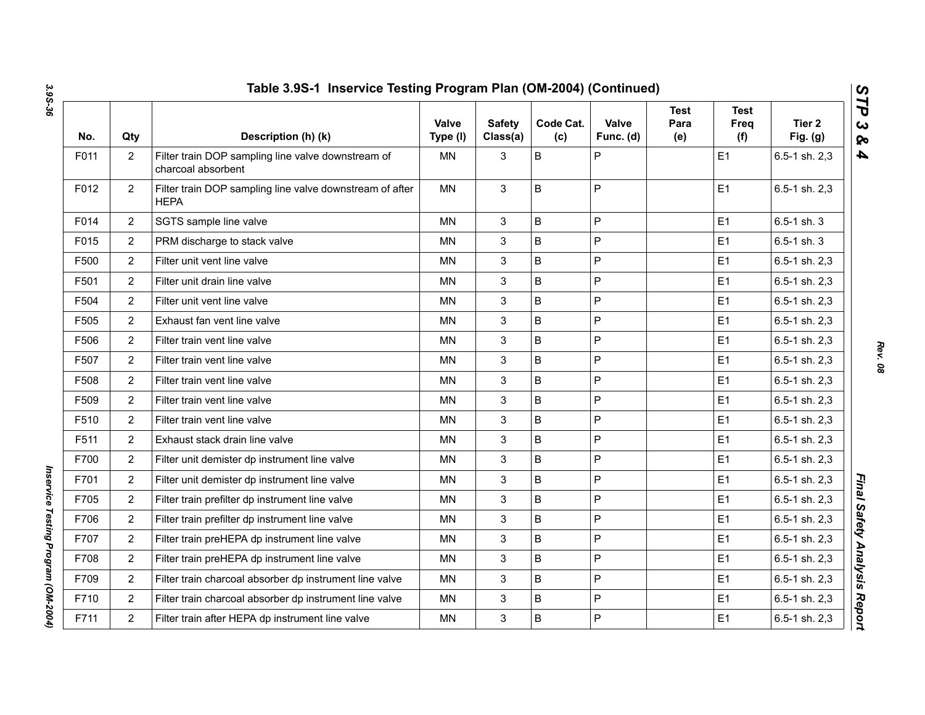| No.  | Qty            | Description (h) (k)                                                      | Valve<br>Type (I) | <b>Safety</b><br>Class(a) | Code Cat.<br>(c) | Valve<br>Func. (d) | <b>Test</b><br>Para<br>(e) | <b>Test</b><br>Freq<br>(f) | Tier 2<br>Fig. $(g)$ |
|------|----------------|--------------------------------------------------------------------------|-------------------|---------------------------|------------------|--------------------|----------------------------|----------------------------|----------------------|
| F011 | $\overline{2}$ | Filter train DOP sampling line valve downstream of<br>charcoal absorbent | ΜN                | 3                         | B                | P                  |                            | E1                         | 6.5-1 sh. 2,3        |
| F012 | $\overline{2}$ | Filter train DOP sampling line valve downstream of after<br><b>HEPA</b>  | ΜN                | 3                         | B                | P                  |                            | E <sub>1</sub>             | 6.5-1 sh. 2,3        |
| F014 | $\overline{2}$ | SGTS sample line valve                                                   | <b>MN</b>         | 3                         | B                | P                  |                            | E1                         | $6.5 - 1$ sh. 3      |
| F015 | $\overline{2}$ | PRM discharge to stack valve                                             | <b>MN</b>         | 3                         | B                | P                  |                            | E1                         | $6.5 - 1$ sh. 3      |
| F500 | 2              | Filter unit vent line valve                                              | MN                | 3                         | B                | P                  |                            | E1                         | 6.5-1 sh. 2,3        |
| F501 | $\overline{2}$ | Filter unit drain line valve                                             | <b>MN</b>         | 3                         | B                | P                  |                            | E1                         | 6.5-1 sh. 2,3        |
| F504 | $\overline{2}$ | Filter unit vent line valve                                              | <b>MN</b>         | $\mathbf{3}$              | B                | P                  |                            | E1                         | 6.5-1 sh. 2,3        |
| F505 | $\overline{2}$ | Exhaust fan vent line valve                                              | MN                | $\mathbf{3}$              | B                | P                  |                            | E <sub>1</sub>             | 6.5-1 sh. 2,3        |
| F506 | $\overline{2}$ | Filter train vent line valve                                             | <b>MN</b>         | $\mathbf{3}$              | B                | P                  |                            | E1                         | 6.5-1 sh. 2,3        |
| F507 | $\overline{c}$ | Filter train vent line valve                                             | <b>MN</b>         | 3                         | B                | P                  |                            | E1                         | 6.5-1 sh. 2,3        |
| F508 | $\overline{2}$ | Filter train vent line valve                                             | <b>MN</b>         | $\mathbf{3}$              | B                | P                  |                            | E <sub>1</sub>             | 6.5-1 sh. 2,3        |
| F509 | $\overline{c}$ | Filter train vent line valve                                             | <b>MN</b>         | 3                         | B                | P                  |                            | E <sub>1</sub>             | $6.5 - 1$ sh. $2,3$  |
| F510 | $\overline{2}$ | Filter train vent line valve                                             | <b>MN</b>         | 3                         | B                | P                  |                            | E1                         | 6.5-1 sh. 2,3        |
| F511 | $\overline{2}$ | Exhaust stack drain line valve                                           | <b>MN</b>         | $\mathbf{3}$              | B                | P                  |                            | E1                         | 6.5-1 sh. 2,3        |
| F700 | $\overline{2}$ | Filter unit demister dp instrument line valve                            | MN                | $\mathbf{3}$              | B                | P                  |                            | E1                         | 6.5-1 sh. 2,3        |
| F701 | $\overline{2}$ | Filter unit demister dp instrument line valve                            | <b>MN</b>         | 3                         | B                | P                  |                            | E1                         | 6.5-1 sh. 2,3        |
| F705 | $\overline{c}$ | Filter train prefilter dp instrument line valve                          | <b>MN</b>         | 3                         | B                | P                  |                            | E <sub>1</sub>             | 6.5-1 sh. 2,3        |
| F706 | $\overline{2}$ | Filter train prefilter dp instrument line valve                          | <b>MN</b>         | 3                         | B                | P                  |                            | E1                         | 6.5-1 sh. 2,3        |
| F707 | 2              | Filter train preHEPA dp instrument line valve                            | <b>MN</b>         | 3                         | B                | P                  |                            | E1                         | 6.5-1 sh. 2,3        |
| F708 | $\overline{2}$ | Filter train preHEPA dp instrument line valve                            | <b>MN</b>         | 3                         | B                | P                  |                            | E1                         | 6.5-1 sh. 2,3        |
| F709 | $\overline{2}$ | Filter train charcoal absorber dp instrument line valve                  | <b>MN</b>         | 3                         | B                | P                  |                            | E1                         | 6.5-1 sh. 2,3        |
| F710 | $\overline{2}$ | Filter train charcoal absorber dp instrument line valve                  | MN                | 3                         | B                | P                  |                            | E <sub>1</sub>             | 6.5-1 sh. 2,3        |
| F711 | $\overline{2}$ | Filter train after HEPA dp instrument line valve                         | MN                | 3                         | B                | P                  |                            | E <sub>1</sub>             | 6.5-1 sh. 2,3        |
|      |                |                                                                          |                   |                           |                  |                    |                            |                            |                      |

*Inservice Testing Program (OM-2004)* 

Inservice Testing Program (OM-2004)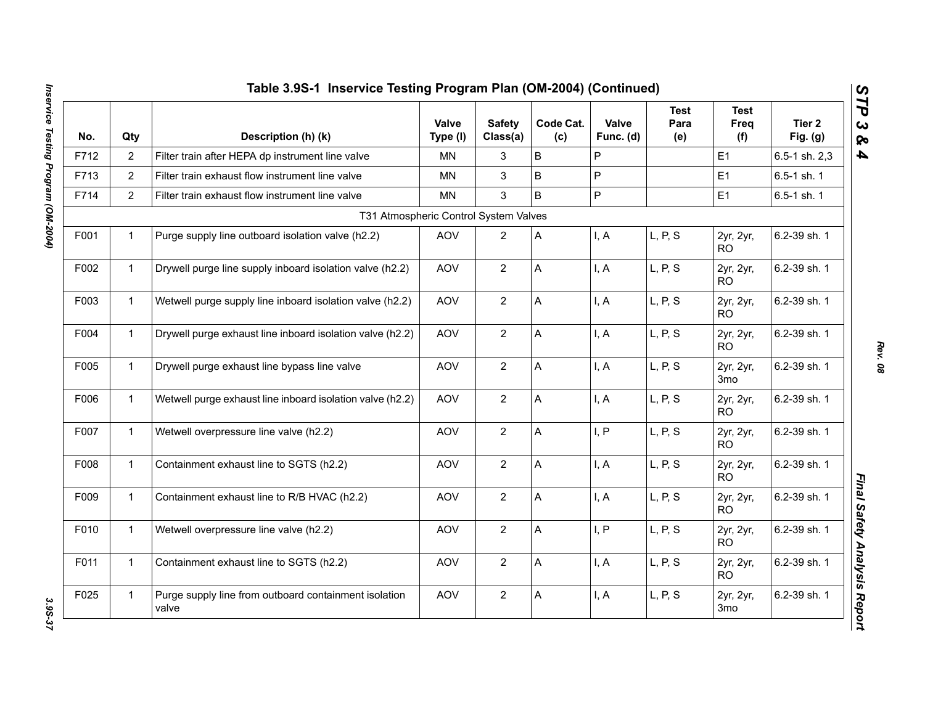| Table 3.9S-1 Inservice Testing Program Plan (OM-2004) (Continued) |                |                                                                |                   |                           |                  |                    |                     |                              |                      |
|-------------------------------------------------------------------|----------------|----------------------------------------------------------------|-------------------|---------------------------|------------------|--------------------|---------------------|------------------------------|----------------------|
| No.                                                               | Qty            | Description (h) (k)                                            | Valve<br>Type (I) | <b>Safety</b><br>Class(a) | Code Cat.<br>(c) | Valve<br>Func. (d) | Test<br>Para<br>(e) | Test<br>Freq<br>(f)          | Tier 2<br>Fig. $(g)$ |
| F712                                                              | $\overline{2}$ | Filter train after HEPA dp instrument line valve               | MN                | 3                         | B                | P                  |                     | E1                           | 6.5-1 sh. 2,3        |
| F713                                                              | $\overline{2}$ | Filter train exhaust flow instrument line valve                | MN                | 3                         | B                | P                  |                     | E <sub>1</sub>               | 6.5-1 sh. 1          |
| F714                                                              | $\overline{2}$ | Filter train exhaust flow instrument line valve                | <b>MN</b>         | 3                         | B                | P                  |                     | E <sub>1</sub>               | 6.5-1 sh. 1          |
|                                                                   |                | T31 Atmospheric Control System Valves                          |                   |                           |                  |                    |                     |                              |                      |
| F001                                                              | $\mathbf{1}$   | Purge supply line outboard isolation valve (h2.2)              | <b>AOV</b>        | $\overline{2}$            | A                | I, A               | L, P, S             | 2yr, 2yr,<br>RO.             | 6.2-39 sh. 1         |
| F002                                                              | $\mathbf{1}$   | Drywell purge line supply inboard isolation valve (h2.2)       | AOV               | $\overline{2}$            | A                | I, A               | L, P, S             | 2yr, 2yr,<br><b>RO</b>       | 6.2-39 sh. 1         |
| F003                                                              | $\mathbf{1}$   | Wetwell purge supply line inboard isolation valve (h2.2)       | AOV               | $\overline{2}$            | A                | I, A               | L, P, S             | 2yr, 2yr,<br><b>RO</b>       | 6.2-39 sh. 1         |
| F004                                                              | $\mathbf{1}$   | Drywell purge exhaust line inboard isolation valve (h2.2)      | AOV               | $\overline{2}$            | A                | I, A               | L, P, S             | 2yr, 2yr,<br>RO.             | 6.2-39 sh. 1         |
| F005                                                              | $\mathbf{1}$   | Drywell purge exhaust line bypass line valve                   | <b>AOV</b>        | $\overline{2}$            | A                | I, A               | L, P, S             | 2yr, 2yr,<br>3 <sub>mo</sub> | 6.2-39 sh. 1         |
| F006                                                              | $\mathbf{1}$   | Wetwell purge exhaust line inboard isolation valve (h2.2)      | <b>AOV</b>        | $\overline{2}$            | A                | I, A               | L, P, S             | 2yr, 2yr,<br><b>RO</b>       | 6.2-39 sh. 1         |
| F007                                                              | $\mathbf{1}$   | Wetwell overpressure line valve (h2.2)                         | AOV               | $\overline{2}$            | A                | I, P               | L, P, S             | 2yr, 2yr,<br><b>RO</b>       | 6.2-39 sh. 1         |
| F008                                                              | $\mathbf{1}$   | Containment exhaust line to SGTS (h2.2)                        | AOV               | $\mathbf{2}$              | A                | I, A               | L, P, S             | 2yr, 2yr,<br><b>RO</b>       | 6.2-39 sh. 1         |
| F009                                                              | $\mathbf{1}$   | Containment exhaust line to R/B HVAC (h2.2)                    | <b>AOV</b>        | $\overline{2}$            | A                | I, A               | L, P, S             | 2yr, 2yr,<br><b>RO</b>       | 6.2-39 sh. 1         |
| F010                                                              | $\mathbf{1}$   | Wetwell overpressure line valve (h2.2)                         | AOV               | $\overline{2}$            | A                | I, P               | L, P, S             | 2yr, 2yr,<br><b>RO</b>       | 6.2-39 sh. 1         |
| F011                                                              | $\mathbf{1}$   | Containment exhaust line to SGTS (h2.2)                        | AOV               | $\overline{2}$            | A                | I, A               | L, P, S             | 2yr, 2yr,<br><b>RO</b>       | 6.2-39 sh. 1         |
| F025                                                              | $\mathbf{1}$   | Purge supply line from outboard containment isolation<br>valve | AOV               | $\overline{2}$            | A                | I, A               | L, P, S             | 2yr, 2yr,<br>3 <sub>mo</sub> | 6.2-39 sh. 1         |

3.95-37

*Rev. 08*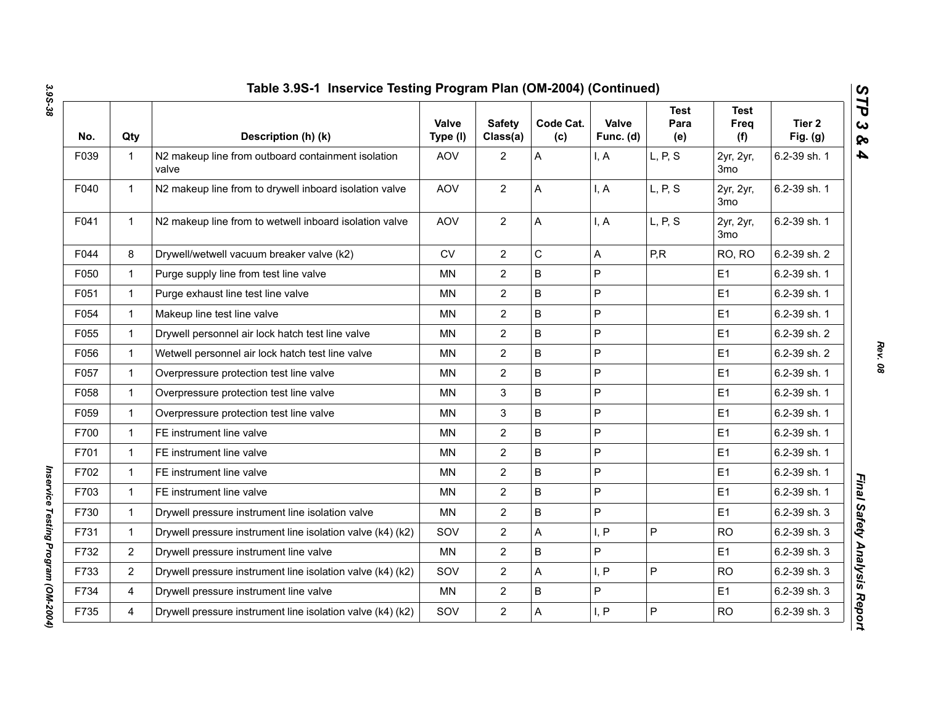| No.  | Qty            | Description (h) (k)                                         | Valve<br>Type (I) | <b>Safety</b><br>Class(a) | Code Cat.<br>(c) | Valve<br>Func. (d) | <b>Test</b><br>Para<br>(e) | Test<br>Freq<br>(f)          | Tier <sub>2</sub><br>Fig. $(g)$ |
|------|----------------|-------------------------------------------------------------|-------------------|---------------------------|------------------|--------------------|----------------------------|------------------------------|---------------------------------|
| F039 | $\mathbf{1}$   | N2 makeup line from outboard containment isolation<br>valve | <b>AOV</b>        | $\overline{2}$            | A                | I, A               | L, P, S                    | 2yr, 2yr,<br>3 <sub>mo</sub> | 6.2-39 sh. 1                    |
| F040 | $\mathbf{1}$   | N2 makeup line from to drywell inboard isolation valve      | <b>AOV</b>        | $\overline{2}$            | A                | I, A               | L, P, S                    | 2yr, 2yr,<br>3mo             | 6.2-39 sh. 1                    |
| F041 | $\mathbf{1}$   | N2 makeup line from to wetwell inboard isolation valve      | <b>AOV</b>        | $\overline{2}$            | A                | I, A               | L, P, S                    | 2yr, 2yr,<br>3 <sub>mo</sub> | 6.2-39 sh. 1                    |
| F044 | 8              | Drywell/wetwell vacuum breaker valve (k2)                   | CV                | $\overline{2}$            | $\mathsf C$      | A                  | P, R                       | RO, RO                       | 6.2-39 sh. 2                    |
| F050 | $\mathbf 1$    | Purge supply line from test line valve                      | <b>MN</b>         | $\overline{2}$            | B                | P                  |                            | E1                           | 6.2-39 sh. 1                    |
| F051 | $\mathbf 1$    | Purge exhaust line test line valve                          | ΜN                | $\overline{2}$            | $\mathsf{B}$     | P                  |                            | E1                           | 6.2-39 sh. 1                    |
| F054 | $\mathbf 1$    | Makeup line test line valve                                 | <b>MN</b>         | $\overline{2}$            | B                | P                  |                            | E1                           | 6.2-39 sh. 1                    |
| F055 | $\mathbf 1$    | Drywell personnel air lock hatch test line valve            | ΜN                | $\overline{2}$            | $\sf B$          | P                  |                            | E1                           | 6.2-39 sh. 2                    |
| F056 | $\mathbf 1$    | Wetwell personnel air lock hatch test line valve            | ΜN                | $\overline{2}$            | $\mathsf{B}$     | P                  |                            | E1                           | 6.2-39 sh. 2                    |
| F057 | $\mathbf 1$    | Overpressure protection test line valve                     | <b>MN</b>         | $\overline{2}$            | B                | P                  |                            | E1                           | 6.2-39 sh. 1                    |
| F058 | $\mathbf 1$    | Overpressure protection test line valve                     | MN.               | 3                         | $\sf B$          | P                  |                            | E1                           | 6.2-39 sh. 1                    |
| F059 | $\mathbf{1}$   | Overpressure protection test line valve                     | <b>MN</b>         | 3                         | $\sf B$          | P                  |                            | E1                           | 6.2-39 sh. 1                    |
| F700 | $\mathbf 1$    | FE instrument line valve                                    | ΜN                | $\overline{2}$            | $\sf B$          | P                  |                            | E1                           | 6.2-39 sh. 1                    |
| F701 | $\mathbf{1}$   | FE instrument line valve                                    | <b>MN</b>         | $\overline{2}$            | $\sf B$          | P                  |                            | E1                           | 6.2-39 sh. 1                    |
| F702 | $\mathbf 1$    | FE instrument line valve                                    | ΜN                | $\overline{c}$            | $\sf B$          | P                  |                            | E1                           | 6.2-39 sh. 1                    |
| F703 | $\mathbf 1$    | FE instrument line valve                                    | ΜN                | $\overline{2}$            | $\sf B$          | P                  |                            | E1                           | 6.2-39 sh. 1                    |
| F730 | $\mathbf 1$    | Drywell pressure instrument line isolation valve            | MN                | $\overline{2}$            | B                | P                  |                            | E1                           | 6.2-39 sh. 3                    |
| F731 | $\mathbf 1$    | Drywell pressure instrument line isolation valve (k4) (k2)  | SOV               | $\overline{2}$            | A                | I, P               | P                          | <b>RO</b>                    | 6.2-39 sh. 3                    |
| F732 | $\overline{2}$ | Drywell pressure instrument line valve                      | <b>MN</b>         | $\overline{2}$            | B                | P                  |                            | E1                           | 6.2-39 sh. 3                    |
| F733 | $\overline{2}$ | Drywell pressure instrument line isolation valve (k4) (k2)  | SOV               | $\overline{2}$            | A                | I, P               | P                          | <b>RO</b>                    | 6.2-39 sh. 3                    |
| F734 | $\overline{4}$ | Drywell pressure instrument line valve                      | <b>MN</b>         | $\overline{2}$            | B                | P                  |                            | E1                           | 6.2-39 sh. 3                    |
| F735 | 4              | Drywell pressure instrument line isolation valve (k4) (k2)  | SOV               | $\overline{2}$            | A                | I, P               | P                          | <b>RO</b>                    | 6.2-39 sh. 3                    |

*Inservice Testing Program (OM-2004)* 

Inservice Testing Program (OM-2004)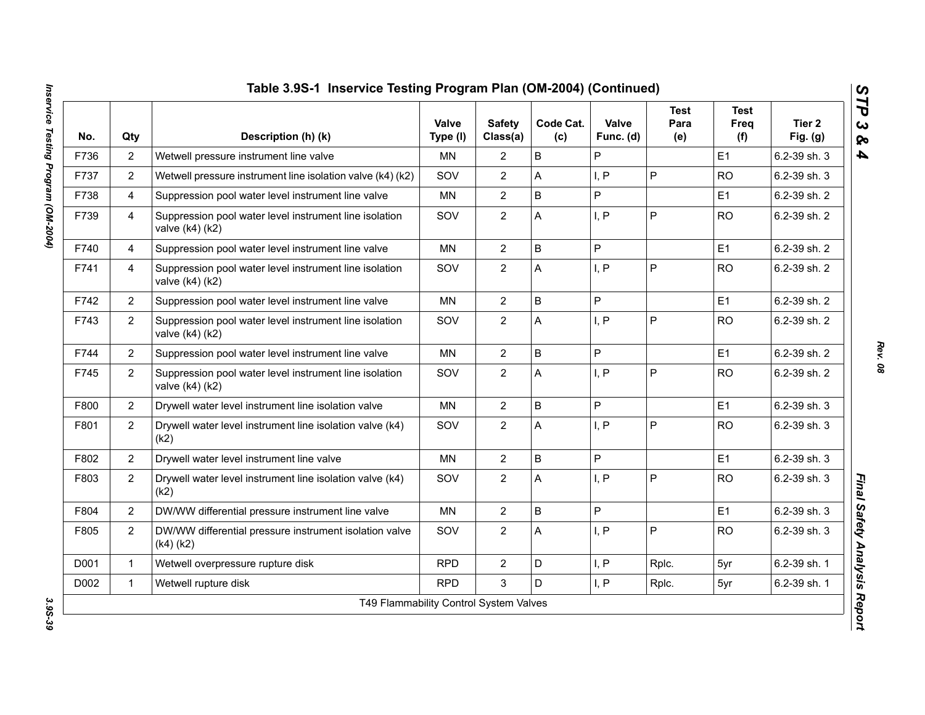| No.  | Qty            | Description (h) (k)                                                           | Valve<br>Type (I) | <b>Safety</b><br>Class(a) | Code Cat.<br>(c) | Valve<br>Func. (d) | <b>Test</b><br>Para<br>(e) | <b>Test</b><br>Freq<br>(f) | Tier 2<br>Fig. $(g)$ |
|------|----------------|-------------------------------------------------------------------------------|-------------------|---------------------------|------------------|--------------------|----------------------------|----------------------------|----------------------|
| F736 | $\overline{2}$ | Wetwell pressure instrument line valve                                        | <b>MN</b>         | $\overline{2}$            | B                | P                  |                            | E1                         | 6.2-39 sh. 3         |
| F737 | 2              | Wetwell pressure instrument line isolation valve (k4) (k2)                    | SOV               | $\overline{2}$            | A                | I, P               | $\overline{P}$             | <b>RO</b>                  | 6.2-39 sh. 3         |
| F738 | $\overline{4}$ | Suppression pool water level instrument line valve                            | <b>MN</b>         | $\overline{2}$            | $\sf B$          | P                  |                            | E1                         | 6.2-39 sh. 2         |
| F739 | 4              | Suppression pool water level instrument line isolation<br>valve (k4) (k2)     | SOV               | $\overline{2}$            | A                | I, P               | P                          | <b>RO</b>                  | 6.2-39 sh. 2         |
| F740 | $\overline{4}$ | Suppression pool water level instrument line valve                            | <b>MN</b>         | $\overline{2}$            | $\sf B$          | P                  |                            | E1                         | 6.2-39 sh. 2         |
| F741 | 4              | Suppression pool water level instrument line isolation<br>valve (k4) (k2)     | SOV               | $\overline{2}$            | A                | I, P               | $\mathsf{P}$               | <b>RO</b>                  | 6.2-39 sh. 2         |
| F742 | $\overline{2}$ | Suppression pool water level instrument line valve                            | <b>MN</b>         | $\overline{2}$            | B                | P                  |                            | E1                         | 6.2-39 sh. 2         |
| F743 | $\overline{2}$ | Suppression pool water level instrument line isolation<br>valve $(k4)$ $(k2)$ | SOV               | $\overline{2}$            | A                | I, P               | P                          | <b>RO</b>                  | 6.2-39 sh. 2         |
| F744 | $\overline{2}$ | Suppression pool water level instrument line valve                            | <b>MN</b>         | $\overline{2}$            | $\mathsf B$      | P                  |                            | E1                         | 6.2-39 sh. 2         |
| F745 | $\overline{2}$ | Suppression pool water level instrument line isolation<br>valve (k4) (k2)     | SOV               | $\overline{2}$            | A                | I, P               | P                          | <b>RO</b>                  | 6.2-39 sh. 2         |
| F800 | $\overline{2}$ | Drywell water level instrument line isolation valve                           | <b>MN</b>         | $\overline{2}$            | $\mathsf B$      | P                  |                            | E1                         | 6.2-39 sh. 3         |
| F801 | $\overline{2}$ | Drywell water level instrument line isolation valve (k4)<br>(k2)              | SOV               | $\overline{2}$            | A                | I, P               | $\overline{P}$             | <b>RO</b>                  | 6.2-39 sh. 3         |
| F802 | $\overline{2}$ | Drywell water level instrument line valve                                     | <b>MN</b>         | $\overline{2}$            | B                | P                  |                            | E <sub>1</sub>             | 6.2-39 sh. 3         |
| F803 | $\overline{2}$ | Drywell water level instrument line isolation valve (k4)<br>(k2)              | SOV               | $\overline{2}$            | A                | I, P               | P                          | <b>RO</b>                  | 6.2-39 sh. 3         |
| F804 | $\overline{2}$ | DW/WW differential pressure instrument line valve                             | <b>MN</b>         | $\overline{2}$            | $\sf B$          | P                  |                            | E1                         | 6.2-39 sh. 3         |
| F805 | $\overline{2}$ | DW/WW differential pressure instrument isolation valve<br>$(k4)$ $(k2)$       | SOV               | $\overline{2}$            | A                | I, P               | P                          | <b>RO</b>                  | 6.2-39 sh. 3         |
| D001 | $\mathbf{1}$   | Wetwell overpressure rupture disk                                             | <b>RPD</b>        | $\overline{2}$            | D                | I, P               | Rplc.                      | 5yr                        | 6.2-39 sh. 1         |
|      | $\mathbf{1}$   | Wetwell rupture disk                                                          | <b>RPD</b>        | 3                         | D                | I, P               | Rplc.                      | 5yr                        | 6.2-39 sh. 1         |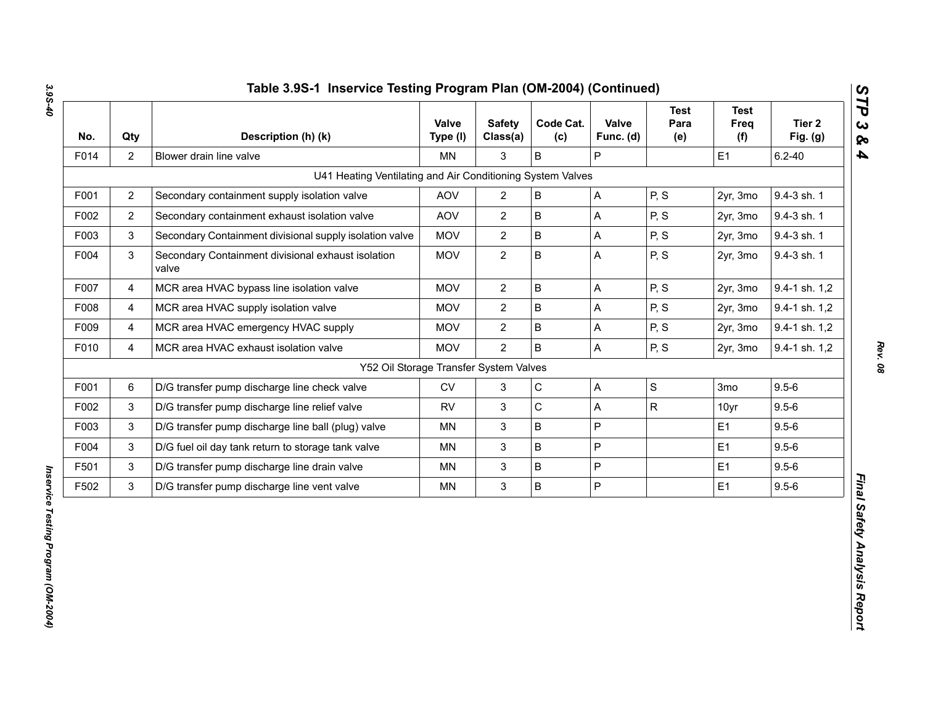| No.  | Qty            | Description (h) (k)                                         | Valve<br>Type (I) | <b>Safety</b><br>Class(a) | Code Cat.<br>(c) | Valve<br>Func. (d) | <b>Test</b><br>Para<br>(e) | <b>Test</b><br>Freq<br>(f) | Tier 2<br>Fig. $(g)$ |
|------|----------------|-------------------------------------------------------------|-------------------|---------------------------|------------------|--------------------|----------------------------|----------------------------|----------------------|
| F014 | $\overline{2}$ | Blower drain line valve                                     | <b>MN</b>         | 3                         | B                | P                  |                            | E1                         | $6.2 - 40$           |
|      |                | U41 Heating Ventilating and Air Conditioning System Valves  |                   |                           |                  |                    |                            |                            |                      |
| F001 | $\overline{2}$ | Secondary containment supply isolation valve                | <b>AOV</b>        | $\mathbf{2}$              | $\sf B$          | A                  | P, S                       | 2yr, 3mo                   | 9.4-3 sh. 1          |
| F002 | $\overline{2}$ | Secondary containment exhaust isolation valve               | <b>AOV</b>        | $\overline{2}$            | $\sf B$          | A                  | P, S                       | 2yr, 3mo                   | 9.4-3 sh. 1          |
| F003 | 3              | Secondary Containment divisional supply isolation valve     | <b>MOV</b>        | $\overline{2}$            | $\sf B$          | A                  | P, S                       | 2yr, 3mo                   | 9.4-3 sh. 1          |
| F004 | $\mathbf{3}$   | Secondary Containment divisional exhaust isolation<br>valve | <b>MOV</b>        | $\overline{c}$            | B                | A                  | P, S                       | 2yr, 3mo                   | 9.4-3 sh. 1          |
| F007 | $\overline{4}$ | MCR area HVAC bypass line isolation valve                   | <b>MOV</b>        | $\overline{2}$            | $\sf B$          | A                  | P, S                       | 2yr, 3mo                   | 9.4-1 sh. 1,2        |
| F008 | $\overline{4}$ | MCR area HVAC supply isolation valve                        | <b>MOV</b>        | $\overline{2}$            | $\sf B$          | A                  | P, S                       | 2yr, 3mo                   | 9.4-1 sh. 1,2        |
| F009 | 4              | MCR area HVAC emergency HVAC supply                         | <b>MOV</b>        | $\overline{2}$            | $\sf B$          | A                  | P, S                       | 2yr, 3mo                   | 9.4-1 sh. 1,2        |
| F010 | 4              | MCR area HVAC exhaust isolation valve                       | <b>MOV</b>        | $\overline{2}$            | $\sf B$          | A                  | P, S                       | 2yr, 3mo                   | 9.4-1 sh. 1,2        |
|      |                | Y52 Oil Storage Transfer System Valves                      |                   |                           |                  |                    |                            |                            |                      |
| F001 | $\,6\,$        | D/G transfer pump discharge line check valve                | ${\sf CV}$        | $\mathbf{3}$              | $\mathsf C$      | A                  | $\mathbf S$                | 3mo                        | $9.5 - 6$            |
| F002 | 3              | D/G transfer pump discharge line relief valve               | <b>RV</b>         | $\mathfrak{S}$            | $\mathsf C$      | A                  | ${\sf R}$                  | 10yr                       | $9.5 - 6$            |
| F003 | 3              | D/G transfer pump discharge line ball (plug) valve          | MN                | 3                         | $\sf B$          | P                  |                            | E1                         | $9.5 - 6$            |
| F004 | 3              | D/G fuel oil day tank return to storage tank valve          | MN.               | $\mathbf{3}$              | B                | P                  |                            | E1                         | $9.5 - 6$            |
| F501 | $\mathbf{3}$   | D/G transfer pump discharge line drain valve                | MN                | $\ensuremath{\mathsf{3}}$ | B                | P                  |                            | E1                         | $9.5 - 6$            |
| F502 | 3              | D/G transfer pump discharge line vent valve                 | MN                | $\mathbf{3}$              | $\sf B$          | P                  |                            | E1                         | $9.5 - 6$            |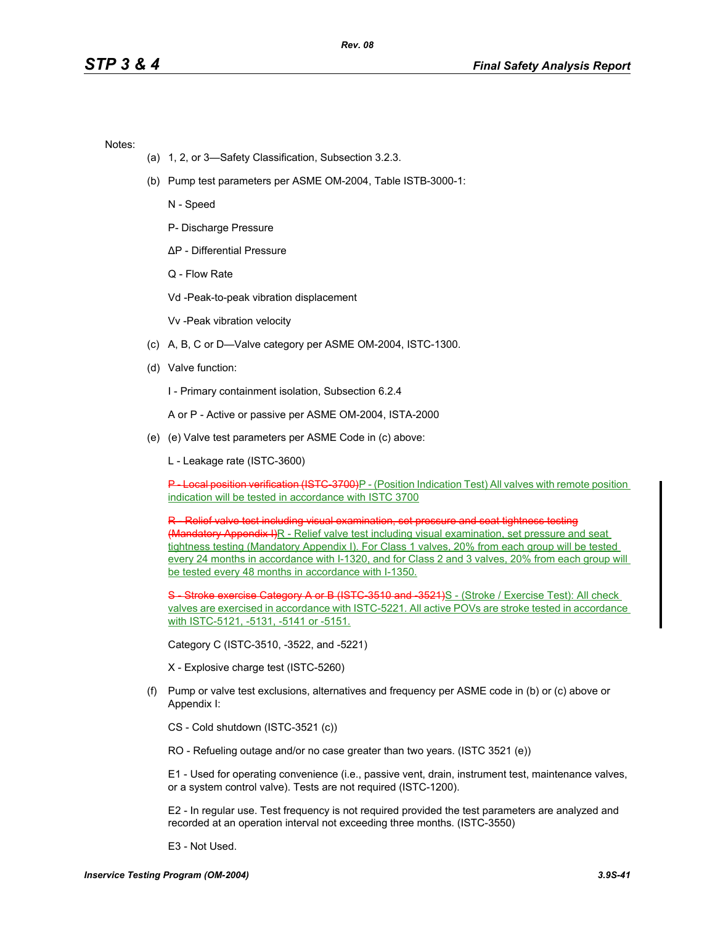Notes:

- (a) 1, 2, or 3—Safety Classification, Subsection 3.2.3.
- (b) Pump test parameters per ASME OM-2004, Table ISTB-3000-1:

N - Speed

P- Discharge Pressure

∆P - Differential Pressure

Q - Flow Rate

Vd -Peak-to-peak vibration displacement

Vv -Peak vibration velocity

- (c) A, B, C or D—Valve category per ASME OM-2004, ISTC-1300.
- (d) Valve function:

I - Primary containment isolation, Subsection 6.2.4

A or P - Active or passive per ASME OM-2004, ISTA-2000

- (e) (e) Valve test parameters per ASME Code in (c) above:
	- L Leakage rate (ISTC-3600)

**P** Local position verification (ISTC-3700)P - (Position Indication Test) All valves with remote position indication will be tested in accordance with ISTC 3700

R - Relief valve test including visual examination, set pressure and seat tightness testing (Mandatory Appendix I)R - Relief valve test including visual examination, set pressure and seat tightness testing (Mandatory Appendix I). For Class 1 valves, 20% from each group will be tested every 24 months in accordance with I-1320, and for Class 2 and 3 valves, 20% from each group will be tested every 48 months in accordance with I-1350.

S - Stroke exercise Category A or B (ISTC 3510 and 3521)S - (Stroke / Exercise Test): All check valves are exercised in accordance with ISTC-5221. All active POVs are stroke tested in accordance with ISTC-5121, -5131, -5141 or -5151.

Category C (ISTC-3510, -3522, and -5221)

X - Explosive charge test (ISTC-5260)

(f) Pump or valve test exclusions, alternatives and frequency per ASME code in (b) or (c) above or Appendix I:

CS - Cold shutdown (ISTC-3521 (c))

RO - Refueling outage and/or no case greater than two years. (ISTC 3521 (e))

E1 - Used for operating convenience (i.e., passive vent, drain, instrument test, maintenance valves, or a system control valve). Tests are not required (ISTC-1200).

E2 - In regular use. Test frequency is not required provided the test parameters are analyzed and recorded at an operation interval not exceeding three months. (ISTC-3550)

E3 - Not Used.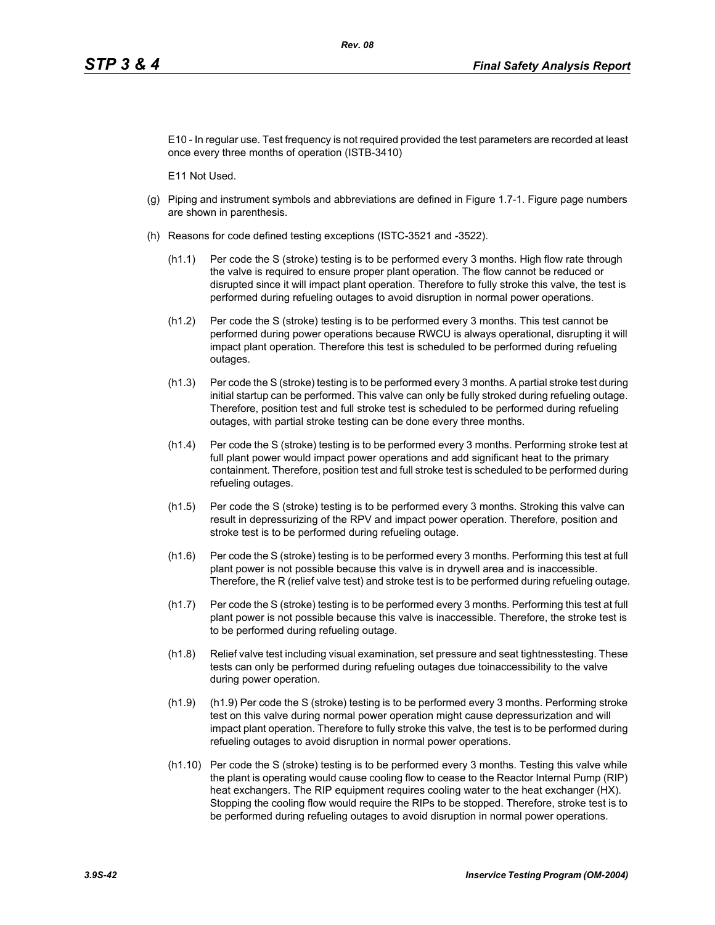E10 - In regular use. Test frequency is not required provided the test parameters are recorded at least once every three months of operation (ISTB-3410)

E11 Not Used.

- (g) Piping and instrument symbols and abbreviations are defined in Figure 1.7-1. Figure page numbers are shown in parenthesis.
- (h) Reasons for code defined testing exceptions (ISTC-3521 and -3522).
	- (h1.1) Per code the S (stroke) testing is to be performed every 3 months. High flow rate through the valve is required to ensure proper plant operation. The flow cannot be reduced or disrupted since it will impact plant operation. Therefore to fully stroke this valve, the test is performed during refueling outages to avoid disruption in normal power operations.
	- (h1.2) Per code the S (stroke) testing is to be performed every 3 months. This test cannot be performed during power operations because RWCU is always operational, disrupting it will impact plant operation. Therefore this test is scheduled to be performed during refueling outages.
	- (h1.3) Per code the S (stroke) testing is to be performed every 3 months. A partial stroke test during initial startup can be performed. This valve can only be fully stroked during refueling outage. Therefore, position test and full stroke test is scheduled to be performed during refueling outages, with partial stroke testing can be done every three months.
	- (h1.4) Per code the S (stroke) testing is to be performed every 3 months. Performing stroke test at full plant power would impact power operations and add significant heat to the primary containment. Therefore, position test and full stroke test is scheduled to be performed during refueling outages.
	- (h1.5) Per code the S (stroke) testing is to be performed every 3 months. Stroking this valve can result in depressurizing of the RPV and impact power operation. Therefore, position and stroke test is to be performed during refueling outage.
	- (h1.6) Per code the S (stroke) testing is to be performed every 3 months. Performing this test at full plant power is not possible because this valve is in drywell area and is inaccessible. Therefore, the R (relief valve test) and stroke test is to be performed during refueling outage.
	- (h1.7) Per code the S (stroke) testing is to be performed every 3 months. Performing this test at full plant power is not possible because this valve is inaccessible. Therefore, the stroke test is to be performed during refueling outage.
	- (h1.8) Relief valve test including visual examination, set pressure and seat tightnesstesting. These tests can only be performed during refueling outages due toinaccessibility to the valve during power operation.
	- (h1.9) (h1.9) Per code the S (stroke) testing is to be performed every 3 months. Performing stroke test on this valve during normal power operation might cause depressurization and will impact plant operation. Therefore to fully stroke this valve, the test is to be performed during refueling outages to avoid disruption in normal power operations.
	- (h1.10) Per code the S (stroke) testing is to be performed every 3 months. Testing this valve while the plant is operating would cause cooling flow to cease to the Reactor Internal Pump (RIP) heat exchangers. The RIP equipment requires cooling water to the heat exchanger (HX). Stopping the cooling flow would require the RIPs to be stopped. Therefore, stroke test is to be performed during refueling outages to avoid disruption in normal power operations.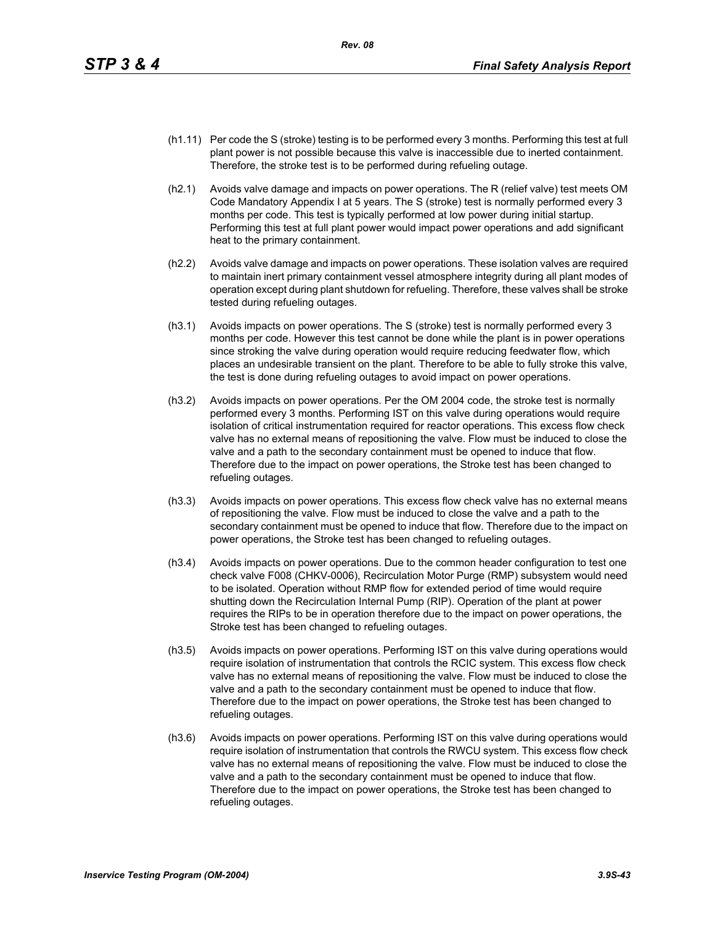- (h1.11) Per code the S (stroke) testing is to be performed every 3 months. Performing this test at full plant power is not possible because this valve is inaccessible due to inerted containment. Therefore, the stroke test is to be performed during refueling outage.
- (h2.1) Avoids valve damage and impacts on power operations. The R (relief valve) test meets OM Code Mandatory Appendix I at 5 years. The S (stroke) test is normally performed every 3 months per code. This test is typically performed at low power during initial startup. Performing this test at full plant power would impact power operations and add significant heat to the primary containment.
- (h2.2) Avoids valve damage and impacts on power operations. These isolation valves are required to maintain inert primary containment vessel atmosphere integrity during all plant modes of operation except during plant shutdown for refueling. Therefore, these valves shall be stroke tested during refueling outages.
- (h3.1) Avoids impacts on power operations. The S (stroke) test is normally performed every 3 months per code. However this test cannot be done while the plant is in power operations since stroking the valve during operation would require reducing feedwater flow, which places an undesirable transient on the plant. Therefore to be able to fully stroke this valve, the test is done during refueling outages to avoid impact on power operations.
- (h3.2) Avoids impacts on power operations. Per the OM 2004 code, the stroke test is normally performed every 3 months. Performing IST on this valve during operations would require isolation of critical instrumentation required for reactor operations. This excess flow check valve has no external means of repositioning the valve. Flow must be induced to close the valve and a path to the secondary containment must be opened to induce that flow. Therefore due to the impact on power operations, the Stroke test has been changed to refueling outages.
- (h3.3) Avoids impacts on power operations. This excess flow check valve has no external means of repositioning the valve. Flow must be induced to close the valve and a path to the secondary containment must be opened to induce that flow. Therefore due to the impact on power operations, the Stroke test has been changed to refueling outages.
- (h3.4) Avoids impacts on power operations. Due to the common header configuration to test one check valve F008 (CHKV-0006), Recirculation Motor Purge (RMP) subsystem would need to be isolated. Operation without RMP flow for extended period of time would require shutting down the Recirculation Internal Pump (RIP). Operation of the plant at power requires the RIPs to be in operation therefore due to the impact on power operations, the Stroke test has been changed to refueling outages.
- (h3.5) Avoids impacts on power operations. Performing IST on this valve during operations would require isolation of instrumentation that controls the RCIC system. This excess flow check valve has no external means of repositioning the valve. Flow must be induced to close the valve and a path to the secondary containment must be opened to induce that flow. Therefore due to the impact on power operations, the Stroke test has been changed to refueling outages.
- (h3.6) Avoids impacts on power operations. Performing IST on this valve during operations would require isolation of instrumentation that controls the RWCU system. This excess flow check valve has no external means of repositioning the valve. Flow must be induced to close the valve and a path to the secondary containment must be opened to induce that flow. Therefore due to the impact on power operations, the Stroke test has been changed to refueling outages.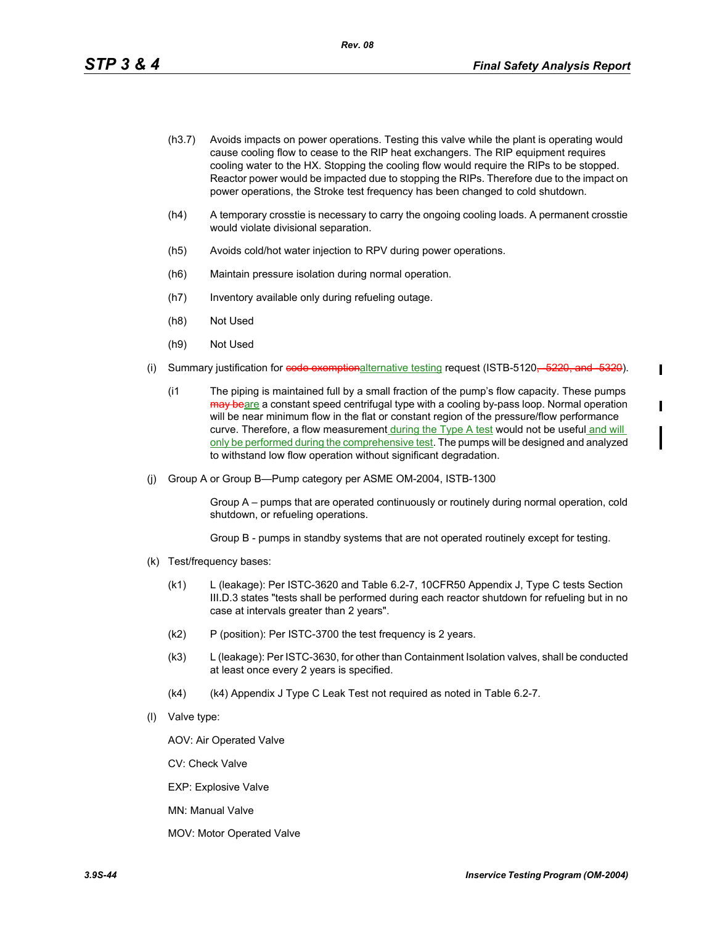I

T

- (h3.7) Avoids impacts on power operations. Testing this valve while the plant is operating would cause cooling flow to cease to the RIP heat exchangers. The RIP equipment requires cooling water to the HX. Stopping the cooling flow would require the RIPs to be stopped. Reactor power would be impacted due to stopping the RIPs. Therefore due to the impact on power operations, the Stroke test frequency has been changed to cold shutdown.
- (h4) A temporary crosstie is necessary to carry the ongoing cooling loads. A permanent crosstie would violate divisional separation.
- (h5) Avoids cold/hot water injection to RPV during power operations.
- (h6) Maintain pressure isolation during normal operation.
- (h7) Inventory available only during refueling outage.
- (h8) Not Used
- (h9) Not Used
- (i) Summary justification for code exemptionalternative testing request (ISTB-5120, -5220, and -5320).
	- (i1 The piping is maintained full by a small fraction of the pump's flow capacity. These pumps may beare a constant speed centrifugal type with a cooling by-pass loop. Normal operation will be near minimum flow in the flat or constant region of the pressure/flow performance curve. Therefore, a flow measurement during the Type A test would not be useful and will only be performed during the comprehensive test. The pumps will be designed and analyzed to withstand low flow operation without significant degradation.
- (j) Group A or Group B—Pump category per ASME OM-2004, ISTB-1300

Group A – pumps that are operated continuously or routinely during normal operation, cold shutdown, or refueling operations.

Group B - pumps in standby systems that are not operated routinely except for testing.

- (k) Test/frequency bases:
	- (k1) L (leakage): Per ISTC-3620 and Table 6.2-7, 10CFR50 Appendix J, Type C tests Section III.D.3 states "tests shall be performed during each reactor shutdown for refueling but in no case at intervals greater than 2 years".
	- (k2) P (position): Per ISTC-3700 the test frequency is 2 years.
	- (k3) L (leakage): Per ISTC-3630, for other than Containment Isolation valves, shall be conducted at least once every 2 years is specified.
	- (k4) (k4) Appendix J Type C Leak Test not required as noted in Table 6.2-7.
- (l) Valve type:

AOV: Air Operated Valve

CV: Check Valve

EXP: Explosive Valve

MN: Manual Valve

MOV: Motor Operated Valve